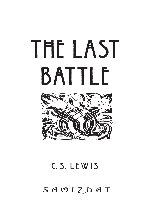# THE LAST BATTLE



### $C. S. L E W I S$

Samizdat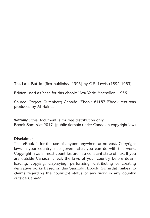**The Last Battle**. (first published 1956) by C.S. Lewis (1895-1963)

Edition used as base for this ebook: New York: Macmillan, 1956

Source: [Project Gutenberg Canada](http://www.gutenberg.ca/), Ebook #1157 Ebook text was produced by Al Haines

**Warning** : this document is for free distribution only. [Ebook Samizdat](http://www.samizdat.qc.ca/Ebooks/) 2017 (public domain under [Canadian copyright law\)](http://laws-lois.justice.gc.ca/eng/acts/C-42/page-3.html#h-6)

#### **Disclaimer**

This eBook is for the use of anyone anywhere at no cost. Copyright laws in your country also govern what you can do with this work. Copyright laws in most countries are in a constant state of flux. If you are outside Canada, check the laws of your country before downloading, copying, displaying, performing, distributing or creating derivative works based on this Samizdat Ebook. Samizdat makes no claims regarding the copyright status of any work in any country outside Canada.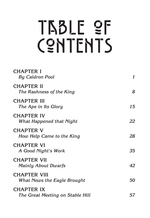## TABLE OF **CONTENTS**

| <b>CHAPTER I</b><br><b>By Caldron Pool</b>            | $\mathbf{1}$ |
|-------------------------------------------------------|--------------|
| <b>CHAPTER II</b><br>The Rashness of the King         | 8            |
| <b>CHAPTER III</b><br>The Ape in Its Glory            | 15           |
| <b>CHAPTER IV</b><br><b>What Happened that Night</b>  | 22           |
| <b>CHAPTER V</b><br>How Help Came to the King         | 28           |
| <b>CHAPTER VI</b><br>A Good Night's Work              | 35           |
| <b>CHAPTER VII</b><br><b>Mainly About Dwarfs</b>      | 42           |
| <b>CHAPTER VIII</b><br>What News the Eagle Brought    | 50           |
| <b>CHAPTER IX</b><br>The Great Meeting on Stable Hill | 57           |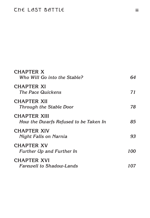#### The Last Battle **iii**

| <b>CHAPTER X</b><br>Who Will Go into the Stable?             | 64  |
|--------------------------------------------------------------|-----|
| <b>CHAPTER XI</b><br>The Pace Quickens                       | 71  |
| <b>CHAPTER XII</b><br>Through the Stable Door                | 78  |
| <b>CHAPTER XIII</b><br>How the Dwarfs Refused to be Taken In | 85  |
| <b>CHAPTER XIV</b><br>Night Falls on Narnia                  | 93  |
| <b>CHAPTER XV</b><br><b>Further Up and Further In</b>        | 100 |
| <b>CHAPTER XVI</b><br><b>Farewell to Shadow-Lands</b>        |     |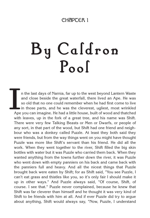#### CHAPTER I

### <span id="page-5-0"></span>By Caldron Pool

I<br>Ape n the last days of Narnia, far up to the west beyond Lantern Waste and close beside the great waterfall, there lived an Ape. He was so old that no one could remember when he had first come to live in those parts, and he was the cleverest, ugliest, most wrinkled Ape you can imagine. He had a little house, built of wood and thatched with leaves, up in the fork of a great tree, and his name was Shift. There were very few Talking Beasts or Men or Dwarfs, or people of any sort, in that part of the wood, but Shift had one friend and neighbour who was a donkey called Puzzle. At least they both said they were friends, but from the way things went on you might have thought Puzzle was more like Shift's servant than his friend. He did all the work. When they went together to the river, Shift filled the big skin bottles with water but it was Puzzle who carried them back. When they wanted anything from the towns further down the river, it was Puzzle who went down with empty panniers on his back and came back with the panniers full and heavy. And all the nicest things that Puzzle brought back were eaten by Shift; for as Shift said, "You see Puzzle, I can't eat grass and thistles like you, so it's only fair I should make it up in other ways." And Puzzle always said, "Of course, Shift, of course. I see that." Puzzle never complained, because he knew that Shift was far cleverer than himself and he thought it was very kind of Shift to be friends with him at all. And if ever Puzzle did try to argue about anything, Shift would always say, "Now, Puzzle, I understand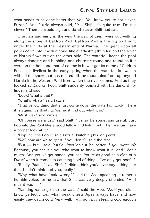what needs to be done better than you. You know you're not clever, Puzzle." And Puzzle always said, "No, Shift. It's quite true. I'm not clever." Then he would sigh and do whatever Shift had said.

One morning early in the year the pair of them were out walking along the shore of Caldron Pool. Caldron Pool is the big pool right under the cliffs at the western end of Narnia. The great waterfall pours down into it with a noise like everlasting thunder, and the River of Narnia flows out on the other side. The waterfall keeps the pool always dancing and bubbling and churning round and round as if it were on the boil, and that of course is how it got its name of Caldron Pool. It is liveliest in the early spring when the waterfall is swollen with all the snow that has melted off the mountains from up beyond Narnia in the Western Wild from which the river comes. And as they looked at Caldron Pool, Shift suddenly pointed with his dark, shiny finger and said,

"Look! What's that?"

"What's what?" said Puzzle.

"That yellow thing that's just come down the waterfall. Look! There it is again, it's floating. We must find out what it is."

"Must we?" said Puzzle.

"Of course we must," said Shift. "It may be something useful. Just hop into the Pool like a good fellow and fish it out. Then we can have a proper look at it."

"Hop into the Pool?" said Puzzle, twitching his long ears.

"Well how are we to get it if you don't?" said the Ape.

"But — but," said Puzzle, "wouldn't it be better if *you* went in? Because, you see it's you who want to know what it is, and I don't much. And you've got hands, you see. You're as good as a Man or a Dwarf when it comes to catching hold of things. I've only got hoofs."

"Really, Puzzle," said Shift, "I didn't think you'd ever say a thing like that. I didn't think it of you, really."

"Why, what have I said wrong?" said the Ass, speaking in rather a humble voice, for he saw that Shift was very deeply offended. "All I meant was — "

"Wanting *me* to go into the water," said the Ape. "As if you didn't know perfectly well what weak chests Apes always have and how easily they catch cold! Very well. I will go in. I'm feeling cold enough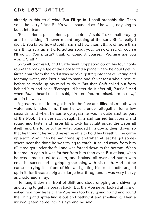already in this cruel wind. But I'll go in. I shall probably die. Then you'll be sorry." And Shift's voice sounded as if he was just going to burst into tears.

"Please don't, please don't, please don't," said Puzzle, half braying and half talking. "I never meant anything of the sort, Shift, really I didn't. You know how stupid I am and how I can't think of more than one thing at a time. I'd forgotten about your weak chest. Of course I'll go in. You mustn't think of doing it yourself. Promise me you won't, Shift."

So Shift promised, and Puzzle went cloppety-clop on his four hoofs round the rocky edge of the Pool to find a place where he could get in. Quite apart from the cold it was no joke getting into that quivering and foaming water, and Puzzle had to stand and shiver for a whole minute before he made up his mind to do it. But then Shift called out from behind him and said: "Perhaps I'd better do it after all, Puzzle." And when Puzzle heard that he said, "No, no. You promised. I'm in now," and in he went.

A great mass of foam got him in the face and filled his mouth with water and blinded him. Then he went under altogether for a few seconds, and when he came up again he was in quite another part of the Pool. Then the swirl caught him and carried him round and round and faster and faster till it took him right under the waterfall itself, and the force of the water plunged him down, deep down, so that he thought he would never be able to hold his breath till he came up again. And when he had come up and when at last he got somewhere near the thing he was trying to catch, it sailed away from him till it too got under the fall and was forced down to the bottom. When it came up again it was farther from him than ever. But at last, when he was almost tired to death, and bruised all over and numb with cold, he succeeded in gripping the thing with his teeth. And out he came carrying it in front of him and getting his front hoofs tangled up in it, for it was as big as a large hearthrug, and it was very heavy and cold and slimy.

He flung it down in front of Shift and stood dripping and shivering and trying to get his breath back. But the Ape never looked at him or asked him how he felt. The Ape was too busy going round and round the Thing and spreading it out and patting it and smelling it. Then a wicked gleam came into his eye and he said.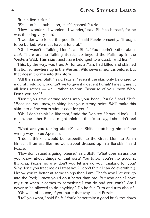"It is a lion's skin."

"Ee — auh — auh — oh, is it?" gasped Puzzle.

"Now I wonder... I wonder... I wonder," said Shift to himself, for he was thinking very hard.

"I wonder who killed the poor lion," said Puzzle presently. "It ought to be buried. We must have a funeral."

"Oh, it wasn't a Talking Lion," said Shift. "You needn't bother about *that*. There are no Talking Beasts up beyond the Falls, up in the Western Wild. This skin must have belonged to a dumb, wild lion."

This, by the way, was true. A Hunter, a Man, had killed and skinned this lion somewhere up in the Western Wild several months before. But that doesn't come into this story.

"All the same, Shift," said Puzzle, "even if the skin only belonged to a dumb, wild lion, oughtn't we to give it a decent burial? I mean, aren't all lions rather — well, rather solemn. Because of you know Who. Don't you see?"

"Don't you start getting ideas into your head, Puzzle," said Shift. "Because, you know, thinking isn't your strong point. We'll make this skin into a fine warm winter coat for you."

"Oh, I don't think I'd like that," said the Donkey. "It would look — I mean, the other Beasts might think — that is to say, I shouldn't feel — "

"What are you talking about?" said Shift, scratching himself the wrong way up as Apes do.

"I don't think it would be respectful to the Great Lion, to Aslan himself, if an ass like me went about dressed up in a lionskin," said Puzzle.

"Now don't stand arguing, please," said Shift. "What does an ass like you know about things of that sort? You know you're no good at thinking, Puzzle, so why don't you let me do your thinking for you? Why don't you treat me as I treat you? I don't think I can do everything. I know you're better at some things than I am. That's why I let you go into the Pool; I knew you'd do it better than me. But why can't I have my turn when it comes to something I can do and you can't? Am I never to be allowed to do anything? Do be fair. Turn and turn about."

"Oh well, of course, if you put it that way," said Puzzle.

"I tell you what," said Shift. "You'd better take a good brisk trot down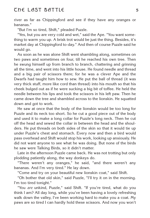river as far as Chippingford and see if they have any oranges or bananas."

"But I'm so tired, Shift," pleaded Puzzle.

"Yes, but you are very cold and wet," said the Ape. "You want something to warm you up. A brisk trot would be just the thing. Besides, it's market day at Chippingford to-day." And then of course Puzzle said he would go.

As soon as he was alone Shift went shambling along, sometimes on two paws and sometimes on four, till he reached his own tree. Then he swung himself up from branch to branch, chattering and grinning all the time, and went into his little house. He found needle and thread and a big pair of scissors there; for he was a clever Ape and the Dwarfs had taught him how to sew. He put the ball of thread (it was very thick stuff, more like cord than thread) into his mouth so that his cheek bulged out as if he were sucking a big bit of toffee. He held the needle between his lips and took the scissors in his left paw. Then he came down the tree and shambled across to the lionskin. He squatted down and got to work.

He saw at once that the body of the lionskin would be too long for Puzzle and its neck too short. So he cut a good piece out of the body and used it to make a long collar for Puzzle's long neck. Then he cut off the head and sewed the collar in between the head and the shoulders. He put threads on both sides of the skin so that it would tie up under Puzzle's chest and stomach. Every now and then a bird would pass overhead and Shift would stop his work, looking up anxiously. He did not want anyone to see what he was doing. But none of the birds he saw were Talking Birds, so it didn't matter.

Late in the afternoon Puzzle came back. He was not trotting but only plodding patiently along, the way donkeys do.

"There weren't any oranges," he said, "and there weren't any bananas. And I'm very tired." He lay down.

"Come and try on your beautiful new lionskin coat," said Shift.

"Oh bother that old skin," said Puzzle, "I'll try it on in the morning. I'm too tired tonight."

"You *are* unkind, Puzzle," said Shift. "If you're tired, what do you think I am? All day long, while you've been having a lovely refreshing walk down the valley, I've been working hard to make you a coat. My paws are so tired I can hardly hold these scissors. And now you won't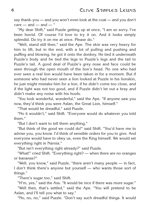say thank-you — and you won't even look at the coat — and you don't  $care - and - and -"$ 

"My dear Shift," said Puzzle getting up at once, "I am so sorry. I've been horrid. Of course I'd love to try it on. And it looks simply splendid. Do try it on me at once. Please do."

"Well, stand still then," said the Ape. The skin was very heavy for him to lift, but in the end, with a lot of pulling and pushing and puffing and blowing, he got it onto the donkey. He tied it underneath Puzzle's body and he tied the legs to Puzzle's legs and the tail to Puzzle's tail. A good deal of Puzzle's grey nose and face could be seen through the open mouth of the lion's head. No one who had ever seen a real lion would have been taken in for a moment. But if someone who had never seen a lion looked at Puzzle in his lionskin, he just might mistake him for a lion, if he didn't come too close, and if the light was not too good, and if Puzzle didn't let out a bray and didn't make any noise with his hoofs.

"You look wonderful, wonderful," said the Ape. "If anyone saw you now, they'd think you were Aslan, the Great Lion, himself."

"That would be dreadful," said Puzzle.

"No it wouldn't," said Shift. "Everyone would do whatever you told them."

"But I don't want to tell them anything."

"But think of the good we could do!" said Shift. "You'd have me to advise you, you know. I'd think of sensible orders for you to give. And everyone would have to obey us, even the King himself. We would set everything right in Narnia."

"But isn't everything right already?" said Puzzle.

"What!" cried Shift. "Everything right? — when there are no oranges or bananas?"

"Well, you know," said Puzzle, "there aren't many people — in fact, I don't think there's anyone but yourself — who wants those sort of things."

"There's sugar too," said Shift.

"H'm, yes," said the Ass. "It would be nice if there was more sugar."

"Well then, that's settled," said the Ape. "You will pretend to be Aslan, and I'll tell you what to say."

"No, no, no," said Puzzle. "Don't say such dreadful things. It would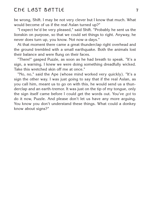be wrong, Shift. I may be not very clever but I know that much. What would become of us if the real Aslan turned up?"

"I expect he'd be very pleased," said Shift. "Probably he sent us the lionskin on purpose, so that we could set things to right. Anyway, he never does turn up, you know. Not now-a-days."

At that moment there came a great thunderclap right overhead and the ground trembled with a small earthquake. Both the animals lost their balance and were flung on their faces.

"There!" gasped Puzzle, as soon as he had breath to speak. "It's a sign, a warning. I knew we were doing something dreadfully wicked. Take this wretched skin off me at once."

"No, no," said the Ape (whose mind worked very quickly). "It's a sign the other way. I was just going to say that if the real Aslan, as you call him, meant us to go on with this, he would send us a thunderclap and an earth-tremor. It was just on the tip of my tongue, only the sign itself came before I could get the words out. You've *got* to do it now, Puzzle. And please don't let us have any more arguing. You know you don't understand these things. What could a donkey know about signs?"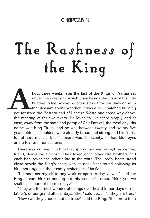#### CHAPTER II

### <span id="page-12-0"></span>The Rashness of the King

bout three weeks later the last of the Kings of Narnia sat under the great oak which grew beside the door of his little hunting lodge, where he often stayed for ten days or so in the pleasant spring weather. It was a low, under the great oak which grew beside the door of his little hunting lodge, where he often stayed for ten days or so in the pleasant spring weather. It was a low, thatched building the meeting of the two rivers. He loved to live there simply and at ease, away from the state and pomp of Cair Paravel, the royal city. His name was King Tirian, and he was between twenty and twenty-five years old; his shoulders were already broad and strong and his limbs, full of hard muscle, but his beard was still scanty. He had blue eyes and a fearless, honest face.

There was no one with him that spring morning except his dearest friend, Jewel the Unicorn. They loved each other like brothers and each had saved the other's life in the wars. The lordly beast stood close beside the King's chair, with its neck bent round polishing its blue horn against the creamy whiteness of its flank.

"I cannot set myself to any work or sport to-day, Jewel," said the King. "I can think of nothing but this wonderful news. Think you we shall hear more of them to-day?"

"They are the most wonderful tidings ever heard in our days or our father's or our grandfathers' days, Sire," said Jewel, "if they are true."

"How can they choose but be true?" said the King. "It is more than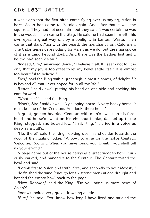a week ago that the first birds came flying over us saying, Aslan is here, Aslan has come to Narnia again. And after that it was the squirrels. They had not seen him, but they said it was certain he was in the woods. Then came the Stag. He said he had seen him with his own eyes, a great way off, by moonlight, in Lantern Waste. Then came that dark Man with the beard, the merchant from Calormen. The Calormenes care nothing for Aslan as we do; but the man spoke of it as a thing beyond doubt. And there was the Badger last night; he too had seen Aslan."

"Indeed, Sire," answered Jewel, "I believe it all. If I seem not to, it is only that my joy is too great to let my belief settle itself. It is almost too beautiful to believe."

"Yes," said the King with a great sigh, almost a shiver, of delight. "It is beyond all that I ever hoped for in all my life."

"Listen!" said Jewel, putting his head on one side and cocking his ears forward.

"What is it?" asked the King.

"Hoofs, Sire," said Jewel. "A galloping horse. A very heavy horse. It must be one of the Centaurs. And look, there he is."

A great, golden-bearded Centaur, with man's sweat on his forehead and horse's sweat on his chestnut flanks, dashed up to the King, stopped, and bowed low. "Hail, King," it cried in a voice as deep as a bull's.

"Ho, there!" said the King, looking over his shoulder towards the door of the hunting lodge. "A bowl of wine for the noble Centaur. Welcome, Roonwit. When you have found your breath, you shall tell us your errand."

A page came out of the house carrying a great wooden bowl, curiously carved, and handed it to the Centaur. The Centaur raised the bowl and said,

"I drink first to Aslan and truth, Sire, and secondly to your Majesty."

He finished the wine (enough for six strong men) at one draught and handed the empty bowl back to the page.

"Now, Roonwit," said the King. "Do you bring us more news of Aslan?"

Roonwit looked very grave, frowning a little.

"Sire," he said. "You know how long I have lived and studied the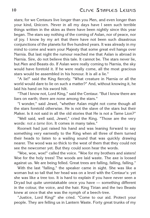stars; for we Centaurs live longer than you Men, and even longer than your kind, Unicorn. Never in all my days have I seen such terrible things written in the skies as there have been nightly since this year began. The stars say nothing of the coming of Aslan, nor of peace, nor of joy. I know by my art that there have not been such disastrous conjunctions of the planets for five hundred years. It was already in my mind to come and warn your Majesty that some great evil hangs over Narnia. But last night the rumour reached me that Aslan is abroad in Narnia. Sire, do not believe this tale. It cannot be. The stars never lie, but Men and Beasts do. If Aslan were really coming to Narnia, the sky would have foretold it. If he were really come, all the most gracious stars would be assembled in his honour. It is all a lie."

"A lie!" said the King fiercely. "What creature in Narnia or all the world would dare to lie on such a matter?" And, without knowing it, he laid his hand on his sword hilt.

"That I know not, Lord King," said the Centaur. "But I know there are liars on earth; there are none among the stars."

"I wonder," said Jewel, "whether Aslan might not come though all the stars foretold otherwise. He is not the slave of the stars but their Maker. Is it not said in all the old stories that He is not a Tame Lion?"

"Well said, well said, Jewel," cried the King. "Those are the very words: *not a tame lion*. It comes in many tales."

Roonwit had just raised his hand and was leaning forward to say something very earnestly to the King when all three of them turned their heads to listen to a wailing sound that was quickly drawing nearer. The wood was so thick to the west of them that they could not see the newcomer yet. But they could soon hear the words.

"Woe, woe, woe!" called the voice. "Woe for my brothers and sisters! Woe for the holy trees! The woods are laid waste. The axe is loosed against us. We are being felled. Great trees are falling, falling, falling."

With the last "falling," the speaker came in sight. She was like a woman but so tall that her head was on a level with the Centaur's: yet she was like a tree too. It is hard to explain if you have never seen a Dryad but quite unmistakable once you have — something different in the colour, the voice, and the hair. King Tirian and the two Beasts knew at once that she was the nymph of a beech-tree.

"Justice, Lord King!" she cried. "Come to our aid. Protect your people. They are felling us in Lantern Waste. Forty great trunks of my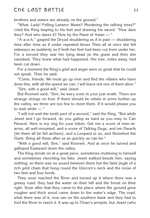brothers and sisters are already on the ground."

"What, Lady! Felling Lantern Waste? Murdering the talking trees?" cried the King leaping to his feet and drawing his sword. "How dare they? And who dares it? Now by the Mane of Aslan — "

"A-a-a-h," gasped the Dryad shuddering as if in pain — shuddering time after time as if under repeated blows Then all at once she fell sideways as suddenly as if both her feet had been cut from under her. For a second they saw her lying dead on the grass and then she vanished. They knew what had happened. Her tree, miles away, had been cut down.

For a moment the King's grief and anger were so great that he could not speak. Then he said:

"Come, friends. We must go up river and find the villains who have done this, with all the speed we can. I will leave not one of them alive."

"Sire, with a good will," said Jewel.

But Roonwit said, "Sire, be wary even in your just wrath. There are strange doings on foot. If there should be rebels in arms further up the valley, we three are too few to meet them. If it would please you to wait while — "

"I will not wait the tenth part of a second," said the King. "But while Jewel and I go forward, do you gallop as hard as you may to Cair Paravel. Here is my ring for your token. Get me a score of men-atarms, all well-mounted, and a score of Talking Dogs, and ten Dwarfs (let them all be fell archers), and a Leopard or so, and Stonefoot the Giant. Bring all these after us as quickly as can be."

"With a good will, Sire," said Roonwit. And at once he turned and galloped Eastward down the valley.

The King strode on at a great pace, sometimes muttering to himself and sometimes clenching his fists. Jewel walked beside him, saying nothing; so there was no sound between them but the faint jingle of a rich gold chain that hung round the Unicorn's neck and the noise of two feet and four hoofs.

They soon reached the River and turned up it where there was a grassy road: they had the water on their left and the forest on their right. Soon after that they came to the place where the ground grew rougher and thick wood came down to the water's edge. The road, what there was of it, now ran on the southern bank and they had to ford the River to reach it. It was up to Tirian's armpits, but Jewel (who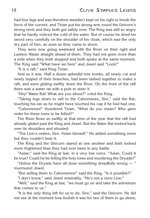had four legs and was therefore steadier) kept on his right to break the force of the current, and Tirian put his strong arm round the Unicorn's strong neck and they both got safely over. The King was still so angry that he hardly noticed the cold of the water. But of course he dried his sword very carefully on the shoulder of his cloak, which was the only dry part of him, as soon as they came to shore.

They were now going westward with the River on their right and Lantern Waste straight ahead of them. They had not gone more than a mile when they both stopped and both spoke at the same moment. The King said "What have we here" and Jewel said "Look!"

"It is a raft," said King Tirian.

And so it was. Half a dozen splendid tree trunks, all newly cut and newly lopped of their branches, had been lashed together to make a raft, and were gliding swiftly down the River. On the front of the raft there was a water rat with a pole to steer it.

"Hey! Water Rat! What are you about?" cried the King.

"Taking logs down to sell to the Calormenes, Sire," said the Rat, touching his ear as he might have touched his cap if he had had one.

"Calormenes!" thundered Tirian. "What do you mean? Who gave order for these trees to be felled?"

The River flows so swiftly at that time of the year that the raft had already glided past the King and Jewel. But the Water Rat looked back over its shoulders and shouted:

"The Lion's orders, Sire. Aslan himself." He added something more but they couldn't hear it.

The King and the Unicorn stared at one another and both looked more frightened than they had ever been in any battle.

"Aslan," said the King at last, in a very low voice. "Aslan. Could it be true? Could he be felling the holy trees and murdering the Dryads?"

"Unless the Dryads have all done something dreadfully wrong — " murmured Jewel.

"But selling them to Calormenes!" said the King. "Is it possible?"

"I don't know," said Jewel miserably. "He's not a *tame* Lion."

"Well," said the King at last, "we must go on and take the adventure that comes to us."

"It is the only thing left for us to do, Sire," said the Unicorn. He did not see at the moment how foolish it was for two of them to go alone;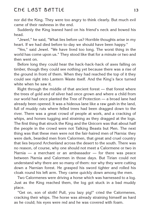nor did the King. They were too angry to think clearly. But much evil came of their rashness in the end.

Suddenly the King leaned hard on his friend's neck and bowed his head.

"Jewel," he said, "What lies before us? Horrible thoughts arise in my heart. If we had died before to-day we should have been happy."

"Yes," said Jewel. "We have lived too long. The worst thing in the world has come upon us." They stood like that for a minute or two and then went on.

Before long they could hear the hack-hack-hack of axes falling on timber, though they could see nothing yet because there was a rise of the ground in front of them. When they had reached the top of it they could see right into Lantern Waste itself. And the King's face turned white when he saw it.

Right through the middle of that ancient forest — that forest where the trees of gold and of silver had once grown and where a child from our world had once planted the Tree of Protection — a broad lane had already been opened. It was a hideous lane like a raw gash in the land, full of muddy ruts where felled trees had been dragged down to the river. There was a great crowd of people at work, and a cracking of whips, and horses tugging and straining as they dragged at the logs. The first thing that struck the King and the Unicorn was that about half the people in the crowd were not Talking Beasts but Men. The next thing was that these men were not the fair-haired men of Narnia: they were dark, bearded men from Calormen, that great and cruel country that lies beyond Archenland across the desert to the south. There was no reason, of course, why one should not meet a Calormene or two in Narnia  $-$  a merchant or an ambassador  $-$  for there was peace between Narnia and Calormen in those days. But Tirian could not understand why there are so many of them: nor why they were cutting down a Narnian forest. He grasped his sword tighter and rolled his cloak round his left arm. They came quickly down among the men.

Two Calormenes were driving a horse which was harnessed to a log. Just as the King reached them, the log got stuck in a bad muddy place.

"Get on, son of sloth! Pull, you lazy pig!" cried the Calormenes, cracking their whips. The horse was already straining himself as hard as he could; his eyes were red and he was covered with foam.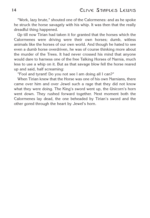"Work, lazy brute," shouted one of the Calormenes: and as he spoke he struck the horse savagely with his whip. It was then that the really dreadful thing happened.

Up till now Tirian had taken it for granted that the horses which the Calormenes were driving were their own horses; dumb, witless animals like the horses of our own world. And though he hated to see even a dumb horse overdriven, he was of course thinking more about the murder of the Trees. It had never crossed his mind that anyone would dare to harness one of the free Talking Horses of Narnia, much less to use a whip on it. But as that savage blow fell the horse reared up and said, half screaming:

"Fool and tyrant! Do you not see I am doing all I can?"

When Tirian knew that the Horse was one of his own Narnians, there came over him and over Jewel such a rage that they did not know what they were doing. The King's sword went up, the Unicorn's horn went down. They rushed forward together. Next moment both the Calormenes lay dead, the one beheaded by Tirian's sword and the other gored through the heart by Jewel's horn.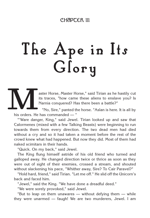#### CHAPTER III

### <span id="page-19-0"></span>The Ape in Its Glory

aster Horse, Master Horse," said Tirian as he hastily cut its traces, "how came these aliens to enslave you? Is Narnia conquered? Has there been a battle?"

"No, Sire," panted the horse. "Aslan is here. It is all by his orders. He has commanded — "

"'Ware danger, King," said Jewel. Tirian looked up and saw that Calormenes (mixed with a few Talking Beasts) were beginning to run towards them from every direction. The two dead men had died without a cry and so it had taken a moment before the rest of the crowd knew what had happened. But now they did. Most of them had naked scimitars in their hands.

"Quick. On my back," said Jewel.

The King flung himself astride of his old friend who turned and galloped away. He changed direction twice or thrice as soon as they were out of sight of their enemies, crossed a stream, and shouted without slackening his pace, "Whither away, Sire? To Cair Paravel?"

"Hold hard, friend," said Tirian. "Let me off." He slid off the Unicorn's back and faced him.

"Jewel," said the King. "We have done a dreadful deed."

"We were sorely provoked," said Jewel.

"But to leap on them unawares  $-$  without defying them  $-$  while they were unarmed — faugh! We are two murderers, Jewel. I am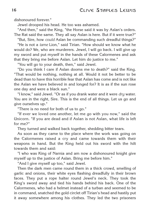dishonoured forever."

Jewel drooped his head. He too was ashamed.

"And then," said the King, "the Horse said it was by Aslan's orders. The Rat said the same. They all say Aslan is here. But if it were true?"

"But, Sire, how *could* Aslan be commanding such dreadful things?"

"He is not a *tame* Lion," said Tirian. "How should we know what he would do? We, who are murderers. Jewel, I will go back. I will give up my sword and put myself in the hands of these Calormenes and ask that they bring me before Aslan. Let him do justice to me."

"You will go to your death, then," said Jewel.

"Do you think I care if Aslan dooms me to death?" said the King. "That would be nothing, nothing at all. Would it not be better to be dead than to have this horrible fear that Aslan has come and is not like the Aslan we have believed in and longed for? It is as if the sun rose one day and were a black sun."

"I know," said Jewel. "Or as if you drank water and it were *dry* water. You are in the right, Sire. This is the end of all things. Let us go and give ourselves up."

"There is no need for both of us to go."

"If ever we loved one another, let me go with you now," said the Unicorn. "If you are dead and if Aslan is not Aslan, what life is left for me?"

They turned and walked back together, shedding bitter tears.

As soon as they came to the place where the work was going on the Calormenes raised a cry and came towards them with their weapons in hand. But the King held out his sword with the hilt towards them and said:

"I who was King of Narnia and am now a dishonoured knight give myself up to the justice of Aslan. Bring me before him."

"And I give myself up too," said Jewel.

Then the dark men came round them in a thick crowd, smelling of garlic and onions, their white eyes flashing dreadfully in their brown faces. They put a rope halter round Jewel's neck. They took the King's sword away and tied his hands behind his back. One of the Calormenes, who had a helmet instead of a turban and seemed to be in command, snatched the gold circlet off Tirian's head and hastily put it away somewhere among his clothes. They led the two prisoners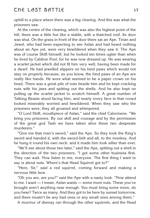uphill to a place where there was a big clearing. And this was what the prisoners saw.

At the centre of the clearing, which was also the highest point of the hill, there was a little hut like a stable, with a thatched roof. Its door was shut. On the grass in front of the door there sat an Ape. Tirian and Jewel, who had been expecting to see Aslan and had heard nothing about an Ape yet, were very bewildered when they saw it. The Ape was of course Shift himself, but he looked ten times uglier than when he lived by Caldron Pool, for he was now dressed up. He was wearing a scarlet jacket which did not fit him very well, having been made for a dwarf. He had jewelled slippers on his hind paws which would not stay on properly because, as you know, the hind paws of an Ape are really like hands. He wore what seemed to be a paper crown on his head. There was a great pile of nuts beside him and he kept cracking nuts with his jaws and spitting out the shells. And he also kept on pulling up the scarlet jacket to scratch himself. A great number of Talking Beasts stood facing him, and nearly every face in that crowd looked miserably worried and bewildered. When they saw who the prisoners were, they all groaned and whimpered.

"O Lord Shift, mouthpiece of Aslan," said the chief Calormene. "We bring you prisoners. By our skill and courage and by the permission of the great god Tash we have taken alive these two desperate murderers."

"Give me that man's sword," said the Ape. So they took the King's sword and handed it, with the sword-belt and all, to the monkey. And he hung it round his own neck: and it made him look sillier than ever.

"We'll see about those two later," said the Ape, spitting out a shell in the direction of the two prisoners. "I got some other business first. They can wait. Now listen to me, everyone. The first thing I want to say is about nuts. Where's that Head Squirrel got to?"

"Here, Sir," said a red squirrel, coming forward and making a nervous little bow.

"Oh you are, are you?" said the Ape with a nasty look. "Now attend to me. I want — I mean, Aslan wants — some more nuts. These you've brought aren't anything near enough. You must bring some more, do you hear? Twice as many. And they got to be here by sunset tomorrow, and there mustn't be any bad ones or any small ones among them."

A murmur of dismay ran through the other squirrels, and the Head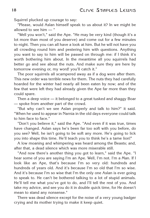Squirrel plucked up courage to say:

"Please, would Aslan himself speak to us about it? In we might be allowed to see him — "

"Well you won't," said the Ape. "He may be very kind (though it's a lot more than most of you deserve) and come out for a few minutes to-night. Then you can all have a look at him. But he will not have you all crowding round him and pestering him with questions. Anything you want to say to him will be passed on through me: if I think it's worth bothering him about. In the meantime all you squirrels had better go and see about the nuts. And make sure they are here by tomorrow evening or, my word! you'll catch it."

The poor squirrels all scampered away as if a dog were after them. This new order was terrible news for them. The nuts they had carefully hoarded for the winter had nearly all been eaten by now; and of the few that were left they had already given the Ape far more than they could spare.

Then a deep voice — it belonged to a great tusked and shaggy Boar — spoke from another part of the crowd.

"But why can't we see Aslan properly and talk to him?" it said. "When he used to appear in Narnia in the old days everyone could talk to him face to face."

"Don't you believe it," said the Ape. "And even if it was true, times have changed. Aslan says he's been far too soft with you before, do you see? Well, he isn't going to be soft any more. He's going to lick you into shape this time. He'll teach you to think he's a tame lion!"

A low moaning and whimpering was heard among the Beasts; and, after that, a dead silence which was more miserable still.

"And now there's another thing you got to learn," said the Ape. "I hear some of you are saying I'm an Ape. Well, I'm not. I'm a Man. If I look like an Ape, that's because I'm so very old: hundreds and hundreds of years old. And it's because I'm so old that I'm so wise. And it's because I'm so wise that I'm the only one Aslan is ever going to speak to. He can't be bothered talking to a lot of stupid animals. He'll tell me what you've got to do, and I'll tell the rest of you. And take my advice, and see you do it in double quick time, for He doesn't mean to stand any nonsense."

There was dead silence except for the noise of a very young badger crying and its mother trying to make it keep quiet.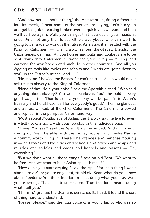"And now here's another thing," the Ape went on, fitting a fresh nut into its cheek, "I hear some of the horses are saying, Let's hurry up and get this job of carting timber over as quickly as we can, and then we'll be free again. Well, you can get that idea out of your heads at once. And not only the Horses either. Everybody who can work is going to be made to work in the future. Aslan has it all settled with the King of Calormen — The Tisroc, as our dark-faced friends, the Calormenes, call him. All you horses and bulls and donkeys are to be sent down into Calormen to work for your living — pulling and carrying the way horses and such do in other countries. And all you digging animals like moles and rabbits and Dwarfs are going down to work in the Tisroc's mines. And — "

"No, no, no," howled the Beasts. "It can't be true. Aslan would never sell us into slavery to the King of Calormen."

"None of that! Hold your noise!" said the Ape with a snarl. "Who said anything about slavery? You won't be slaves. You'll be paid — very good wages too. That is to say, your pay will be paid in to Aslan's treasury and he will use it all for everybody's good." Then he glanced, and almost winked, at the chief Calormene. The Calormene bowed and replied, in the pompous Calormene way:

"Most sapient Mouthpiece of Aslan, the Tisroc (may he live forever) is wholly of one mind with your lordship in this judicious plan."

"There! You see!" said the Ape. "It's all arranged. And all for your own good. We'll be able, with the money you earn, to make Narnia a country worth living in. There'll be oranges and bananas pouring in — and roads and big cities and schools and offices and whips and muzzles and saddles and cages and kennels and prisons — Oh, everything."

"But we don't want all those things," said an old Bear. "We want to be free. And we want to hear Aslan speak himself."

"Now don't you start arguing," said the Ape, "for it's a thing I won't stand. I'm a Man: you're only a fat, stupid old Bear. What do you know about freedom? You think freedom means doing what you like. Well, you're wrong. That isn't true freedom. True freedom means doing what I tell you."

"H-n-n-h," grunted the Bear and scratched its head; it found this sort of thing hard to understand.

"Please, please," said the high voice of a woolly lamb, who was so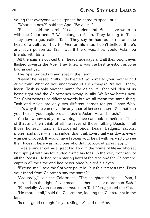young that everyone was surprised he dared to speak at all.

"What is it now?" said the Ape. "Be quick."

"Please," said the Lamb, "I can't understand. What have we to do with the Calormenes? We belong to Aslan. They belong to Tash. They have a god called Tash. They say he has four arms and the head of a vulture. They kill Men on his altar. I don't believe there's any such person as Tash. But if there was, how could Aslan be friends with him?"

All the animals cocked their heads sideways and all their bright eyes flashed towards the Ape. They knew it was the best question anyone had asked yet.

The Ape jumped up and spat at the Lamb.

"Baby!" he hissed. "Silly little bleater! Go home to your mother and drink milk. What do you understand of such things? But you others, listen. Tash is only another name for Aslan. All that old idea of us being right and the Calormenes wrong is silly. We know better now. The Calormenes use different words but we all mean the same thing. Tash and Aslan are only two different names for you know Who. That's why there can never be any quarrel between them. Get that into your heads, you stupid brutes. Tash is Aslan: Aslan is Tash."

You know how sad your own dog's face can look sometimes. Think of that and then think of all the faces of those Talking Beasts — all those honest, humble, bewildered birds, bears, badgers, rabbits, moles, and mice — all far sadder than that. Every tail was down, every whisker drooped. It would have broken your heart with very pity to see their faces. There was only one who did not look at all unhappy.

It was a ginger cat  $-$  a great big Tom in the prime of life  $-$  who sat bolt upright with his tail curled round his toes, in the very front row of all the Beasts. He had been staring hard at the Ape and the Calormene captain all the time and had never once blinked his eyes.

"Excuse me," said the Cat very politely, "but this interests me. Does your friend from Calormen say the same?"

"Assuredly," said the Calormene. "The enlightened Ape — Man, I mean — is in the right. *Aslan* means neither less nor more than *Tash*."

"Especially, Aslan means *no more* than Tash?" suggested the Cat.

"No more at all," said the Calormene, looking the Cat straight in the face.

"Is that good enough for you, Ginger?" said the Ape.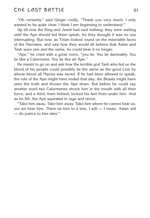"Oh certainly," said Ginger coolly. "Thank you very much. I only wanted to be quite clear. I think I am beginning to understand."

Up till now the King and Jewel had said nothing: they were waiting until the Ape should bid them speak, for they thought it was no use interrupting. But now, as Tirian looked round on the miserable faces of the Narnians, and saw how they would all believe that Aslan and Tash were one and the same, he could bear it no longer.

"Ape," he cried with a great voice, "you lie. You lie damnably. You lie like a Calormene. You lie like an Ape."

He meant to go on and ask how the terrible god Tash who fed on the blood of his people could possibly be the same as the good Lion by whose blood all Narnia was saved. If he had been allowed to speak, the rule of the Ape might have ended that day; the Beasts might have seen the truth and thrown the Ape down. But before he could say another word two Calormenes struck him in the mouth with all their force, and a third, from behind, kicked his feet from under him. And as he fell, the Ape squealed in rage and terror:

"Take him away. Take him away. Take him where he cannot hear us, nor we hear him. There tie him to a tree. I will — I mean, Aslan will — do justice to him later."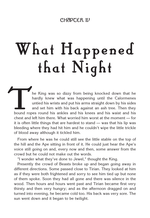#### CHADTER II)

### <span id="page-26-0"></span>What Happened that Night

he King was so dizzy from being knocked down that he<br>hardly knew what was happening until the Calormenes<br>untied his wrists and put his arms straight down by his sides<br>and set him with his back against an ash tree. Then the hardly knew what was happening until the Calormenes untied his wrists and put his arms straight down by his sides and set him with his back against an ash tree. Then they bound ropes round his ankles and his knees and his waist and his chest and left him there. What worried him worst at the moment — for it is often little things that are hardest to stand — was that his lip was bleeding where they had hit him and he couldn't wipe the little trickle of blood away although it tickled him.

From where he was he could still see the little stable on the top of the hill and the Ape sitting in front of it. He could just hear the Ape's voice still going on and, every now and then, some answer from the crowd but he could not make out the words.

"I wonder what they've done to Jewel," thought the King.

Presently the crowd of Beasts broke up and began going away in different directions. Some passed close to Tirian. They looked at him as if they were both frightened and sorry to see him tied up but none of them spoke. Soon they had all gone and there was silence in the wood. Then hours and hours went past and Tirian became first very thirsty and then very hungry; and as the afternoon dragged on and turned into evening, he became cold too. His back was very sore. The sun went down and it began to be twilight.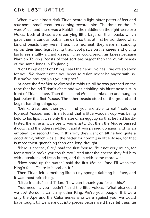When it was almost dark Tirian heard a light pitter-patter of feet and saw some small creatures coming towards him. The three on the left were Mice, and there was a Rabbit in the middle: on the right were two Moles. Both of these were carrying little bags on their backs which gave them a curious look in the dark so that at first he wondered what kind of beasts they were. Then, in a moment, they were all standing up on their hind legs, laying their cool paws on his knees and giving his knees snuffly animal kisses. (They could reach his knees because Narnian Talking Beasts of that sort are bigger than the dumb beasts of the same kinds in England.)

"Lord King! dear Lord King," said their shrill voices, "we are so sorry for you. We daren't untie you because Aslan might be angry with us. But we've brought you your supper."

At once the first Mouse climbed nimbly up till he was perched on the rope that bound Tirian's chest and was crinkling his blunt nose just in front of Tirian's face. Then the second Mouse climbed up and hung on just below the first Mouse. The other beasts stood on the ground and began handing things up.

"Drink, Sire, and then you'll find you are able to eat," said the topmost Mouse, and Tirian found that a little wooden cup was being held to his lips. It was only the size of an eggcup so that he had hardly tasted the wine in it before it was empty. But then the Mouse passed it down and the others re-filled it and it was passed up again and Tirian emptied it a second time. In this way they went on till he had quite a good drink, which was all the better for coming in little doses, for that is more thirst-quenching than one long draught.

"Here is cheese, Sire," said the first Mouse, "but not very much, for fear it would make you too thirsty." And after the cheese they fed him with oatcakes and fresh butter, and then with some more wine.

"Now hand up the water," said the first Mouse, "and I'll wash the King's face. There is blood on it."

Then Tirian felt something like a tiny sponge dabbing his face, and it was most refreshing.

"Little friends," said Tirian, "how can I thank you for all this?"

"You needn't, you needn't," said the little voices. "What else could we do? *We* don't want any other King. We're your people. If it were only the Ape and the Calormenes who were against you, we would have fought till we were cut into pieces before we'd have let them tie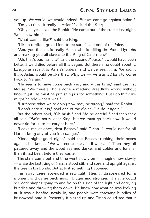you up. We would, we would indeed. But we can't go against Aslan." "Do you think it really is Aslan?" asked the King.

"Oh yes, yes," said the Rabbit. "He came out of the stable last night. We all saw him."

"What was he like?" said the King.

"Like a terrible, great Lion, to be sure," said one of the Mice.

"And you think it is really Aslan who is killing the Wood-Nymphs and making you all slaves to the King of Calormen?"

"Ah, that's bad, isn't it?" said the second Mouse. "It would have been better if we'd died before all this began. But there's no doubt about it. Everyone says it is Aslan's orders, and we've seen him. We didn't think Aslan would be like that. Why, we — we *wanted* him to come back to Narnia."

"He seems to have come back very angry this time," said the first Mouse. "We must all have done something dreadfully wrong without knowing it. He must be punishing us for something. But I do think we might be told what it was!"

"I suppose what we're doing now may be wrong," said the Rabbit.

"I don't care if it is," said one of the Moles. "I'd do it again."

But the others said, "Oh hush," and "do be careful," and then they all said, "We're sorry, dear King, but we must go back now. It would never do for us to be caught here."

"Leave me at once, dear Beasts," said Tirian. "I would not for all Narnia bring any of you into danger."

"Good night, good night," said the Beasts, rubbing their noses against his knees. "We will come back — if we can." Then they all pattered away and the wood seemed darker and colder and lonelier than it had been before they came.

The stars came out and time went slowly on — imagine how slowly — while the last King of Narnia stood stiff and sore and upright against the tree in his bonds. But at last something happened.

Far away there appeared a red light. Then it disappeared for a moment and came back again, bigger and stronger. Then he could see dark shapes going to and fro on this side of the light and carrying bundles and throwing them down. He knew now what he was looking at. It was a bonfire, newly lit, and people were throwing bundles of brushwood onto it. Presently it blazed up and Tirian could see that it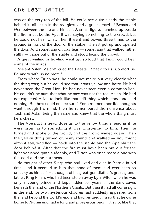was on the very top of the hill. He could see quite clearly the stable behind it, all lit up in the red glow, and a great crowd of Beasts and Men between the fire and himself. A small figure, hunched up beside the fire, must be the Ape. It was saying something to the crowd, but he could not hear what. Then it went and bowed three times to the ground in front of the door of the stable. Then it got up and opened the door. And something on four legs — something that walked rather stiffly — came out of the stable and stood facing the crowd.

A great wailing or howling went up, so loud that Tirian could hear some of the words.

"Aslan! Aslan! Aslan!" cried the Beasts. "Speak to us. Comfort us. Be angry with us no more."

From where Tirian was, he could not make out very clearly what the thing was; but he could see that it was yellow and hairy. He had never seen the Great Lion. He had never seen even a common lion. He couldn't be sure that what he saw was not the real Aslan. He had not expected Aslan to look like that stiff thing which stood and said nothing. But how could one be sure? For a moment horrible thoughts went through his mind: then he remembered the nonsense about Tash and Aslan being the same and knew that the whole thing must be a cheat.

The Ape put his head close up to the yellow thing's head as if he were listening to something it was whispering to him. Then he turned and spoke to the crowd, and the crowd wailed again. Then the yellow thing turned clumsily round and walked — you might almost say, waddled — back into the stable and the Ape shut the door behind it. After that the fire must have been put out for the light vanished quite suddenly, and Tirian was once more alone with the cold and the darkness.

He thought of other Kings who had lived and died in Narnia in old times and it seemed to him that none of them had ever been so unlucky as himself. He thought of his great-grandfather's great-grandfather, King Rilian, who had been stolen away by a Witch when he was only a young prince and kept hidden for years in the dark caves beneath the land of the Northern Giants. But then it had all come right in the end, for two mysterious children had suddenly appeared from the land beyond the world's end and had rescued him so that he came home to Narnia and had a long and prosperous reign. "It's not like that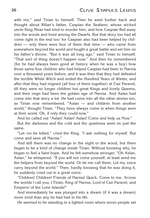with me," said Tirian to himself. Then he went further back and thought about Rilian's father, Caspian the Seafarer, whose wicked uncle King Miraz had tried to murder him, and how Caspian fled away into the woods and lived among the Dwarfs. But that story too had all come right in the end too: for Caspian also had been helped by children — only there were four of them that time — who came from somewhere beyond the world and fought a great battle and set him on his father's throne. "But it was all long ago," said Tirian to himself. "That sort of thing doesn't happen now." And then he remembered (for he had always been good at history when he was a boy) how those same four children who had helped Caspian had been in Narnia over a thousand years before; and it was then that they had defeated the terrible White Witch and ended the Hundred Years of Winter, and after that they had reigned (all four of them together) at Cair Paravel, till they were no longer children but great Kings and lovely Queens, and their reign had been the golden age of Narnia. And Aslan had come into that story a lot. He had come into all the other stories too, as Tirian now remembered. "Aslan — and children from another world," thought Tirian. "They have always come in when things were at their worst. Oh, if only they could now."

And he called out "Aslan! Aslan! Aslan! Come and help us Now."

But the darkness and the cold and the quietness went on just the same.

"Let *me* be killed," cried the King. "I ask nothing for myself. But come and save all Narnia."

And still there was no change in the night or the wood, but there began to be a kind of change inside Tirian. Without knowing why, he began to feel a faint hope. And he felt somehow stronger. "Oh Aslan, Aslan," he whispered. "If you will not come yourself, at least send me the helpers from beyond the world. Or let me call them. Let my voice carry beyond the world." Then, hardly knowing that he was doing it, he suddenly cried out in a great voice:

"Children! Children! Friends of Narnia! Quick. Come to me. Across the worlds I call you; I Tirian, King of Narnia, Lord of Cair Paravel, and Emperor of the Lone Islands!"

And immediately he was plunged into a dream (if it was a dream) more vivid than any he had had in his life.

He seemed to be standing in a lighted room where seven people sat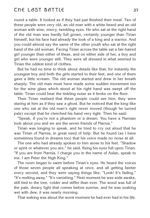round a table. It looked as if they had just finished their meal. Two of these people were very old, an old man with a white beard and an old woman with wise, merry, twinkling eyes. He who sat at the right hand of the old man was hardly full grown, certainly younger than Tirian himself, but his face had already the look of a king and a warrior. And you could almost say the same of the other youth who sat at the right hand of the old woman. Facing Tirian across the table sat a fair-haired girl younger than either of these, and on either side of her, a boy and girl who were younger still. They were all dressed in what seemed to Tirian the oddest kind of clothes.

But he had no time to think about details like that, for instantly the youngest boy and both the girls started to their feet, and one of them gave a little scream. The old woman started and drew in her breath sharply. The old man must have made some sudden movement too for the wine glass which stood at his right hand was swept off the table: Tirian could hear the tinkling noise as it broke on the floor.

Then Tirian realised that these people could see him; they were staring at him as if they saw a ghost. But he noticed that the king-like one who sat at the old man's right never moved (though he turned pale) except that he clenched his hand very tight. Then he said:

"Speak, if you're not a phantom or a dream. You have a Narnian look about you and we are the seven friends of Narnia."

Tirian was longing to speak, and he tried to cry out aloud that he was Tirian of Narnia, in great need of help. But he found (as I have sometimes found in dreams too) that his voice made no noise at all.

The one who had already spoken to him arose to his feet. "Shadow or spirit or whatever you are," he said, fixing his eyes full upon Tirian. "If you are from Narnia, I charge you in the name of Aslan, speak to me. I am Peter the High King."

The room began to swim before Tirian's eyes. He heard the voices of those seven people all speaking at once, and all getting fainter every second, and they were saying things like, "Look! It's fading." "It's melting away." "It's vanishing." Next moment he was wide awake, still tied to the tree, colder and stiffer than ever. The wood was full of the pale, dreary light that comes before sunrise, and he was soaking wet with dew; it was nearly morning.

That waking was about the worst moment he had ever had in his life.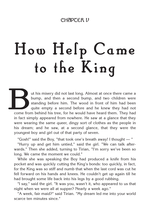#### CHADTER I

### <span id="page-32-0"></span>How Help Came to the King

at his misery did not last long. Almost at once there came a bump, and then a second bump, and two children were standing before him. The wood in front of him had been quite empty a second before and he knew they had not c bump, and then a second bump, and two children were standing before him. The wood in front of him had been quite empty a second before and he knew they had not in fact simply appeared from nowhere. He saw at a glance that they were wearing the same queer, dingy sort of clothes as the people in his dream; and he saw, at a second glance, that they were the youngest boy and girl out of that party of seven.

"Gosh!" said the Boy, "that took one's breath away! I thought — "

"Hurry up and get him untied," said the girl. "We can talk afterwards." Then she added, turning to Tirian, "I'm sorry we've been so long. We came the moment we could."

While she was speaking the Boy had produced a knife from his pocket and was quickly cutting the King's bonds: too quickly, in fact, for the King was so stiff and numb that when the last cord was cut he fell forward on his hands and knees. He couldn't get up again till he had brought some life back into his legs by a good rubbing.

"I say," said the girl. "It was you, wasn't it, who appeared to us that night when we were all at supper? Nearly a week ago."

"A week, fair maid?" said Tirian. "My dream led me into your world scarce ten minutes since."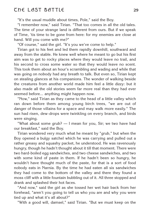"It's the usual muddle about times, Pole," said the Boy.

"I remember now," said Tirian. "That too comes in all the old tales. The time of your strange land is different from ours. But if we speak of Time, 'tis time to be gone from here: for my enemies are close at hand. Will you come with me?"

"Of course," said the girl. "It's you we've come to help."

Tirian got to his feet and led them rapidly downhill, southward and away from the stable. He knew well where he meant to go but his first aim was to get to rocky places where they would leave no trail, and his second to cross some water so that they would leave no scent. This took them about an hour's scrambling and wading and while that was going on nobody had any breath to talk. But even so, Tirian kept on stealing glances at his companions. The wonder of walking beside the creatures from another world made him feel a little dizzy: but it also made all the old stories seem far more real than they had ever seemed before... anything might happen now.

"Now," said Tirian as they came to the head of a little valley which ran down before them among young birch trees, "we are out of danger of those villains for a space and may walk more easily." The sun had risen, dew-drops were twinkling on every branch, and birds were singing.

"What about some grub? — I mean for you, Sir; we two have had our breakfast," said the Boy.

Tirian wondered very much what he meant by "grub," but when the Boy opened a bulgy satchel which he was carrying and pulled out a rather greasy and squashy packet, he understood. He was ravenously hungry, though he hadn't thought about it till that moment. There were two hard-boiled egg sandwiches, and two cheese sandwiches, and two with some kind of paste in them. If he hadn't been so hungry, he wouldn't have thought much of the paste, for that is a sort of food nobody eats in Narnia. By the time he had eaten all six sandwiches they had come to the bottom of the valley and there they found a moss cliff with a little fountain bubbling out of it. All three stopped and drank and splashed their hot faces.

"And now," said the girl as she tossed her wet hair back from her forehead, "aren't you going to tell us who you are and why you were tied up and what it's all about?"

"With a good will, damsel," said Tirian. "But we must keep on the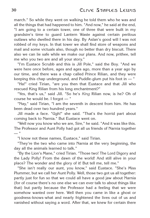march." So while they went on walking he told them who he was and all the things that had happened to him. "And now," he said at the end, "I am going to a certain tower, one of three that were built in my grandsire's time to guard Lantern Waste against certain perilous outlaws who dwelled there in his day. By Aslan's good will I was not robbed of my keys. In that tower we shall find store of weapons and mail and some victuals also, though no better than dry biscuit. There also we can lie safe while we make our plans. And now, prithee, tell me who you two are and all your story."

"I'm Eustace Scrubb and this is Jill Pole," said the Boy. "And we were here once before, ages and ages ago, more than a year ago by our time, and there was a chap called Prince Rilian, and they were keeping this chap underground, and Puddle-glum put his foot in — "

"Ha!" cried Tirian, "are you then that Eustace and that Jill who rescued King Rilian from his long enchantment?"

"Yes, that's us," said Jill. "So he's *King* Rilian now, is he? Oh of course he would be. I forgot — "

"Nay," said Tirian, "I am the seventh in descent from him. He has been dead over two hundred years."

Jill made a face. "Ugh!" she said. "That's the horrid part about coming back to Narnia." But Eustace went on.

"Well now you know who we are, Sire," he said. "And it was like this. The Professor and Aunt Polly had got all us friends of Narnia together  $\equiv$  "

"I know not these names, Eustace," said Tirian.

"They're the two who came into Narnia at the very beginning, the day all the animals learned to talk."

"By the Lion's Mane," cried Tirian. "Those two! The Lord Digory and the Lady Polly! From the dawn of the world! And still alive in your place? The wonder and the glory of it! But tell me, tell me."

"She isn't really our aunt, you know," said Eustace. "She's Miss Plummer, but we call her Aunt Polly. Well, those two got us all together: partly just for fun so that we could all have a good jaw about Narnia (for of course there's no one else we can ever talk to about things like that) but partly because the Professor had a feeling that we were somehow wanted over here. Well then you came in like a ghost or goodness-knows-what and nearly frightened the lives out of us and vanished without saying a word. After that, we knew for certain there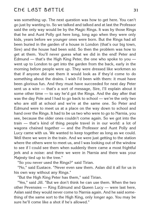was something up. The next question was how to get here. You can't go just by wanting to. So we talked and talked and at last the Professor said the only way would be by the Magic Rings. It was by those Rings that he and Aunt Polly got here long, long ago when they were only kids, years before we younger ones were born. But the Rings had all been buried in the garden of a house in London (that's our big town, Sire) and the house had been sold. So then the problem was how to get at them. You'll never guess what we did in the end! Peter and Edmund  $-$  that's the High King Peter, the one who spoke to you  $$ went up to London to get into the garden from the back, early in the morning before people were up. They were dressed like workmen so that if anyone did see them it would look as if they'd come to do something about the drains. I wish I'd been with them: it must have been glorious fun. And they must have succeeded for next day Peter sent us a wire — that's a sort of message, Sire, I'll explain about it some other time — to say he'd got the Rings. And the day after that was the day Pole and I had to go back to school — we're the only two who are still at school and we're at the same one. So Peter and Edmund were to meet us at a place on the way down to school and hand over the Rings. It had to be us two who were to go to Narnia, you see, because the older ones couldn't come again. So we got into the train — that's kind of thing people travel in in our world: a lot of wagons chained together — and the Professor and Aunt Polly and Lucy came with us. We wanted to keep together as long as we could. Well there we were in the train. And we were just getting to the station where the others were to meet us, and I was looking out of the window to see if I could see them when suddenly there came a most frightful jerk and a noise: and there we were in Narnia and there was your Majesty tied up to the tree."

"So you never used the Rings?" said Tirian.

"No," said Eustace. "Never even saw them. Aslan did it all for us in his own way without any Rings."

"But the High King Peter has them," said Tirian.

"Yes," said Jill. "But we don't think he can use them. When the two other Pevensies — King Edmund and Queen Lucy — were last here, Aslan said they would never come to Narnia again. And he said something of the same sort to the High King, only longer ago. You may be sure he'll come like a shot if he's allowed."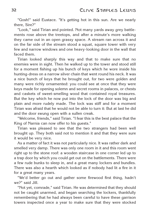"Gosh!" said Eustace. "It's getting hot in this sun. Are we nearly there, Sire?"

"Look," said Tirian and pointed. Not many yards away grey battlements rose above the treetops, and after a minute's more walking they came out in an open grassy space. A stream ran across it and on the far side of the stream stood a squat, square tower with very few and narrow windows and one heavy-looking door in the wall that faced them.

Tirian looked sharply this way and that to make sure that no enemies were in sight. Then he walked up to the tower and stood still for a moment fishing up his bunch of keys which he wore inside his hunting-dress on a narrow silver chain that went round his neck. It was a nice bunch of keys that he brought out, for two were golden and many were richly ornamented: you could see at once that they were keys made for opening solemn and secret rooms in palaces, or chests and caskets of sweet-smelling wood that contained royal treasures. But the key which he now put into the lock of the door was big and plain and more rudely made. The lock was stiff and for a moment Tirian was afraid that he would not be able to turn it: But at last he did and the door swung open with a sullen creak.

"Welcome, friends," said Tirian. "I fear this is the best palace that the King of Narnia can now offer to his guests."

Tirian was pleased to see that the two strangers had been well brought up. They both said not to mention it and that they were sure it would be very nice.

As a matter of fact it was not particularly nice. It was rather dark and smelled very damp. There was only one room in it and this room went right up to the stone roof: a wooden staircase in one corner led up to a trap door by which you could get out on the battlements. There were a few rude bunks to sleep in, and a great many lockers and bundles. There was also a hearth which looked as if nobody had lit a fire in it for a great many years.

"We'd better go out and gather some firewood first thing, hadn't we?" said Jill.

"Not yet, comrade," said Tirian. He was determined that they should not be caught unarmed, and began searching the lockers, thankfully remembering that he had always been careful to have these garrison towers inspected once a year to make sure that they were stocked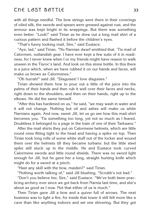with all things needful. The bow strings were there in their coverings of oiled silk, the swords and spears were greased against rust, and the armour was kept bright in its wrappings. But there was something even better. "Look!" said Tirian as he drew out a long mail shirt of a curious pattern and flashed it before the children's eyes.

"That's funny looking mail, Sire," said Eustace.

"Aye, lad," said Tirian. "No Narnian dwarf smithied that. 'Tis mail of Calormen, outlandish gear. I have ever kept a few suits of it in readiness, for I never knew when I or my friends might have reason to walk unseen in the Tisroc's land. And look on this stone bottle. In this there is a juice which, when we have rubbed it on our hands and faces, will make us brown as Calormenes."

"Oh hurrah!" said Jill. "Disguises! I love disguises."

Tirian showed them how to pour out a little of the juice into the palms of their hands and then rub it well over their faces and necks, right down to the shoulders, and then on their hands, right up to the elbows. He did the same himself.

"After this has hardened on us," he said, "we may wash in water and it will not change. Nothing but oil and ashes will make us white Narnians again. And now, sweet Jill, let us go see how this mail-shirt becomes you. 'Tis something too long, yet not so much as I feared. Doubtless it belonged to a page in the train of one of their Tarkaans."

After the mail shirts they put on Calormene helmets, which are little round ones fitting tight to the head and having a spike on top. Then Tirian took long rolls of some white stuff out of the locker and wound them over the helmets till they became turbans: but the little steel spike still stuck up in the middle. He and Eustace took curved Calormene swords and little round shields. There was no sword light enough for Jill, but he gave her a long, straight hunting knife which might do for a sword at a pinch.

"Hast any skill with the bow, maiden?" said Tirian.

"Nothing worth talking of," said Jill blushing. "Scrubb's not bad."

"Don't you believe her, Sire," said Eustace. "We've both been practicing archery ever since we got back from Narnia last time, and she's about as good as I now. Not that either of us is much."

Then Tirian gave Jill a bow and a quiver full of arrows. The next business was to light a fire, for inside that tower it still felt more like a cave than like anything indoors and set one shivering. But they got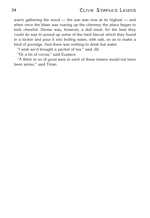warm gathering the wood — the sun was now at its highest — and when once the blaze was roaring up the chimney the place began to look cheerful. Dinner was, however, a dull meal, for the best they could do was to pound up some of the hard biscuit which they found in a locker and pour it into boiling water, with salt, so as to make a kind of porridge. And there was nothing to drink but water.

"I wish we'd brought a packet of tea," said Jill.

"Or a tin of cocoa," said Eustace.

"A firkin or so of good wine in each of these towers would not have been amiss," said Tirian.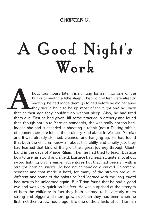# CHADTER IJI

# A Good Night's Work

bout four hours later Tirian flung himself into one of the bunks to snatch a little sleep. The two children were already snoring: he had made them go to bed before he did because they would have to be up most of the night bunks to snatch a little sleep. The two children were already snoring: he had made them go to bed before he did because they would have to be up most of the night and he knew them out. First he had given Jill some practice in archery and found that, though not up to Narnian standards, she was really not too bad. Indeed she had succeeded in shooting a rabbit (not a Talking rabbit, of course: there are lots of the ordinary kind about in Western Narnia) and it was already skinned, cleaned, and hanging up. He had found that both the children knew all about this chilly and smelly job; they had learned that kind of thing on their great journey through Giant-Land in the days of Prince Rilian. Then he had tried to teach Eustace how to use his sword and shield. Eustace had learned quite a lot about sword fighting on his earlier adventures but that had been all with a straight Narnian sword. He had never handled a curved Calormene scimitar and that made it hard, for many of the strokes are quite different and some of the habits he had learned with the long sword had now to be unlearned again. But Tirian found that he had a good eye and was very quick on his feet. He was surprised at the strength of both the children: in fact they both seemed to be already much strong and bigger and more grown-up than they had been when he first met them a few hours ago. It is one of the effects which Narnian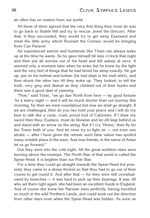air often has on visitors from our world.

All three of them agreed that the very first thing they must do was to go back to Stable Hill and try to rescue Jewel the Unicorn. After that, if they succeeded, they would try to get away Eastward and meet the little army which Roonwit the Centaur would be bringing from Cair Paravel.

An experienced warrior and huntsman like Tirian can always wake up at the time he wants. So he gave himself till nine o'clock that night and then put all worries out of his head and fell asleep at once. It seemed only a moment later when he woke but he knew by the light and the very feel of things that he had timed his sleep exactly. He got up, put on his helmet-and-turban (he had slept in his mail-shirt), and then shook the other two till they woke up. They looked, to tell the truth, very grey and dismal as they climbed out of their bunks and there was a good deal of yawning.

"Now," said Tirian, "we go due North from here — by good fortune 'tis a starry night — and it will be much shorter than our journey this morning, for then we went roundabout but now we shall go straight. If we are challenged, then do you two hold your peace and I will do my best to talk like a curst, cruel, proud lord of Calormen. If I draw my sword then thou, Eustace, must do likewise and let Jill leap behind us and stand with an arrow on the string. But if I cry 'Home,' then fly for the Tower both of you. And let none try to fight on — not even one stroke — after I have given the retreat: such false valour has spoiled many notable plans in the wars. And now friends, in the name of Aslan let us go forward."

Out they went into the cold night. All the great northern stars were burning above the treetops. The North-Star of that world is called the Spear-Head: it is brighter than our Pole Star.

For a time they could go straight towards the Spear-Head but presently they came to a dense thicket so that they had to go out of their course to get round it. And after that — for they were still overshadowed by branches — it was hard to pick up their bearings. It was Jill who set them right again: she had been an excellent Guide in England. And of course she knew her Narnian stars perfectly, having travelled so much in the wild Northern Lands, and could work out the direction from other stars even when the Spear-Head was hidden. As soon as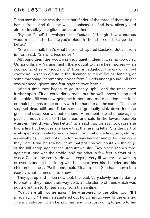Tirian saw that she was the best pathfinder of the three of them he put her in front. And then he was astonished to find how silently and almost invisibly she glided on before them.

"By the Mane!" he whispered to Eustace. "This girl is a wondrous wood-maid. If she had Dryad's blood in her she could scarce do it better."

"She's so small, that's what helps," whispered Eustace. But Jill from in front said: "S-s-s-h, less noise."

All round them the wood was very quiet. Indeed it was far too quiet. On an ordinary Narnian night there ought to have been noises — an occasional cheery "Good night" from a hedgehog, the cry of an owl overhead, perhaps a flute in the distance to tell of Fauns dancing, or some throbbing, hammering noises from Dwarfs underground. All that was silenced: gloom and fear reigned over Narnia.

After a time they began to go steeply uphill and the trees grew further apart. Tirian could dimly make out the well known hilltop and the stable. Jill was now going with more and more caution: she kept on making signs to the others with her hand to do the same. Then she stopped dead still and Tirian saw her gradually sink down into the grass and disappear without a sound. A moment later she rose again, put her mouth close to Tirian's ear, and said in the lowest possible whisper, "Get down. *Thee* better." She said *thee* for *see* not cause she had a lisp but because she knew that the hissing letter S is the part of a whisper most likely to be overhead. Tirian at once lay down, almost as silently as Jill, but not quite for he was heavier and older. And once they were down, he saw how from that position you could see the edge of the hill sharp against the star-strewn sky. Two black shapes rose against it: one was the stable, and the other, a few feet in front of it, was a Calormene sentry. He was keeping very ill watch: not walking or even standing but sitting with his spear over his shoulder and his chin on his chest. "Well done," said Tirian to Jill. She had shown him exactly what he needed to know.

They got up and Tirian now took the lead. Very slowly, hardly daring to breathe, they made their way up to a little clump of trees which was not more than forty feet away from the sentinel.

"Wait here till I come again," he whispered to the other two. "If I miscarry, fly." Then he sauntered out boldly in full view of the enemy. The man started when he saw him and was just going to jump to his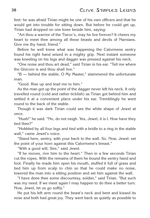feet: he was afraid Tirian might be one of his own officers and that he would get into trouble for sitting down. But before he could get up, Tirian had dropped on one knee beside him, saying:

"Art thou a warrior of the Tisroc's, may he live forever? It cheers my heart to meet thee among all these beasts and devils of Narnians. Give me thy hand, friend."

Before he well knew what was happening the Calormene sentry found his right hand seized in a mighty grip. Next instant someone was kneeling on his legs and dagger was pressed against his neck.

"One noise and thou art dead," said Tirian in his ear. "Tell me where the Unicorn is and thou shall live."

"B — behind the stable, O My Master," stammered the unfortunate man.

"Good. Rise up and lead me to him."

As the man got up the point of the dagger never left his neck. It only travelled round (cold and rather ticklish) as Tirian got behind him and settled it at a convenient place under his ear. Tremblingly he went round to the back of the stable.

Though it was dark Tirian could see the white shape of Jewel at once.

"Hush!" he said. "No, do not neigh. Yes, Jewel, it is I. How have they tied thee?"

"Hobbled by all four legs and tied with a bridle to a ring in the stable wall," came Jewel's voice.

"Stand here, sentry, with your back to the wall. So. Now, Jewel: set the point of your horn against this Calormene's breast."

"With a good will, Sire," said Jewel.

"If he moves, rive him to the heart." Then in a few seconds Tirian cut the ropes. With the remains of them he bound the sentry hand and foot. Finally he made him open his mouth, stuffed it full of grass and tied him up from scalp to chin so that he could make no noise, lowered the man into a sitting position and set him against the wall.

"I have done thee some discourtesy, soldier," said Tirian. "But such was my need. If we meet again I may happen to do thee a better turn. Now, Jewel, let us go softly."

He put his left arm round the beast's neck and bent and kissed its nose and both had great joy. They went back as quietly as possible to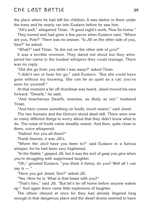the place where he had left the children. It was darker in there under the trees and he nearly ran into Eustace before he saw him.

"All's well," whispered Tirian. "A good night's work. Now for home."

They turned and had gone a few paces when Eustace said, "Where are you, Pole?" There was no answer. "Is Jill on the other side of you, Sire?" he asked.

"What?" said Tirian. "Is she not on the other side of *you*?"

It was a terrible moment. They dared not shout but they whispered her name in the loudest whispers they could manage. There was no reply.

"Did she go from you while I was away?" asked Tirian.

"I didn't see or hear her go," said Eustace. "But she could have gone without my knowing. She can be as quiet as a cat; you've seen for yourself."

At that moment a far off drumbeat was heard. Jewel moved his ears forward. "Dwarfs," he said.

"And treacherous Dwarfs, enemies, as likely as not." muttered Tirian.

"And here comes something on hoofs, much nearer," said Jewel.

The two humans and the Unicorn stood dead still. There were now so many different things to worry about that they didn't know what to do. The noise of hoofs came steadily nearer. And then, quite close to them, voice whispered:

"Hallow! Are you all there?"

Thank heaven, it was Jill's.

"Where the *devil* have you been to?" said Eustace in a furious whisper, for he had been very frightened.

"In the Stable," gasped Jill, but it was the sort of gasp you give when you're struggling with suppressed laughter.

"Oh," growled Eustace, "you think it funny, do you? Well all I can say is  $-$  "

"Have you got Jewel, Sire?" asked Jill.

"Yes. Here he is. What is that beast with you?"

"That's him," said Jill. "But let's be off home before anyone wakes up." And again there came little explosions of laughter.

The others obeyed at once for they had already lingered long enough in that dangerous place and the dwarf drums seemed to have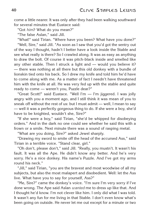come a little nearer. It was only after they had been walking southward for several minutes that Eustace said:

"Got *him*? What do you mean?"

"The false Aslan," said Jill.

"What!" said Tirian. "Where have you been? What have you done?"

"Well, Sire," said Jill. "As soon as I saw that you'd got the sentry out of the way I thought, hadn't I better have a look inside the Stable and see what really is there? So I crawled along. It was as easy as anything to draw the bolt. Of course it was pitch-black inside and smelled like any other stable. Then I struck a light and — would you believe it? — there was nothing at all there but this old donkey with a bundle of lionskin tied onto his back. So I drew my knife and told him he'd have to come along with me. As a matter of fact I needn't have threatened him with the knife at all. He was very fed up with the stable and quite ready to come — weren't you, Puzzle dear?"

"Great Scott!" said Eustace. "Well I'm — I'm jiggered. I was jolly angry with you a moment ago, and I still think it was mean of you to sneak off without the rest of us: but I must admit — well, I mean to say — well it was a perfectly gorgeous thing to do. If she were a boy, she'd have to be knighted, wouldn't she, Sire?"

"If she were a boy," said Tirian, "she'd be whipped for disobeying orders." And in the dark no one could see whether he said this with a frown or a smile. Next minute there was a sound of rasping metal.

"What are you doing, Sire?" asked Jewel sharply.

"Drawing my sword to smite off the head of the accursed Ass," said Tirian in a terrible voice. "Stand clear, girl."

"Oh don't, please don't," said Jill. "Really, you mustn't. It wasn't his fault. It was all the Ape. He didn't know any better. And he's very sorry. He's a nice donkey. His name's Puzzle. And I've got my arms round his neck."

"Jill," said Tirian, "you are the bravest and most woodwise of all my subjects, but also the most malapert and disobedient. Well: let the Ass live. What have you to say for yourself, Ass?"

"Me, Sire?" came the donkey's voice. "I'm sure I'm very sorry if I've done wrong. The Ape said Aslan *wanted* me to dress up like that. And I thought he'd know. I'm not clever like him. I only did what I was told. It wasn't any fun for me living in that Stable. I don't even know what's been going on outside. He never let me out except for a minute or two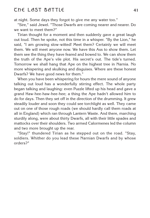at night. Some days they forgot to give me any water too."

"Sire," said Jewel. "Those Dwarfs are coming nearer and nearer. Do we want to meet them?"

Tirian thought for a moment and then suddenly gave a great laugh out loud. Then he spoke, not this time in a whisper. "By the Lion," he said, "I am growing slow-witted! Meet them? Certainly we will meet them. We will meet anyone now. We have this Ass to show them. Let them see the thing they have feared and bowed to. We can show them the truth of the Ape's vile plot. His secret's out. The tide's turned. Tomorrow we shall hang that Ape on the highest tree in Narnia. No more whispering and skulking and disguises. Where are these honest Dwarfs? We have good news for them."

When you have been whispering for hours the mere sound of anyone talking out loud has a wonderfully stirring effect. The whole party began talking and laughing: even Puzzle lifted up his head and gave a grand Haw-hee-haw-hee-hee; a thing the Ape hadn't allowed him to do for days. Then they set off in the direction of the drumming. It grew steadily louder and soon they could see torchlight as well. They came out on one of those rough roads (we should hardly call them roads at all in England) which ran through Lantern Waste. And there, marching sturdily along, were about thirty Dwarfs, all with their little spades and mattocks over their shoulders. Two armed Calormenes led the column and two more brought up the rear.

"Stay!" thundered Tirian as he stepped out on the road. "Stay, soldiers. Whither do you lead these Narnian Dwarfs and by whose orders?"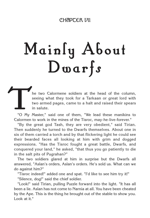# CHADTER VII

# Mainly About Dwarfs

he two Calormene soldiers at the head of the column, seeing what they took for a Tarkaan or great lord with two armed pages, came to a halt and raised their spears in salute.

"O My Master," said one of them, "We lead these manikins to Calormen to work in the mines of the Tisroc, may-he-live-forever."

"By the great god Tash, they are very obedient," said Tirian. Then suddenly he turned to the Dwarfs themselves. About one in six of them carried a torch and by that flickering light he could see their bearded faces all looking at him with grim and dogged expressions. "Has the Tisroc fought a great battle, Dwarfs, and conquered your land," he asked, "that thus you go patiently to die in the salt pits of Pugrahan?"

The two soldiers glared at him in surprise but the Dwarfs all answered, "Aslan's orders, Aslan's orders. He's sold us. What can we do against him?"

"Tisroc indeed!" added one and spat. "I'd like to see him try it!"

"Silence, dog!" said the chief soldier.

"Look!" said Tirian, pulling Puzzle forward into the light. "It has all been a lie. Aslan has not come to Narnia at all. You have been cheated by the Ape. This is the thing he brought out of the stable to show you. Look at it."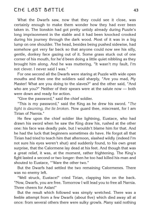What the Dwarfs saw, now that they could see it close, was certainly enough to make them wonder how they had ever been taken in. The lionskin had got pretty untidy already during Puzzle's long imprisonment in the stable and it had been knocked crooked during his journey through the dark wood. Most of it was in a big lump on one shoulder. The head, besides being pushed sidewise, had somehow got very far back so that anyone could now see his silly, gentle, donkey face gazing out of it. Some grass stuck out of one corner of his mouth, for he'd been doing a little quiet nibbling as they brought him along. And he was muttering, "It wasn't my fault, I'm not clever. I never said I was."

For one second all the Dwarfs were staring at Puzzle with wide open mouths and then one the soldiers said sharply, "Are you mad, My Master! What are you doing to the slaves?" and the other said, "And who are you?" Neither of their spears were at the salute now — both were down and ready for action.

"Give the password," said the chief soldier.

"This is my password," said the King as he drew his sword. "*The light is dawning, the lie broken*. Now guard thee, miscreant, for I am Tirian of Narnia."

He flew upon the chief soldier like lightning, Eustace, who had drawn his sword when he saw the King draw his, rushed at the other one: his face was deadly pale, but I wouldn't blame him for that. And he had the luck that beginners sometimes do have. He forgot all that Tirian had tried to teach him that afternoon, slashed wildly (indeed I'm not sure his eyes weren't shut) and suddenly found, to his own great surprise, that the Calormene lay dead at his feet. And though that was a great relief, it was, at the moment, rather frightening. The King's fight lasted a second or two longer: then he too had killed his man and shouted to Eustace, "'Ware the other two."

But the Dwarfs had settled the two remaining Calormenes. There was no enemy left.

"Well struck, Eustace!" cried Tirian, clapping him on the back. "Now, Dwarfs, you are free. Tomorrow I will lead you to free all Narnia. Three cheers for Aslan!"

But the result which followed was simply wretched. There was a feeble attempt from a few Dwarfs (about five) which died away all at once: from several others there were sulky growls. Many said nothing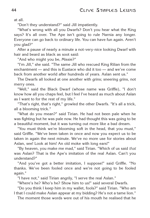at all.

"Don't they understand?" said Jill impatiently.

"What's wrong with all you Dwarfs? Don't you hear what the King says? It's all over. The Ape isn't going to rule Narnia any longer. Everyone can go back to ordinary life. You can have fun again. Aren't you glad?"

After a pause of nearly a minute a not-very-nice looking Dwarf with hair and beard as black as soot said:

"And who might you be, Missie?"

"I'm Jill," she said. "The same Jill who rescued King Rilian from the enchantment — and this is Eustace who did it too — and we've come back from another world after hundreds of years. Aslan sent us."

The Dwarfs all looked at one another with grins; sneering grins, not merry ones.

"Well," said the Black Dwarf (whose name was Griffle), "I don't know how all you chaps feel, but I feel I've heard as much about Aslan as I want to for the rest of my life."

"That's right, that's right," growled the other Dwarfs. "It's all a trick, all a blooming trick."

"What do you mean?" said Tirian. He had not been pale when he was fighting but he was pale now. He had thought this was going to be a beautiful moment, but it was turning out more like a bad dream.

"You must think we're blooming soft in the head, that you must," said Griffle. "We've been taken in once and now you expect us to be taken in again the next minute. We've no more use for stories about Aslan, see! Look at him! An old moke with long ears!"

"By heaven, you make me mad," said Tirian. "Which of us said *that* was Aslan? That is the Ape's imitation of the real Aslan. Can't you understand?"

"And you've got a better imitation, I suppose!" said Griffle. "No thanks. We've been fooled once and we're not going to be fooled again."

"I have not," said Tirian angrily, "I serve the real Aslan."

"Where's he? Who's he? Show him to us!" said several Dwarfs.

"Do you think I keep him in my wallet, fools?" said Tirian. "Who am I that I could make Aslan appear at my bidding? He's not a tame lion."

The moment those words were out of his mouth he realised that he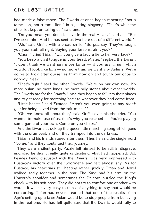had made a false move. The Dwarfs at once began repeating "not a tame lion, not a tame lion," in a jeering singsong. "That's what the other lot kept on telling us," said one.

"Do you mean you don't believe in the real Aslan?" said Jill. "But I've seen him. And he has sent us two here out of a different world."

"Ah," said Griffle with a broad smile. "So *you* say. They've taught you your stuff all right. Saying your lessons, ain't you?"

"Churl," cried Tirian, "will you give a lady a lie to her very face?"

"You keep a civil tongue in your head, Mister," replied the Dwarf. "I don't think we want any more kings — if you *are* Tirian, which you don't look like him — no more than we want any Aslans. We're going to look after ourselves from now on and touch our caps to nobody. See?"

"That's right," said the other Dwarfs. "We're on our own now. No more Aslan, no more kings, no more silly stories about other worlds. The Dwarfs are for the Dwarfs." And they began to fall into their places and to get ready for marching back to wherever they had come from.

"Little beasts!" said Eustace. "Aren't you even going to say *thank you* for being saved from the salt-mines?"

"Oh, we know all about that," said Griffle over his shoulder. "You wanted to make use of us, that's why you rescued us. You're playing some game of your own. Come on you chaps."

And the Dwarfs struck up the queer little marching song which goes with the drumbeat, and off they tramped into the darkness.

Tirian and his friends stared after them. Then he said the single word "Come," and they continued their journey.

They were a silent party. Puzzle felt himself to be still in disgrace, and also he didn't really quite understand what had happened. Jill, besides being disgusted with the Dwarfs, was very impressed with Eustace's victory over the Calormene and felt almost shy. As for Eustace, his heart was still beating rather quickly. Tirian and Jewel walked sadly together in the rear. The King had his arm on the Unicorn's shoulder and sometimes the Unicorn nuzzled the King's cheek with his soft nose. They did not try to comfort one another with words. It wasn't very easy to think of anything to say that would be comforting. Tirian had never dreamed that one of the results of an Ape's setting up a false Aslan would be to stop people from believing in the real one. He had felt quite sure that the Dwarfs would rally to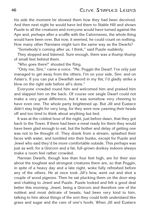his side the moment he showed them how they had been deceived. And then next night he would have led them to Stable Hill and shown Puzzle to all the creatures and everyone would have turned against the Ape and, perhaps after a scuffle with the Calormenes, the whole thing would have been over. But now, it seemed, he could count on nothing. How many other Narnians might turn the same way as the Dwarfs?

"Somebody's coming after us, I think," said Puzzle suddenly.

They stopped and listened. Sure enough, there was a thump-thump of small feet behind them.

"Who goes there!" shouted the King.

"Only me, Sire," came a voice. "Me, Poggin the Dwarf. I've only just managed to get away from the others. I'm on your side, Sire: and on Aslan's. If you can put a Dwarfish sword in my fist, I'd gladly strike a blow on the right side before all's done."

Everyone crowded round him and welcomed him and praised him and slapped him on the back. Of course one single Dwarf could not make a very great difference, but it was somehow very cheering to have even one. The whole party brightened up. But Jill and Eustace didn't stay bright for very long, for they were now yawning their heads off and too tired to think about anything but bed.

It was at the coldest hour of the night, just before dawn, that they got back to the Tower. If there had been a meal ready for them they would have been glad enough to eat, but the bother and delay of getting one was not to be thought of. They drank from a stream, splashed their faces with water, and tumbled into their bunks, except for Puzzle and Jewel who said they'd be more comfortable outside. This perhaps was just as well, for a Unicorn and a fat, full-grown donkey indoors always make a room feel rather crowded.

Narnian Dwarfs, though less than four feet high, are for their size about the toughest and strongest creatures there are, so that Poggin, in spite of a heavy day and a late night, woke fully refreshed before any of the others. He at once took Jill's bow, went out and shot a couple of wood pigeons. Then he sat plucking them on the door-step and chatting to Jewel and Puzzle. Puzzle looked and felt a good deal better this morning. Jewel, being a Unicorn and therefore one of the noblest and most delicate of beasts, had been very kind to him, talking to him about things of the sort they could both understand like grass and sugar and the care of one's hoofs. When Jill and Eustace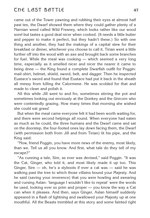came out of the Tower yawning and rubbing their eyes at almost half past ten, the Dwarf showed them where they could gather plenty of a Narnian weed called Wild Fresney, which looks rather like our wood sorel but tastes a good deal nicer when cooked. (It needs a little butter and pepper to make it perfect, but they hadn't these.) So with one thing and another, they had the makings of a capital stew for their breakfast or dinner, whichever you choose to call it. Tirian went a little further off into the wood with an axe and brought back some branches for fuel. While the meal was cooking — which seemed a very long time, especially as it smelled nicer and nicer the nearer it came to being done — the King found a complete Dwarfish outfit for Poggin: mail-shirt, helmet, shield, sword, belt, and dagger. Then he inspected Eustace's sword and found that Eustace had put it back in the sheath all messy from killing the Calormene. He was scolded for that and made to clean and polish it.

All this while Jill went to and fro, sometimes stirring the pot and sometimes looking out enviously at the Donkey and the Unicorn who were contentedly grazing. How many times that morning she wished she could eat grass!

But when the meal came everyone felt it had been worth waiting for, and there were second helpings all round. When everyone had eaten as much as he could, the three humans and the Dwarf came and sat on the doorstep, the four-footed ones lay down facing them, the Dwarf (with permission both from Jill and from Tirian) lit his pipe, and the King said:

"Now, friend Poggin, you have more news of the enemy, most likely, than we. Tell us all you know. And first, what tale do they tell of my escape?"

"As cunning a tale, Sire, as ever was devised," said Poggin. "It was the Cat, Ginger, who told it, and most likely made it up too. This Ginger, Sire — oh, he's a slyboots if ever a cat was — said he was walking past the tree to which those villains bound your Majesty. And he said (saving your reverence) that you were howling and swearing and cursing Aslan: 'language I wouldn't like to repeat' were the words he used, looking ever so prim and proper — you know the way a Cat can when it pleases. And then, says Ginger, Aslan himself suddenly appeared in a flash of lightning and swallowed your Majesty up at one mouthful. All the Beasts trembled at this story and some fainted right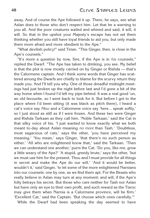away. And of course the Ape followed it up. There, he says, see what Aslan does to those who don't respect him. Let that be a warning to you all. And the poor creatures wailed and whined and said, it will, it will. So that in the upshot your Majesty's escape has not set them thinking whether you still have loyal friends to aid you, but only made them more afraid and more obedient to the Ape."

"What devilish policy!" said Tirian. "This Ginger, then, is close in the Ape's counsels."

"It's more a question by now, Sire, if the Ape is in *his* counsels," replied the Dwarf. "The Ape has taken to drinking, you see. My belief is that the plot is now mostly carried on by Ginger or Rishda — that's the Calormene captain. And I think some words that Ginger has scattered among the Dwarfs are chiefly to blame for the scurvy return they made you. And I'll tell you why. One of those dreadful midnight meetings had just broken up the night before last and I'd gone a bit of the way home when I found I'd left my pipe behind. It was a real good 'un, an old favourite, so I went back to look for it. But before I got to the place where I'd been sitting (it was black as pitch there), I heard a cat's voice say *Mew* and a Calormene voice say 'here... speak softly,' so I just stood as still as if I were frozen. And these two were Ginger and Rishda Tarkaan as they call him. 'Noble Tarkaan,' said the Cat in that silky voice of his. 'I just wanted to know exactly what we both meant to-day about Aslan meaning *no more* than Tash.' 'Doubtless, most sagacious of cats,' says the other, 'you have perceived my meaning.' 'You mean,' says Ginger, 'that there's no such person as either.' 'All who are enlightened know that,' said the Tarkaan. 'Then we can understand one another,' purrs the Cat. 'Do you, like me, grow a little weary of the Ape?' 'A stupid, greedy brute,' says the other, 'but we must use him for the present. Thou and I must provide for all things in secret and make the Ape do our will.' 'And it would be better, wouldn't it,' said Ginger, 'to let some of the more enlightened Narnians into our counsels: one by one, as we find them apt. For the Beasts who really believe in Aslan may turn at any moment: and will, if the Ape's folly betrays his secret. But those who care neither for Tash nor Aslan but have only an eye to their own profit, and such reward as the Tisroc may give them when Narnia is a Calormene province, will be firm.' 'Excellent Cat,' said the Captain. 'But choose which ones carefully.'"

While the Dwarf had been speaking the day seemed to have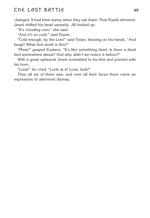changed. It had been sunny when they sat down. Now Puzzle shivered. Jewel shifted his head uneasily. Jill looked up.

"It's clouding over," she said.

"And it's so cold," said Puzzle.

"Cold enough, by the Lion!" said Tirian, blowing on his hands. "And faugh! What foul smell is this?"

"Phew!" gasped Eustace. "It's like something dead. Is there a dead bird somewhere about? And why didn't we notice it before?"

With a great upheaval Jewel scrambled to his feet and pointed with his horn.

"Look!" he cried. "Look at it! Look, look!"

Then all six of them saw; and over all their faces there came an expression of uttermost dismay.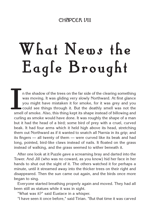# CHADTER VIII

# What News the Eagle Brought

I n the shadow of the trees on the far side of the clearing something was moving. It was gliding very slowly Northward. At first glance you might have mistaken it for smoke, for it was grey and you could see things through it. But the deathly smell was not the smell of smoke. Also, this thing kept its shape instead of billowing and curling as smoke would have done. It was roughly the shape of a man but it had the head of a bird; some bird of prey with a cruel, curved beak. It had four arms which it held high above its head, stretching them out Northward as if it wanted to snatch all Narnia in its grip; and its fingers — all twenty of them — were curved like its beak and had long, pointed, bird-like claws instead of nails. It floated on the grass instead of walking, and the grass seemed to wither beneath it.

After one look at it Puzzle gave a screaming bray and darted into the Tower. And Jill (who was no coward, as you know) hid her face in her hands to shut out the sight of it. The others watched it for perhaps a minute, until it streamed away into the thicker trees on their right and disappeared. Then the sun came out again, and the birds once more began to sing.

Everyone started breathing properly again and moved. They had all been still as statues while it was in sight.

"What was it?" said Eustace in a whisper.

"I have seen it once before," said Tirian. "But that time it was carved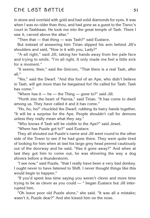in stone and overlaid with gold and had solid diamonds for eyes. It was when I was no older than thou, and had gone as a guest to the Tisroc's court in Tashbaan. He took me into the great temple of Tash. There I saw it, carved above the altar."

"Then that  $-$  that thing  $-$  was Tash?" said Eustace.

But instead of answering him Tirian slipped his arm behind Jill's shoulders and said, "How is it with you, Lady?"

"A-all right," said Jill, taking her hands away from her pale face and trying to smile. "I'm all right. It only made me feel a little sick for a moment."

"It seems, then," said the Unicorn, "That there is a real Tash, after all."

"Yes," said the Dwarf. "And this fool of an Ape, who didn't believe in Tash, will get more than he bargained for! He called for Tash: Tash has come."

"Where has it  $-$  he  $-$  the Thing  $-$  gone to?" said Jill.

"North into the heart of Narnia," said Tirian. "It has come to dwell among us. They have called it and it has come."

"Ho, ho, ho!" chuckled the Dwarf, rubbing its hairy hands together. "It will be a surprise for the Ape. People shouldn't call for demons unless they really mean what they say."

"Who knows if Tash will be visible to the Ape?" said Jewel.

"Where has Puzzle got to?" said Eustace.

They all shouted out Puzzle's name and Jill went round to the other side of the Tower to see if he had gone there. They were quite tired of looking for him when at last his large grey head peered cautiously out of the doorway and he said, "Has it gone away?" And when at last they got him to come out, he was shivering the way a dog shivers before a thunderstorm.

"I see now," said Puzzle, "that I really have been a very bad donkey. I ought never to have listened to Shift. I never thought things like this would begin to happen."

"If you'd spent less time saying you weren't clever and more time trying to be as clever as you could — " began Eustace but Jill interrupted him.

"Oh leave poor old Puzzle alone," she said. "It was all a mistake; wasn't it, Puzzle dear?" And she kissed him on the nose.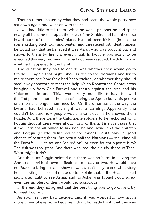Though rather shaken by what they had seen, the whole party now sat down again and went on with their talk.

Jewel had little to tell them. While he was a prisoner he had spent nearly all his time tied up at the back of the Stable, and had of course heard none of the enemies' plans. He had been kicked (he'd done some kicking back too) and beaten and threatened with death unless he would say that he believed it was Aslan who was brought out and shown to them by firelight every night. In fact he was going to be executed this very morning if he had not been rescued. He didn't know what had happened to the Lamb.

The question they had to decide was whether they would go to Stable Hill again that night, show Puzzle to the Narnians and try to make them see how they had been tricked, or whether they should steal away eastward to meet the help which Roonwit the Centaur was bringing up from Cair Paravel and return against the Ape and his Calormenes in force. Tirian would very much like to have followed the first plan: he hated the idea of leaving the Ape to bully his people one moment longer than need be. On the other hand, the way the Dwarfs had behaved last night was a warning. Apparently one couldn't be sure how people would take it even if he showed them Puzzle. And there were the Calormene soldiers to be reckoned with. Poggin thought there were about thirty of them. Tirian felt sure that if the Narnians all rallied to his side, he and Jewel and the children and Poggin (Puzzle didn't count for much) would have a good chance of beating them. But how if half the Narnians — including all the Dwarfs — just sat and looked on? or even fought against him? The risk was too great. And there was, too, the cloudy shape of Tash. What might it do?

And then, as Poggin pointed out, there was no harm in leaving the Ape to deal with his own difficulties for a day or two. He would have no Puzzle to bring out and show now. It wasn't easy to see what story he — or Ginger — could make up to explain that. If the Beasts asked night after night to see Aslan, and no Aslan was brought out, surely even the simplest of them would get suspicious.

In the end they all agreed that the best thing was to go off and try to meet Roonwit.

As soon as they had decided this, it was wonderful how much more cheerful everyone became. I don't honestly think that this was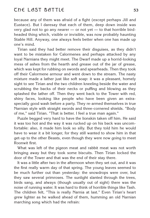because any of them was afraid of a fight (except perhaps Jill and Eustace). But I daresay that each of them, deep down inside was very glad not to go any nearer — or not yet — to that horrible birdheaded thing which, visible or invisible, was now probably haunting Stable Hill. Anyway, one always feels better when one has made up one's mind.

Tirian said they had better remove their disguises, as they didn't want to be mistaken for Calormenes and perhaps attacked by any loyal Narnians they might meet. The Dwarf made up a horrid-looking mess of ashes from the hearth and grease out of the jar of grease, which was kept for rubbing on swords and spearheads. Then they took off their Calormene armour and went down to the stream. The nasty mixture made a lather just like soft soap: it was a pleasant, homely sight to see Tirian and the two children kneeling beside the water and scrubbing the backs of their necks or puffing and blowing as they splashed the lather off. Then they went back to the Tower with red, shiny faces, looking like people who have been given an extraspecially good wash before a party. They re-armed themselves in true Narnian style with straight swords and three-cornered shields. "Body of me," said Tirian. "That is better. I feel a true man again."

Puzzle begged very hard to have the lionskin taken off him. He said it was too hot and the way it was rucked up on his back was uncomfortable: also, it made him look so silly. But they told him he would have to wear it a bit longer, for they still wanted to show him in that get-up to the other Beasts, even though they were now going to meet Roonwit first.

What was left of the pigeon meat and rabbit meat was not worth bringing away but they took some biscuits. Then Tirian locked the door of the Tower and that was the end of their stay there.

It was a little after two in the afternoon when they set out, and it was the first really warm day of that spring. The young leaves seemed to be much further out than yesterday: the snowdrops were over, but they saw several primroses. The sunlight slanted through the trees, birds sang, and always (though usually out of sight) there was the noise of running water. It was hard to think of horrible things like Tash. The children felt, "This is really Narnia at last." Even Tirian's heart grew lighter as he walked ahead of them, humming an old Narnian marching song which had the refrain: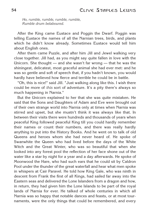*Ho, rumble, rumble, rumble, rumble, Rumble drum belaboured.*

After the King came Eustace and Poggin the Dwarf. Poggin was telling Eustace the names of all the Narnian trees, birds, and plants which he didn't know already. Sometimes Eustace would tell him about English ones.

After them came Puzzle, and after him Jill and Jewel walking very close together. Jill had, as you might say quite fallen in love with the Unicorn. She thought — and she wasn't far wrong — that he was the shiningest, delicatest, most graceful animal she had ever met: and he was so gentle and soft of speech that, if you hadn't known, you would hardly have believed how fierce and terrible he could be in battle.

"Oh, this is nice!" said Jill. "Just walking along like this. I wish there could be more of *this* sort of adventure. It's a pity there's always so much happening in Narnia."

But the Unicorn explained to her that she was quite mistaken. He said that the Sons and Daughters of Adam and Eve were brought out of their own strange world into Narnia only at times when Narnia was stirred and upset, but she mustn't think it was always like that. In between their visits there were hundreds and thousands of years when peaceful King followed peaceful King till you could hardly remember their names or count their numbers, and there was really hardly anything to put into the History Books. And he went on to talk of old Queens and heroes whom she had never heard of. He spoke of Swanwhite the Queen who had lived before the days of the White Witch and the Great Winter, who was so beautiful that when she looked into any forest pool the reflection of her face shone out of the water like a star by night for a year and a day afterwards. He spoke of Moonwood the Hare, who had such ears that he could sit by Caldron Pool under the thunder of the great waterfall and hear what men spoke in whispers at Cair Paravel. He told how King Gale, who was ninth in descent from Frank the first of all Kings, had sailed far away into the Eastern seas and delivered the Lone Islanders from a dragon and how, in return, they had given him the Lone Islands to be part of the royal lands of Narnia for ever. He talked of whole centuries in which all Narnia was so happy that notable dances and feasts, or at most tournaments, were the only things that could be remembered, and every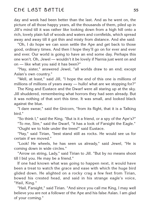day and week had been better than the last. And as he went on, the picture of all those happy years, all the thousands of them, piled up in Jill's mind till it was rather like looking down from a high hill onto a rich, lovely plain full of woods and waters and cornfields, which spread away and away till it got thin and misty from distance. And she said:

"Oh, I do hope we can soon settle the Ape and get back to those good, ordinary times. And then I hope they'll go on for ever and ever and ever. Our world is going to have an end some day. Perhaps this one won't. Oh, Jewel — wouldn't it be lovely if Narnia just went on and on — like what you said it has been?"

"Nay, sister," answered Jewel, "all worlds draw to an end; except Aslan's own country."

"Well, at least," said Jill, "I hope the end of this one is millions of millions of millions of years away — hullo! what are we stopping for?"

The King and Eustace and the Dwarf were all staring up at the sky. Jill shuddered, remembering what horrors they had seen already. But it was nothing of that sort this time. It was small, and looked black against the blue.

"I dare swear," said the Unicorn, "from its flight, that it is a Talking bird."

"So think I," said the King. "But is it a friend, or a spy of the Ape's?" "To me, Sire," said the Dwarf, "it has a look of Farsight the Eagle."

"Ought we to hide under the trees!" said Eustace.

"Nay," said Tirian, "best stand still as rocks. He would see us for certain if we moved."

"Look! He wheels, he has seen us already," said Jewel, "He is coming down in wide circles."

"Arrow on string, Lady," said Tirian to Jill. "But by no means shoot till I bid you. He may be a friend."

If one had known what was going to happen next, it would have been a treat to watch the grace and ease with which the huge bird glided down. He alighted on a rocky crag a few feet from Tirian, bowed his crested head, and said in his strange eagle's voice, "Hail, King."

"Hail, Farsight," said Tirian. "And since you call me King, I may well believe you are not a follower of the Ape and his false Aslan. I am glad of your coming."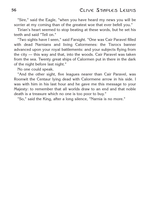"Sire," said the Eagle, "when you have heard my news you will be sorrier at my coming than of the greatest woe that ever befell you."

Tirian's heart seemed to stop beating at these words, but he set his teeth and said "Tell on."

"Two sights have I seen," said Farsight. "One was Cair Paravel filled with dead Narnians and living Calormenes: the Tisrocs banner advanced upon your royal battlements: and your subjects flying from the city — this way and that, into the woods. Cair Paravel was taken from the sea. Twenty great ships of Calormen put in there in the dark of the night before last night."

No one could speak.

"And the other sight, five leagues nearer than Cair Paravel, was Roonwit the Centaur lying dead with Calormene arrow in his side. I was with him in his last hour and he gave me this message to your Majesty: to remember that all worlds draw to an end and that noble death is a treasure which no one is too poor to buy."

"So," said the King, after a long silence, "Narnia is no more."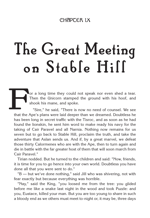# CHAPTER IX

# The Great Meeting on Stable Hill

For a long time they could not speak nor even shed a tear.<br>Then the Unicorn stamped the ground with his hoof, and shook his mane, and spoke.<br>"Sire," he said, "There is now no need of counsel. We see that the Ape's plans we Then the Unicorn stamped the ground with his hoof, and shook his mane, and spoke.

"Sire," he said, "There is now no need of counsel. We see that the Ape's plans were laid deeper than we dreamed. Doubtless he has been long in secret traffic with the Tisroc, and as soon as he had found the lionskin, he sent him word to make ready his navy for the taking of Cair Paravel and all Narnia. Nothing now remains for us seven but to go back to Stable Hill, proclaim the truth, and take the adventure that Aslan sends us. And if, by a great marvel, we defeat those thirty Calormenes who are with the Ape, then to turn again and die in battle with the far greater host of them that will soon march from Cair Paravel."

Tirian nodded. But he turned to the children and said: "Now, friends, it is time for you to go hence into your own world. Doubtless you have done all that you were sent to do."

"B — but we've done nothing," said Jill who was shivering, not with fear exactly but because everything was horrible.

"Nay," said the King, "you loosed me from the tree: you glided before me like a snake last night in the wood and took Puzzle: and you, Eustace, killed your man. But you are too young to share in such a bloody end as we others must meet to-night or, it may be, three days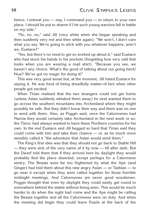hence. I entreat you — nay, I command you — to return to your own place. I should be put to shame if I let such young warriors fall in battle on my side."

"No, no, no," said Jill (very white when she began speaking and then suddenly very red and then white again). "We won't, I don't care what you say. We're going to stick with you whatever happens, aren't we, Eustace?"

"Yes, but there's no need to get so worked up about it," said Eustace who had stuck his hands in his pockets (forgetting how very odd that looks when you are wearing a mail shirt). "Because you see, we haven't any choice. What's the good of talking about our going back! How? We've got no magic for doing it!"

This was very good sense but, at the moment, Jill hated Eustace for saying it. He was fond of being dreadfully matter-of-fact when other people got excited.

When Tirian realised that the two strangers could not get home (unless Aslan suddenly whisked them away) he next wanted them to go across the southern mountains into Archenland where they might possibly be safe. But they didn't know their way and there was no one to send with them. Also, as Poggin said, once the Calormenes had Narnia they would certainly take Archenland in the next week or so: the Tisroc had always wanted to have these Northern countries for his own. In the end Eustace and Jill begged so hard that Tirian said they could come with him and take their chance — or, as he much more sensibly called it "the adventure that Aslan would send them."

The King's first idea was that they should not go back to Stable Hill — they were sick of the very name of it by now — till after dark. But the Dwarf told them that if they arrived here by daylight they would probably find the place deserted, except perhaps for a Calormene sentry. The Beasts were far too frightened by what the Ape (and Ginger) had told them about this new angry Aslan — or Tashlan — to go near it except when they were called together for those horrible midnight meetings. And Calormenes are never good woodsmen. Poggin thought that even by daylight they could easily get round to somewhere behind the stable without being seen. This would be much harder to do when the night had come and the Ape might be calling the Beasts together and all the Calormenes were on duty. And when the meeting did begin they could leave Puzzle at the back of the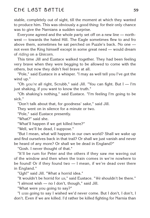stable, completely out of sight, till the moment at which they wanted to produce him. This was obviously a good thing: for their only chance was to give the Narnians a sudden surprise.

Everyone agreed and the whole party set off on a new line — northwest — towards the hated Hill. The Eagle sometimes flew to and fro above them, sometimes he sat perched on Puzzle's back. No one not even the King himself except in some great need — would dream of *riding* on a Unicorn.

This time Jill and Eustace walked together. They had been feeling very brave when they were begging to be allowed to come with the others, but now they didn't feel brave at all.

"Pole," said Eustace in a whisper. "I may as well tell you I've got the wind up."

"Oh *you're* all right, Scrubb," said Jill. "You can fight. But I — I'm just shaking, if you want to know the truth."

"Oh shaking's nothing," said Eustace. "I'm feeling I'm going to be sick."

"Don't talk about that, for goodness' sake," said Jill.

They went on in silence for a minute or two.

"Pole," said Eustace presently.

"What?" said she.

"What'll happen if we get killed here?"

"Well, we'll be dead, I suppose."

"But I mean, what will happen in our own world? Shall we wake up and find ourselves back in that trail? Or shall we just vanish and never be heard of any more? Or shall we be dead in England?"

"Gosh. I never thought of that."

"It'll be rum for Peter and the others if they saw me waving out of the window and then when the train comes in we're nowhere to be found! Or if they found two — I mean, if we're dead over there in England."

"Ugh!" said Jill. "What a horrid idea."

"It wouldn't be horrid for *us*," said Eustace. "*We* shouldn't be there."

"I almost wish — no I don't, though," said Jill.

"What were you going to say?"

"I *was* going to say I wished we'd never come. But I don't, I don't, I don't. Even if we are killed. I'd rather be killed fighting for Narnia than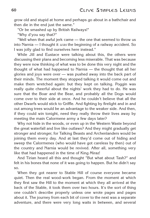grow old and stupid at home and perhaps go about in a bathchair and then die in the end just the same."

"Or be smashed up by British Railways!"

"Why d'you say that?"

"Well when that awful jerk came — the one that seemed to throw us into Narnia — I thought it *was* the beginning of a railway accident. So I was jolly glad to find ourselves here instead."

While Jill and Eustace were talking about this, the others were discussing their plans and becoming less miserable. That was because they were now thinking of what was to be done this very night and the thought of what had happened to Narnia — the thought that all her glories and joys were over — was pushed away into the back part of their minds. The moment they stopped talking it would come out and make them wretched again: but they kept on talking. Poggin was really quite cheerful about the nights' work they had to do. He was sure that the Boar and the Bear, and probably all the Dogs would come over to their side at once. And he couldn't believe that all the other Dwarfs would stick to Griffle. And fighting by firelight and in and out among trees would be an advantage to the weaker side. And then, if they could win tonight, need they really throw their lives away by meeting the main Calormene army a few days later?

Why not hide in the woods, or even up in the Western Waste beyond the great waterfall and live like outlaws? And they might gradually get stronger and stronger, for Talking Beasts and Archenlanders would be joining them every day. And at last they'd come out of hiding and sweep the Calormenes (who would have got careless by then) out of the country and Narnia would be revived. After all, something very like that had happened in the time of King Miraz!

And Tirian heard all this and thought "But what about Tash?" and felt in his bones that none of it was going to happen. But he didn't say so.

When they got nearer to Stable Hill of course everyone became quiet. Then the real wood-work began. From the moment at which they first saw the Hill to the moment at which they all arrived at the back of the Stable, it took them over two hours. It's the sort of thing one couldn't describe properly unless one wrote pages and pages about it. The journey from each bit of cover to the next was a separate adventure, and there were very long waits in between, and several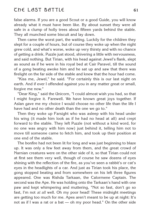false alarms. If you are a good Scout or a good Guide, you will know already what it must have been like. By about sunset they were all safe in a clump of holly trees about fifteen yards behind the stable. They all munched some biscuit and lay down.

Then came the worst part, the waiting. Luckily for the children they slept for a couple of hours, but of course they woke up when the night grew cold, and what's worse, woke up very thirsty and with no chance of getting a drink. Puzzle just stood, shivering a little with nervousness, and said nothing. But Tirian, with his head against Jewel's flank, slept as sound as if he were in his royal bed at Cair Paravel, till the sound of a gong beating awoke him and he sat up and saw that there was firelight on the far side of the stable and knew that the hour had come.

"Kiss me, Jewel," he said. "For certainly this is our last night on earth. And if ever I offended against you in any matter great or small, forgive me now."

"Dear King," said the Unicorn, "I could almost wish you had, so that I might forgive it. Farewell. We have known great joys together. If Aslan gave me my choice I would choose no other life than the life I have had and no other death than the one we go to."

Then they woke up Farsight who was asleep with his head under his wing (it made him look as if he had no head at all) and crept forward to the stable. They left Puzzle (not without a kind word, for no one was angry with him now) just behind it, telling him not to move till someone came to fetch him, and took up their position at one end of the stable.

The bonfire had not been lit for long and was just beginning to blaze up. It was only a few feet away from them, and the great crowd of Narnian creatures were on the other side of it, so that Tirian could not at first see them very well, though of course he saw dozens of eyes shining with the reflection of the fire, as you've seen a rabbit's or cat's eyes in the headlights of a car. And just as Tirian took his place, the gong stopped beating and from somewhere on his left three figures appeared. One was Rishda Tarkaan, the Calormene Captain. The second was the Ape. He was holding onto the Tarkaan's hand with one paw and kept whimpering and muttering, "Not so fast, don't go so fast, I'm not *at all* well. Oh my poor head! These midnight meetings are getting too much for me. Apes aren't meant to be up at night: It's not as if I was a rat or a bat — oh my poor head." On the other side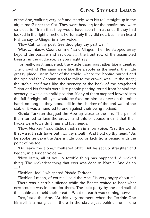of the Ape, walking very soft and stately, with his tail straight up in the air, came Ginger the Cat. They were heading for the bonfire and were so close to Tirian that they would have seen him at once if they had looked in the right direction. Fortunately they did not. But Tirian heard Rishda say to Ginger in a low voice:

"Now Cat, to thy post. See thou play thy part well."

"Miaow, miaow. Count on me!" said Ginger. Then he stepped away beyond the bonfire and sat down in the front row of the assembled Beasts: in the audience, as you might say.

For really, as it happened, the whole thing was rather like a theatre. The crowd of Narnians were like the people in the seats; the little grassy place just in front of the stable, where the bonfire burned and the Ape and the Captain stood to talk to the crowd, was like the stage; the stable itself was like the scenery at the back of the stagehand Tirian and his friends were like people peering round from behind the scenery. It was a splendid position. If any of them stepped forward into the full firelight, all eyes would be fixed on him at once: on the other hand, so long as they stood still in the shadow of the end wall of the stable, it was a hundred to one against their being noticed.

Rishda Tarkaan dragged the Ape up close to the fire. The pair of them turned to face the crowd, and this of course meant that their backs were towards Tirian and his friends.

"Now, Monkey," said Rishda Tarkaan in a low voice. "Say the words that wiser heads have put into thy mouth. And hold up thy head." As he spoke he gave the Ape a little prod or kick from behind with the point of his toe.

"Do leave me alone," muttered Shift. But he sat up straighter and began, in a louder voice —

"Now listen, all of you. A terrible thing has happened. A wicked thing. The wickedest thing that ever was done in Narnia. And Aslan  $\sim$   $\sim$  11

"Tashlan, fool," whispered Rishda Tarkaan.

"Tashlan I mean, of course," said the Ape, "is very angry about it."

There was a terrible silence while the Beasts waited to hear what new trouble was in store for them. The little party by the end-wall of the stable also held their breath. What on earth was coming now?

"Yes," said the Ape. "At this very moment, when the Terrible One himself is among us  $-$  there in the stable just behind me  $-$  one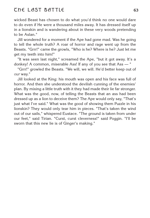wicked Beast has chosen to do what you'd think no one would dare to do even if He were a thousand miles away. It has dressed itself up in a lionskin and is wandering about in these very woods pretending to be Aslan."

Jill wondered for a moment if the Ape had gone mad. Was he going to tell the whole truth? A roar of horror and rage went up from the Beasts. "Grrr!" came the growls, "Who is he? Where is he? Just let me get my teeth into him!"

"It was seen last night," screamed the Ape, "but it got away. It's a donkey! A common, miserable Ass! If any of you see that Ass — "

"Grrr!" growled the Beasts. "We will, we will. He'd better keep out of *our* way."

Jill looked at the King: his mouth was open and his face was full of horror. And then she understood the devilish cunning of the enemies' plan. By mixing a little truth with it they had made their lie far stronger. What was the good, now, of telling the Beasts that an ass had been dressed up as a lion to deceive them? The Ape would only say, "That's just what I've said." What was the good of showing them Puzzle in his lionskin? They would only tear him in pieces. "That's taken the wind out of our sails," whispered Eustace. "The ground is taken from under our feet," said Tirian. "Curst, curst cleverness!" said Poggin. "I'll be sworn that this new lie is of Ginger's making."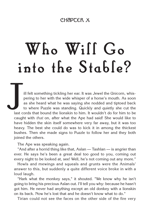# CHAPTER X

# Who Will Go into the Stable?

ill felt something tickling her ear. It was Jewel the Unicorn, whispering to her with the wide whisper of a horse's mouth. As soon as she heard what he was saying she nodded and tiptoed back to where Puzzle was standing. Quickly and quietly she cut the last cords that bound the lionskin to him. It wouldn't do for him to be caught with *that* on, after what the Ape had said! She would like to have hidden the skin itself somewhere very far away, but it was too heavy. The best she could do was to kick it in among the thickest bushes. Then she made signs to Puzzle to follow her and they both joined the others.

The Ape was speaking again.

"And after a horrid thing like that, Aslan — Tashlan — is angrier than ever. He says he's been a great deal too good to you, coming out every night to be looked at, see! Well, he's not coming out any more."

Howls and mewings and squeals and grunts were the Animals' answer to this, but suddenly a quite different voice broke in with a loud laugh.

"Hark what the monkey says," it shouted. "We know why he isn't going to bring his precious Aslan out. I'll tell you why: because he hasn't got him. He never had anything except an old donkey with a lionskin on its back. Now he's lost that and he doesn't know what to do."

Tirian could not see the faces on the other side of the fire very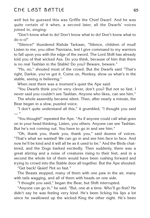well but he guessed this was Griffle the Chief Dwarf. And he was quite certain of it when, a second later, all the Dwarfs' voices joined in, singing:

"Don't know what to do! Don't know what to do! Don't know what to do-o-o!"

"Silence!" thundered Rishda Tarkaan, "Silence, children of mud! Listen to me, you other Narnians, lest I give command to my warriors to fall upon you with the edge of the sword. The Lord Shift has already told you of that wicked Ass. Do you think, because of him that there is no real Tashlan in the Stable! Do you? Beware, beware."

"No, no," shouted most of the crowd. But the Dwarfs said "That's right, Darkie, you've got it. Come on, Monkey, show us what's in the stable, seeing is believing."

When next there was a moment's quiet the Ape said:

"You Dwarfs think you're very clever, don't you? But not so fast. I never said you couldn't see Tashlan. Anyone who likes, can see him."

The whole assembly became silent. Then, after nearly a minute, the Bear began in a slow, puzzled voice.

"I don't quite understand all this," it grumbled, "I thought you said — "

"You thought!" repeated the Ape. "As if anyone could call what goes on in your head thinking. Listen, you others. Anyone can see Tashlan. But he's not coming out. You have to go in and see him."

"Oh, thank you, thank you, thank you," said dozens of voices. "That's what we wanted! We can go in and see him face to face. And now he'll be kind and it will all be as it used to be." And the Birds chattered, and the Dogs barked excitedly. Then suddenly, there was a great stirring and a noise of creatures rising to their feet, and in a second the whole lot of them would have been rushing forward and trying to crowd into the Stable door all together. But the Ape shouted:

"Get back! Quiet! Not so fast."

The Beasts stopped, many of them with one paw in the air, many with tails wagging, and all of them with heads on one side.

"I thought you said," began the Bear, but Shift interrupted.

"Anyone can go in," he said. "But, one at a time. Who'll go first? He didn't say he was feeling very kind. He's been licking his lips a lot since he swallowed up the wicked King the other night. He's been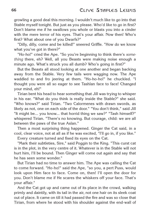growling a good deal this morning. I wouldn't much like to go into that Stable myself tonight. But just as you please. Who'd like to go in first? Don't blame me if he swallows you whole or blasts you into a cinder with the mere terror of his eyes. That's your affair. Now then! Who's first? What about one of you Dwarfs?"

"Dilly, dilly, come and be killed!" sneered Griffle. "How do we know what you've got in there?"

"Ho-ho!" cried the Ape. "So you're beginning to think there's *something* there, eh? Well, all you Beasts were making noise enough a minute ago. What's struck you all dumb? Who's going in first?"

But the Beasts all stood looking at one another and began backing away from the Stable. Very few tails were wagging now. The Ape waddled to and fro jeering at them. "Ho-ho-ho!" he chuckled. "I thought you were all so eager to see Tashlan face to face! Changed your mind, eh!"

Tirian bent his head to hear something that Jill was trying to whisper in his ear. "What do you think is really inside the Stable?" she said. "Who knows?" said Tirian. "Two Calormenes with drawn swords, as likely as not, one on each side of the door." "You don't think," said Jill "It might be... you know... that horrid thing we saw?" "Tash himself?" whispered Tirian. "There's no knowing. But courage, child: we are all between the paws of the true Aslan."

Then a most surprising thing happened. Ginger the Cat said, in a cool, clear voice, not at all as if he was excited, "I'll go in, if you like."

Every creature turned and fixed its eyes on the Cat.

"Mark their subtleties, Sire," said Poggin to the King. "This curst cat is in the plot, in the very centre of it. Whatever is in the Stable will not hurt him, I'll be bound. Then Ginger will come out again and say that he has seen some wonder."

But Tirian had no time to answer him. The Ape was calling the Cat to come forward. "Ho-ho!" said the Ape, "so you, a pert Puss, would look upon Him face to face. Come on, then! I'll open the door for you. Don't blame me if He scares the whiskers off your face. That's your affair."

And the Cat got up and came out of its place in the crowd, walking primly and daintily, with its tail in the air, not one hair on its sleek coat out of place. It came on till it had passed the fire and was so close that Tirian, from where he stood with his shoulder against the end-wall of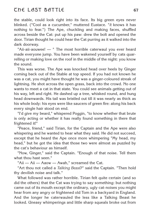the stable, could look right into its face. Its big green eyes never blinked. ("Cool as a cucumber," muttered Eustace. "*It* knows it has nothing to fear.") The Ape, chuckling and making faces, shuffled across beside the Cat: put up his paw: drew the bolt and opened the door. Tirian thought he could hear the Cat purring as it walked into the dark doorway.

"Aii-aii-aouwee! — " The most horrible caterwaul you ever heard made everyone jump. You have been wakened yourself by cats quarrelling or making love on the roof in the middle of the night: you know the sound.

This was worse. The Ape was knocked head over heels by Ginger coming back out of the Stable at top speed. If you had not known he was a cat, you might have thought he was a ginger-coloured streak of lightning. He shot across the open grass, back into the crowd. No one wants to meet a cat in that state. You could see animals getting out of his way, left and right. He dashed up a tree, whisked round, and hung head downwards. His tail was bristled out till it was nearly as thick as his whole body: his eyes were like saucers of green fire: along his back every single hair stood on end.

"I'd give my beard," whispered Poggin, "to know whether that brute is only acting or whether it has really found something in there that frightened it!"

"Peace, friend," said Tirian, for the Captain and the Ape were also whispering and he wanted to hear what they said. He did not succeed, except that he heard the Ape once more whimpering "My head, my head," but he got the idea that those two were almost as puzzled by the cat's behaviour as himself.

"Now, Ginger," said the Captain. "Enough of that noise. Tell them what thou hast seen."

"Aii — Aii — Aaow — Awah," screamed the Cat.

"Art thou not called a *Talking Beast*?" said the Captain. "Then hold thy devilish noise and talk."

What followed was rather horrible. Tirian felt quite certain (and so did the others) that the Cat was trying to say something: but nothing came out of its mouth except the ordinary, ugly cat-noises you might hear from any angry or frightened old Tom in a backyard in England. And the longer he caterwauled the less like a Talking Beast he looked. Uneasy whimperings and little sharp squeals broke out from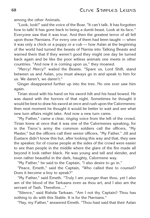among the other Animals.

"Look, look!" said the voice of the Boar. "It can't talk. It has forgotten how to talk! It has gone back to being a dumb beast. Look at its face." Everyone saw that it was true. And then the greatest terror of all fell upon those Narnians. For every one of them had been taught — when it was only a chick or a puppy or a cub — how Aslan at the beginning of the world had turned the beasts of Narnia into Talking Beasts and warned them that if they weren't good they might one day be turned back again and be like the poor witless animals one meets in other countries. "And now it is coming upon us," they moaned.

"Mercy! Mercy!" wailed the Beasts. "Spare us, Lord Shift, stand between us and Aslan, you must always go in and speak to him for us. We daren't, we daren't."

Ginger disappeared further up into the tree. No one ever saw him again.

Tirian stood with his hand on his sword-hilt and his head bowed. He was dazed with the horrors of that night. Sometimes he thought it would be best to draw his sword at once and rush upon the Calormenes: then next moment he thought it would be better to wait and see what new turn affairs might take. And now a new turn came.

"My Father," came a clear, ringing voice from the left of the crowd. Tirian knew at once that it was one of the Calormenes speaking, for in the Tisroc's army the common soldiers call the officers, "My Master," but the officers call their senior officers, "My Father." Jill and Eustace didn't know this but, after looking this way and that, they saw the speaker, for of course people at the sides of the crowd were easier to see than people in the middle where the glare of the fire made all beyond it look rather black. He was young and tall and slender, and even rather beautiful in the dark, haughty, Calormene way.

"My Father," he said to the Captain, "I also desire to go in."

"Peace, Emeth," said the Captain, "Who called thee to counsel? Does it become a boy to speak?"

"My Father," said Emeth. "Truly I am younger than thou, yet I also am of the blood of the Tarkaans even as thou art, and I also am the servant of Tash. Therefore...."

"Silence," said Rishda Tarkaan. "Am I not thy Captain? Thou has nothing to do with this Stable. It is for the Narnians."

"Nay, my Father," answered Emeth. "Thou hast said that their Aslan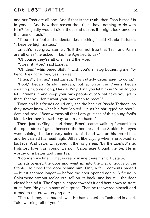and our Tash are all one. And if that is the truth, then Tash himself is in yonder. And how then sayest thou that I have nothing to do with Him? for gladly would I die a thousand deaths if I might look once on the face of Tash."

"Thou art a fool and understandest nothing," said Rishda Tarkaan. "These be high matters."

Emeth's face grew sterner. "Is it then not true that Tash and Aslan are all one?" he asked. "Has the Ape lied to us?"

"Of course they're all one," said the Ape.

"Swear it, Ape," said Emeth.

"Oh dear!" whimpered Shift, "I wish you'd all stop bothering me. My head does ache. Yes, yes, I swear it."

"Then, My Father," said Emeth, "I am utterly determined to go in."

"Fool," began Rishda Tarkaan, but at once the Dwarfs began shouting: "Come along, Darkie. Why don't you let him in? Why do you let Narnians in and keep your own people out? What have you got in there that you don't want your own men to meet?"

Tirian and his friends could only see the back of Rishda Tarkaan, so they never knew what his face looked like as he shrugged his shoulders and said, "Bear witness all that I am guiltless of this young fool's blood. Get thee in, rash boy, and make haste."

Then, just as Ginger had done, Emeth came walking forward into the open strip of grass between the bonfire and the Stable. His eyes were shining, his face very solemn, his hand was on his sword-hilt, and he carried his head high. Jill felt like crying when she looked at his face. And Jewel whispered in the King's ear, "By the Lion's Mane, I almost love this young warrior, Calormene though he be. He is worthy of a better god than Tash."

"I do wish we knew what is really inside there," said Eustace.

Emeth opened the door and went in, into the black mouth of the Stable. He closed the door behind him. Only a few moments passed — but it seemed longer — before the door opened again. A figure in Calormene armour reeled out, fell on its back, and lay still: the door closed behind it. The Captain leaped towards it and bent down to stare at its face. He gave a start of surprise. Then he recovered himself and turned to the crowd, crying out:

"The rash boy has had his will. He has looked on Tash and is dead. Take warning, all of you."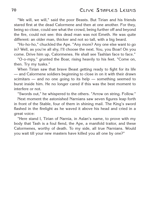"We will, we will," said the poor Beasts. But Tirian and his friends stared first at the dead Calormene and then at one another. For they, being so close, could see what the crowd, being further off and beyond the fire, could not see: this dead man was not Emeth. He was quite different: an older man, thicker and not so tall, with a big beard.

"Ho-ho-ho," chuckled the Ape. "Any more? Any one else want to go in? Well, as you're all shy, I'll choose the next. You, you Boar! On you come. Drive him up, Calormenes. He shall see Tashlan face to face."

"O-o-mpy," grunted the Boar, rising heavily to his feet. "Come on, then. Try my tusks."

When Tirian saw that brave Beast getting ready to fight for its life — and Calormene soldiers beginning to close in on it with their drawn scimitars — and no one going to its help — something seemed to burst inside him. He no longer cared if this was the best moment to interfere or not.

"Swords out," he whispered to the others. "Arrow on string. Follow."

Next moment the astonished Narnians saw seven figures leap forth in front of the Stable, four of them in shining mail. The King's sword flashed in the firelight as he waved it above his head and cried in a great voice:

"Here stand I, Tirian of Narnia, in Aslan's name, to prove with my body that Tash is a foul fiend, the Ape, a manifold traitor, and these Calormenes, worthy of death. To my side, all true Narnians. Would you wait till your new masters have killed you all one by one?"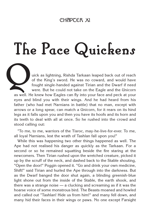### CHAPTER XI

# The Pace Quickens

uick as lightning, Rishda Tarkaan leaped back out of reach of the King's sword. He was no coward, and would have fought single-handed against Tirian and the Dwarf if need were. But he could not take on the Eagle and the Unicorn as well. He knew how Eagles can fly into your face and peck at your eyes and blind you with their wings. And he had heard from his father (who had met Narnians in battle) that no man, except with arrows or a long spear, can match a Unicorn, for it rears on its hind legs as it falls upon you and then you have its hoofs and its horn and its teeth to deal with all at once. So he rushed into the crowd and stood calling out:

"To me, to me, warriors of the Tisroc, may-he-live-for-ever. To me, all loyal Narnians, lest the wrath of Tashlan fall upon you!"

While this was happening two other things happened as well. The Ape had not realised his danger as quickly as the Tarkaan. For a second or so he remained squatting beside the fire staring at the newcomers. Then Tirian rushed upon the wretched creature, picked it up by the scruff of the neck, and dashed back to the Stable shouting, "Open the door!" Poggin opened it. "Go and drink your own medicine, Shift!" said Tirian and hurled the Ape through into the darkness. But as the Dwarf banged the door shut again, a blinding greenish-blue light shone out from the inside of the Stable, the earth shook, and there was a strange noise — a clucking and screaming as if it was the hoarse voice of some monstrous bird. The Beasts moaned and howled and called out "Tashlan! Hide us from him!" and many fell down, and many hid their faces in their wings or paws. No one except Farsight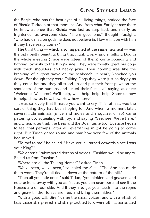the Eagle, who has the best eyes of all living things, noticed the face of Rishda Tarkaan at that moment. And from what Farsight saw there he knew at once that Rishda was just as surprised, and nearly as frightened, as everyone else. "There goes one," thought Farsight, "who had called on gods he does not believe in. How will it be with him if they have really come?"

The third thing  $-$  which also happened at the same moment  $-$  was the only really beautiful thing that night. Every single Talking Dog in the whole meeting (there were fifteen of them) came bounding and barking joyously to the King's side. They were mostly great big dogs with thick shoulders and heavy jaws. Their coming was like the breaking of a great wave on the seabeach: it nearly knocked you down. For though they were Talking Dogs they were just as doggy as they could be: and they all stood up and put their front paws on the shoulders of the humans and licked their faces, all saying at once: "Welcome! Welcome! We'll help, we'll help, help, help. Show us how to help, show us how, how. How-how-how?"

It was so lovely that it made you want to cry. This, at last, was the sort of thing they had been hoping for. And when, a moment later, several little animals (mice and moles and a squirrel or so) came pattering up, squealing with joy, and saying "See, see. We're here," and when, after that, the Bear and the Boar came too, Eustace began to feel that perhaps, after all, everything might be going to come right. But Tirian gazed round and saw how very few of the animals had moved.

"To me! to me!" he called. "Have you all turned cowards since I was your King?"

"We daren't," whimpered dozens of voices. "Tashlan would be angry. Shield us from Tashlan."

"Where are all the Talking Horses?" asked Tirian.

"We've seen, we've seen," squealed the Mice. "The Ape has made them work. They're all tied — down at the bottom of the hill."

"Then all you little ones," said Tirian, "you nibblers and gnawers and nutcrackers, away with you as fast as you can scamper and see if the Horses are on our side. And if they are, get your teeth into the ropes and gnaw till the Horses are free, and bring them hither."

"With a good will, Sire," came the small voices, and with a whisk of tails those sharp-eyed and sharp-toothed folk were off. Tirian smiled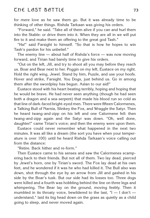for mere love as he saw them go. But it was already time to be thinking of other things. Rishda Tarkaan was giving his orders.

"Forward," he said. "Take all of them alive if you can and hurl them into the Stable: or drive them into it. When they are all in we will put fire to it and make them an offering to the great god Tash."

"Ha!" said Farsight to himself. "So that is how he hopes to win Tash's pardon for his unbelief."

The enemy line — about half of Rishda's force — was now moving forward, and Tirian had barely time to give his orders.

"Out on the left, Jill, and try to shoot all you may before they reach us. Boar and Bear next to her. Poggin on my left, Eustace on my right. Hold the right wing, Jewel. Stand by him, Puzzle, and use your hoofs. Hover and strike, Farsight. You Dogs, just behind us. Go in among them after the swordplay has begun. Aslan to our aid!"

Eustace stood with his heart beating terribly, hoping and hoping that he would be brave. He had never seen anything (though he had seen both a dragon and a sea-serpent) that made his blood run so cold as that line of dark-faced bright-eyed men. There were fifteen Calormenes, a Talking Bull of Narnia, Slinkey the Fox, and Wraggle the Satyr. Then he heard twang-and-zipp on his left and one Calormene fell: then twang-and-zipp again and the Satyr was down. "Oh, well done, daughter!" came Tirian's voice; and then the enemy were upon them.

Eustace could never remember what happened in the next two minutes. It was all like a dream (the sort you have when your temperature is over 100) until he heard Rishda Tarkaan's voice calling out from the distance:

"Retire. Back hither and re-form."

Then Eustace came to his senses and saw the Calormenes scampering back to their friends. But not all of them. Two lay dead, pierced by Jewel's horn, one by Tirian's sword. The Fox lay dead at his own feet, and he wondered if it was he who had killed it. The Bull also was down, shot through the eye by an arrow from Jill and gashed in his side by the Boar's tusk. But our side had its losses too. Three dogs were killed and a fourth was hobbling behind the line on three legs and whimpering. The Bear lay on the ground, moving feebly. Then it mumbled in its throaty voice, bewildered to the last,  $"I - I$  don't  $$ understand," laid its big head down on the grass as quietly as a child going to sleep, and never moved again.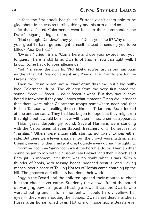In fact, the first attack had failed. Eustace didn't seem able to be glad about it: he was so terribly thirsty and his arm ached so.

As the defeated Calormenes went back to their commander, the Dwarfs began jeering at them.

"Had enough, Darkies?" they yelled. "Don't you like it? Why doesn't your great Tarkaan go and fight himself instead of sending you to be killed? Poor Darkies!"

"Dwarfs," cried Tirian. "Come here and use your swords, not your tongues. There is still time. Dwarfs of Narnia! You can fight well, I know. Come back to your allegiance."

"Yah!" sneered the Dwarfs. "Not likely. You're just as big humbugs as the other lot. We don't want any Kings. The Dwarfs are for the Dwarfs. Boo!"

Then the Drum began: not a Dwarf drum this time, but a big bull's hide Calormene drum. The children from the very first hated the sound. *Boom — boom — ba-ba-boom* it went. But they would have hated it far worse if they had known what it meant. Tirian did. It meant that there were other Calormene troops somewhere near and that Rishda Tarkaan was calling them to his aid. Tirian and Jewel looked at one another sadly. They had just begun to hope that they might win that night: but it would be all over with them if new enemies appeared.

Tirian gazed despairingly round. Several Narnians were standing with the Calormenes whether through treachery or in honest fear of "Tashlan." Others were sitting still, staring, not likely to join either side. But there were fewer animals now: the crowd was much smaller. Clearly, several of them had just crept quietly away during the fighting.

*Boom — boom — ba-ba-boom* went the horrible drum. Then another sound began to mix with it. "Listen!" said Jewel: and then "Look!" said Farsight. A moment later there was no doubt what is was. With a thunder of hoofs, with tossing heads, widened nostrils, and waving manes, over a score of Talking Horses of Narnia came charging up the hill. The gnawers and nibblers had done their work.

Poggin the Dwarf and the children opened their mouths to cheer but that cheer never came. Suddenly the air was full of the sound of twanging bow-strings and hissing arrows. It was the Dwarfs who were shooting and — for a moment Jill could hardly believe her eyes — they were shooting the Horses. Dwarfs are deadly archers. Horse after horse rolled over. Not one of those noble Beasts ever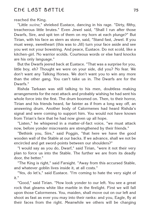reached the King.

"Little *swine*," shrieked Eustace, dancing in his rage. "Dirty, filthy, treacherous little brutes." Even Jewel said, "Shall I run after those Dwarfs, Sire, and spit ten of them on my horn at each plunge?" But Tirian, with his face as stern as stone, said, "Stand fast, Jewel. If you must weep, sweetheart (this was to Jill) turn your face aside and see you wet not your bowstring. And peace, Eustace. Do not scold, like a kitchen-girl. No warrior scolds. Courteous words or else hard knocks are his only language."

But the Dwarfs jeered back at Eustace. "That was a surprise for you, little boy, eh? Thought we were on your side, did you? No fear. We don't want any Talking Horses. We don't want you to win any more than the other gang. You can't take us in. The Dwarfs are for the Dwarfs."

Rishda Tarkaan was still talking to his men, doubtless making arrangements for the next attack and probably wishing he had sent his whole force into the first. The drum boomed on. Then, to their horror, Tirian and his friends heard, far fainter as if from a long way off, an answering drum. Another body of Calormenes had heard Rishda's signal and were coming to support him. You would not have known from Tirian's face that he had now given up all hope.

"Listen," he whispered in a matter-of-fact voice, "we must attack now, before yonder miscreants are strengthened by their friends."

"Bethink you, Sire," said Poggin, "that here we have the good wooden wall of the Stable at our backs. If we advance, shall we not be encircled and get sword-points between our shoulders?"

"I would say as you do, Dwarf," said Tirian, "were it not their very plan to force us into the Stable. The further we are from its deadly door, the better."

"The King is right," said Farsight. "Away from this accursed Stable, and whatever goblin lives inside it, at all costs."

"Yes, do let's," said Eustace. "I'm coming to hate the very sight of it."

"Good," said Tirian. "Now look yonder to our left. You see a great rock that gleams white like marble in the firelight. First we will fall upon those Calormenes. You, maiden, shall move out on our left and shoot as fast as ever you may into their ranks: and you, Eagle, fly at their faces from the right. Meanwhile we others will be charging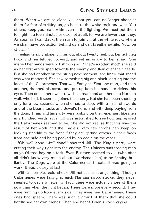them. When we are so close, Jill, that you can no longer shoot at them for fear of striking us, go back to the white rock and wait. You others, keep your ears wide even in the fighting. We must put them to flight in a few minutes or else not at all, for we are fewer than they. As soon as I call Back, then rush to join Jill at the white rock, where we shall have protection behind us and can breathe awhile. Now, be off, Jill."

Feeling terribly alone, Jill ran out about twenty feet, put her right leg back and her left leg forward, and set an arrow to her string. She wished her hands were not shaking so. "That's a rotten shot!" she said as her first arrow sped towards the enemy and flew over their heads. But she had another on the string next moment: she knew that speed was what mattered. She saw something big and black, darting into the faces of the Calormenes. That was Farsight. First one man, and then another, dropped his sword and put up both his hands to defend his eyes. Then one of her own arrows hit a man, and another hit a Narnian wolf, who had, it seemed, joined the enemy. But she had been shooting only for a few seconds when she had to stop. With a flash of swords and of the Boar's tusks and Jewel's horn, and with deep baying from the dogs, Tirian and his party were rushing on their enemies, like men in a hundred yards' race. Jill was astonished to see how unprepared the Calormenes seemed to be. She did not realise that this was the result of her work and the Eagle's. Very few troops can keep on looking steadily to the front if they are getting arrows in their faces from one side and being pecked by an eagle on the other.

"Oh well done. *Well* done!" shouted Jill. The King's party were cutting their way right into the enemy. The Unicorn was tossing men as you'd toss hay on a fork. Even Eustace seemed to Jill (who after all didn't know very much about swordsmanship) to be fighting brilliantly. The Dogs were at the Calormenes' throats. It was going to work! It was victory at last —

With a horrible, cold shock Jill noticed a strange thing. Though Calormenes were falling at each Narnian sword-stroke, they never seemed to get any fewer. In fact, there were actually more of them now than when the fight began. There were more every second. They were running up from every side. They were new Calormenes. These ones had spears. There was such a crowd of them that she could hardly see her own friends. Then she heard Tirian's voice crying: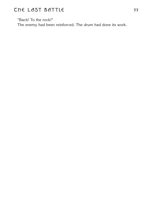"Back! To the rock!"

The enemy had been reinforced. The drum had done its work.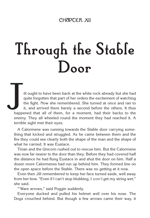### CHAPTER XII

## Through the Stable Door

ill ought to have been back at the white rock already but she had quite forgotten that part of her orders the excitement of watching the fight. Now she remembered. She turned at once and ran to it, and arrived there barely quite forgotten that part of her orders the excitement of watching the fight. Now she remembered. She turned at once and ran to it, and arrived there barely a second before the others. It thus happened that all of them, for a moment, had their backs to the enemy. They all wheeled round the moment they had reached it. A terrible sight met their eyes.

A Calormene was running towards the Stable door carrying something that kicked and struggled. As he came between them and the fire they could see clearly both the shape of the man and the shape of what he carried. It was Eustace.

Tirian and the Unicorn rushed out to rescue him. But the Calormene was now far nearer to the door than they. Before they had covered half the distance he had flung Eustace in and shut the door on him. Half a dozen more Calormenes had run up behind him. They formed line on the open space before the Stable. There was no getting at it now.

Even then Jill remembered to keep her face turned aside, well away from her bow. "Even if I can't stop blubbing, I *won't* get my string wet," she said.

"'Ware arrows," said Poggin suddenly.

Everyone ducked and pulled his helmet well over his nose. The Dogs crouched behind. But though a few arrows came their way, it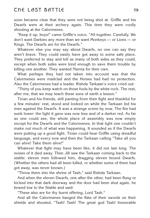soon became clear that they were not being shot at. Griffle and his Dwarfs were at their archery again. This time they were coolly shooting at the Calormenes.

"Keep it up, boys!" came Griffle's voice. "All together. Carefully. We don't want Darkies any more than we want Monkeys — or Lions — or Kings. The Dwarfs are for the Dwarfs."

Whatever else you may say about Dwarfs, no one can say they aren't brave. They could easily have got away to some safe place. They preferred to stay and kill as many of both sides as they could, except when both sides were kind enough to save them trouble by killing one another. They wanted Narnia for their own.

What perhaps they had not taken into account was that the Calormenes were mailclad and the Horses had had no protection. Also the Calormenes had a leader. Rishda Tarkaan's voice cried out:

"Thirty of you keep watch on those fools by the white rock. The rest, after me, that we may teach these sons of earth a lesson."

Tirian and his friends, still panting from their fight and thankful for a few minutes' rest, stood and looked on while the Tarkaan led his men against the Dwarfs. It was a strange scene by now. The fire had sunk lower: the light it gave was now less and of a darker red. As far as one could see, the whole place of assembly was now empty except for the Dwarfs and the Calormenes. In that light one couldn't make out much of what was happening. It sounded as if the Dwarfs were putting up a good fight. Tirian could hear Griffle using dreadful language, and every now and then the Tarkaan calling "Take all you can alive! Take them alive!"

Whatever that fight may have been like, it did not last long. The noises of it died away. Then Jill saw the Tarkaan coming back to the stable: eleven men followed him, dragging eleven bound Dwarfs. (Whether the others had all been killed, or whether some of them had got away, was never known.)

"Throw them into the shrine of Tash," said Rishda Tarkaan.

And when the eleven Dwarfs, one after the other, had been flung or kicked into that dark doorway and the door had been shut again, he bowed low to the Stable and said:

"These also are for thy burnt offering, Lord Tash."

And all the Calormenes banged the flats of their swords on their shields and shouted, "Tash! Tash! The great god Tash! Inexorable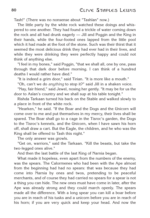Tash!" (There was no nonsense about "Tashlan" now.)

The little party by the white rock watched these doings and whispered to one another. They had found a trickle of water coming down the rock and all had drunk eagerly — Jill and Poggin and the King in their hands, while the four-footed ones lapped from the little pool which it had made at the foot of the stone. Such was their thirst that it seemed the most delicious drink they had ever had in their lives, and while they were drinking they were perfectly happy and could not think of anything else.

"I feel in my bones," said Poggin, "that we shall all, one by one, pass through that dark door before morning. I can think of a hundred deaths I would rather have died."

"It is indeed a grim door," said Tirian. "It is more like a mouth."

"Oh, can't we do *anything* to stop it?" said Jill in a shaken voice.

"Nay, fair friend," said Jewel, nosing her gently. "It may be for us the door to Aslan's country and we shall sup at his table tonight."

Rishda Tarkaan turned his back on the Stable and walked slowly to a place in front of the white rock.

"Hearken," he said. "If the Boar and the Dogs and the Unicorn will come over to me and put themselves in my mercy, their lives shall be spared. The Boar shall go to a cage in the Tisroc's garden, the Dogs to the Tisroc's kennels, and the Unicorn, when I have sawn his horn off, shall draw a cart. But the Eagle, the children, and he who was the King shall be offered to Tash this night."

The only answer was growls.

"Get on, warriors," said the Tarkaan. "Kill the beasts, but take the two-legged ones alive."

And then the last battle of the last King of Narnia began.

What made it hopeless, even apart from the numbers of the enemy, was the spears. The Calormenes who had been with the Ape almost from the beginning had had no spears: that was because they had come into Narnia by ones and twos, pretending to be peaceful merchants, and of course they had carried no spears for a spear is not a thing you can hide. The new ones must have come in later, after the Ape was already strong and they could march openly. The spears made all the difference. With a long spear you can kill a boar before you are in reach of his tusks and a unicorn before you are in reach of his horn; if you are very quick and keep your head. And now the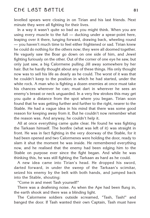levelled spears were closing in on Tirian and his last friends. Next minute they were all fighting for their lives.

In a way it wasn't quite so bad as you might think. When you are using every muscle to the full — ducking under a spear-point here, leaping over it there, lunging forward, drawing back, wheeling round — you haven't much time to feel either frightened or sad. Tirian knew he could do nothing for the others now; they were all doomed together. He vaguely saw the Boar go down on one side of him, and Jewel fighting furiously on the other. Out of the corner of one eye he saw, but only just saw, a big Calormene pulling Jill away somewhere by her hair. But he hardly thought about any of these things. His only thought now was to sell his life as dearly as he could. The worst of it was that he couldn't keep to the position in which he had started, under the white rock. A man who is fighting a dozen enemies at once must take his chances wherever he can; must dart in wherever he sees an enemy's breast or neck unguarded. In a very few strokes this may get you quite a distance from the spot where you began. Tirian soon found that he was getting further and further to the right, nearer to the Stable. He had a vague idea in his mind that there was some good reason for keeping away from it. But he couldn't now remember what the reason was. And anyway, he couldn't help it.

All at once everything came quite clear. He found he was fighting the Tarkaan himself. The bonfire (what was left of it) was straight in front. He was in fact fighting in the very doorway of the Stable, for it had been opened and two Calormenes were holding the door, ready to slam it shut the moment he was inside. He remembered everything now, and he realised that the enemy had been edging him to the Stable on purpose ever since the fight began. And while he was thinking this, he was still fighting the Tarkaan as hard as he could.

A new idea came into Tirian's head. He dropped his sword, darted forward, in under the sweep of the Tarkaan's scimitar, seized his enemy by the belt with both hands, and jumped back into the Stable, shouting:

"Come in and meet Tash yourself!"

There was a deafening noise. As when the Ape had been flung in, the earth shook and there was a blinding light.

The Calormene soldiers outside screamed, "Tash, Tash!" and banged the door. If Tash wanted their own Captain, Tash must have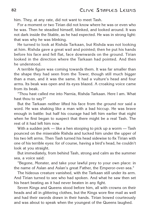him. They, at any rate, did not want to meet Tash.

For a moment or two Tirian did not know where he was or even who he was. Then he steadied himself, blinked, and looked around. It was not dark inside the Stable, as he had expected. He was in strong light: that was why he was blinking.

He turned to look at Rishda Tarkaan, but Rishda was not looking at him. Rishda gave a great wail and pointed; then he put his hands before his face and fell flat, face downwards on the ground. Tirian looked in the direction where the Tarkaan had pointed. And then he understood.

A terrible figure was coming towards them. It was far smaller than the shape they had seen from the Tower, though still much bigger than a man, and it was the same. It had a vulture's head and four arms. Its beak was open and its eyes blazed. A croaking voice came from its beak.

"Thou hast called me into Narnia, Rishda Tarkaan. Here I am. What hast thou to say?"

But the Tarkaan neither lifted his face from the ground nor said a word. He was shaking like a man with a bad hiccup. He was brave enough in battle: but half his courage had left him earlier that night when he first began to suspect that there might be a real Tash. The rest of it had left him now.

With a sudden jerk — like a hen stooping to pick up a worm — Tash pounced on the miserable Rishda and tucked him under the upper of his two left arms. Then Tash turned his head sidewise to fix Tirian with one of his terrible eyes: for of course, having a bird's head, he couldn't look at you straight.

But immediately, from behind Tash, strong and calm as the summer sea, a voice said:

"Begone, Monster, and take your lawful prey to your own place: in the name of Aslan and Aslan's great Father, the Emperor-over-sea."

The hideous creature vanished, with the Tarkaan still under its arm. And Tirian turned to see who had spoken. And what he saw then set his heart beating as it had never beaten in any fight.

Seven Kings and Queens stood before him, all with crowns on their heads and all in glittering clothes, but the Kings wore fine mail as well and had their swords drawn in their hands. Tirian bowed courteously and was about to speak when the youngest of the Queens laughed.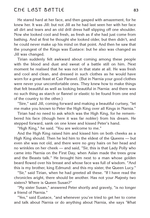He stared hard at her face, and then gasped with amazement, for he knew her. It was Jill: but not Jill as he had last seen her with her face all dirt and tears and an old drill dress half slipping off one shoulder. Now she looked cool and fresh, as fresh as if she had just come from bathing. And at first he thought she looked older, but then didn't, and he could never make up his mind on that point. And then he saw that the youngest of the Kings was Eustace: but he also was changed as Jill was changed.

Tirian suddenly felt awkward about coming among these people with the blood and dust and sweat of a battle still on him. Next moment he realised that he was not in that state at all. He was fresh and cool and clean, and dressed in such clothes as he would have worn for a great feast at Cair Paravel. (But in Narnia your good clothes were never your uncomfortable ones. They knew how to make things that felt beautiful as well as looking beautiful in Narnia: and there was no such thing as starch or flannel or elastic to be found from one end of the country to the other.)

"Sire," said Jill, coming forward and making a beautiful curtsey, "let me make you known to Peter the High King over all Kings in Narnia."

Tirian had no need to ask which was the High King, for he remembered his face (though here it was far nobler) from his dream. He stepped forward, sank on one knee and kissed Peter's hand.

"High King," he said. "You are welcome to me."

And the High King raised him and kissed him on both cheeks as a High King should. Then he led him to the eldest of the Queens — but even she was not old, and there were no grey hairs on her head and no wrinkles on her cheek — and said, "Sir, this is that Lady Polly who came into Narnia on the First Day, when Aslan made the trees grow and the Beasts talk." He brought him next to a man whose golden beard flowed over his breast and whose face was full of wisdom. "And this is my brother, king Edmund: and this my sister, the Queen Lucy."

"Sir," said Tirian, when he had greeted all these. "If I have read the chronicles aright, there should be another. Has not your Majesty two sisters? Where is Queen Susan?"

"My sister Susan," answered Peter shortly and gravely, "is no longer a friend of Narnia."

"Yes," said Eustace, "and whenever you've tried to get her to come and talk about Narnia or do anything about Narnia, she says 'What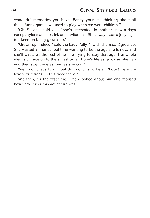wonderful memories you have! Fancy your still thinking about all those funny games we used to play when we were children.'"

"Oh Susan!" said Jill, "she's interested in nothing now-a-days except nylons and lipstick and invitations. She always was a jolly sight too keen on being grown-up."

"Grown-up, indeed," said the Lady Polly. "I wish she *would* grow up. She wasted all her school time wanting to be the age she is now, and she'll waste all the rest of her life trying to stay that age. Her whole idea is to race on to the silliest time of one's life as quick as she can and then stop there as long as she can."

"Well, don't let's talk about that now," said Peter. "Look! Here are lovely fruit trees. Let us taste them."

And then, for the first time, Tirian looked about him and realised how very queer this adventure was.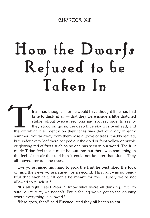### CHAPTER XIII

# How the Dwarfs Refused to be Taken In

The air which blew gently on their faces was that of a day in early the air which blew gently on their faces was that of a day in early time to think at all — that they were inside a little thatched stable, about twelve feet long and six feet wide. In reality they stood on grass, the deep blue sky was overhead, and summer. Not far away from them rose a grove of trees, thickly leaved, but under every leaf there peeped out the gold or faint yellow or purple or glowing red of fruits such as no one has seen in our world. The fruit made Tirian feel that it must be autumn: but there was something in the feel of the air that told him it could not be later than June. They all moved towards the trees.

Everyone raised his hand to pick the fruit he best liked the look of, and then everyone paused for a second. This fruit was so beautiful that each felt, "It can't be meant for me... surely we're not allowed to pluck it."

"It's all right," said Peter. "I know what we're all thinking. But I'm sure, quite sure, we needn't. I've a feeling we've got to the country where everything is allowed."

"Here goes, then!" said Eustace. And they all began to eat.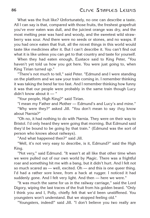What was the fruit like? Unfortunately, no one can describe a taste. All I can say is that, compared with those fruits, the freshest grapefruit you've ever eaten was dull, and the juiciest orange was dry, and the most melting pear was hard and woody, and the sweetest wild strawberry was sour. And there were no seeds or stones, and no wasps. If you had once eaten that fruit, all the nicest things in this world would taste like medicines after it. But I can't describe it. You can't find out what it is like unless you can get to that country and taste for yourself.

When they had eaten enough, Eustace said to King Peter, "You haven't yet told us how you got here. You were just going to, when King Tirian turned up."

"There's not much to tell," said Peter. "Edmund and I were standing on the platform and we saw your train coming in. I remember thinking it was taking the bend far too fast. And I remember thinking how funny it was that our people were probably in the same train though Lucy didn't know about it — "

"Your people, High King?" said Tirian.

"I mean my Father and Mother — Edmund's and Lucy's and mine."

"Why were they?" asked Jill. "You don't mean to say *they* know about Narnia?"

"Oh no, it had nothing to do with Narnia. They were on their way to Bristol. I'd only heard they were going that morning. But Edmund said they'd be bound to be going by that train." (Edmund was the sort of person who knows about railways).

"And what happened then?" said Jill.

"Well, it's not very easy to describe, is it, Edmund?" said the High King.

"Not very," said Edmund. "It wasn't at all like that other time when we were pulled out of our own world by Magic. There was a frightful roar and something hit me with a bang, but it didn't hurt. And I felt not so much scared as — well, excited. Oh — and this is one queer thing. I'd had a rather sore knee, from a hack at rugger. I noticed it had suddenly gone. And I felt very light. And then — here we were."

"It was much the same for us in the railway carriage," said the Lord Digory, wiping the last traces of the fruit from his golden beard. "Only I think you and I, Polly, chiefly felt that we'd been unstiffened. You youngsters won't understand. But we stopped feeling old."

"Youngsters, indeed!" said Jill. "I don't believe you two really are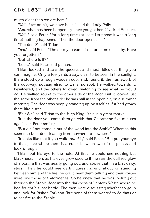much older than we are here."

"Well if we aren't, we have been," said the Lady Polly.

"And what has been happening since you got here?" asked Eustace.

"Well," said Peter, "for a long time (at least I suppose it was a long time) nothing happened. Then the door opened — "

"The door?" said Tirian.

"Yes," said Peter, "The door you came in — or came out — by. Have you forgotten?"

"But where is it?"

"Look," said Peter and pointed.

Tirian looked and saw the queerest and most ridiculous thing you can imagine. Only a few yards away, clear to be seen in the sunlight, there stood up a rough wooden door and, round it, the framework of the doorway: nothing else, no walls, no roof. He walked towards it, bewildered, and the others followed, watching to see what he would do. He walked round to the other side of the door. But it looked just the same from the other side: he was still in the open air, on a summer morning. The door was simply standing up by itself as if it had grown there like a tree.

"Fair Sir," said Tirian to the High King, "this is a great marvel."

"It is the door you came through with that Calormene five minutes ago," said Peter smiling.

"But did I not come in out of the wood into the Stable? Whereas this seems to be a door leading from nowhere to nowhere."

"It looks like that if you walk *round* it," said Peter. "But put your eye to that place where there is a crack between two of the planks and look *through*."

Tirian put his eye to the hole. At first he could see nothing but blackness. Then, as his eyes grew used to it, he saw the dull red glow of a bonfire that was nearly going out, and above that, in a black sky, stars. Then he could see dark figures moving about or standing between him and the fire: he could hear them talking and their voices were like those of Calormenes. So he knew that he was looking out through the Stable door into the darkness of Lantern Waste where he had fought his last battle. The men were discussing whether to go in and look for Rishda Tarkaan (but none of them wanted to do that) or to set fire to the Stable.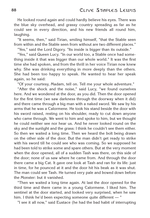He looked round again and could hardly believe his eyes. There was the blue sky overhead, and grassy country spreading as far as he could see in every direction, and his new friends all round him, laughing.

"It seems, then," said Tirian, smiling himself, "that the Stable seen from within and the Stable seen from without are two different places."

"Yes," said the Lord Digory. "Its inside is bigger than its outside."

"Yes," said Queen Lucy. "In our world too, a Stable once had something inside it that was bigger than our whole world." It was the first time she had spoken, and from the thrill in her voice Tirian now knew why. She was drinking everything in more deeply than the others. She had been too happy to speak. He wanted to hear her speak again, so he said:

"Of your courtesy, Madam, tell on. Tell me your whole adventure."

"After the shock and the noise," said Lucy, "we found ourselves here. And we wondered at the door, as you did. Then the door opened for the first time (we saw darkness through the doorway when it did) and there came through a big man with a naked sword. We saw by his arms that he was a Calormene. He took his stand beside the door with his sword raised, resting on his shoulder, ready to cut down anyone who came through. We went to him and spoke to him, but we thought he could neither see nor hear us. And he never looked round on the sky and the sunlight and the grass: I think he couldn't see them either. So then we waited a long time. Then we heard the bolt being drawn on the other side of the door. But the man didn't get ready to strike with his sword till he could see who was coming. So we supposed he had been told to strike some and spare others. But at the very moment when the door opened, all of a sudden Tash was there, on this side of the door; none of us saw where he came from. And through the door there came a big Cat. It gave one look at Tash and ran for its life: just in time, for he pounced at it and the door hit his beak as it was shut. The man could see Tash. He turned very pale and bowed down before the Monster: but it vanished.

"Then we waited a long time again. At last the door opened for the third time and there came in a young Calormene. I liked him. The sentinel at the door started, and looked very surprised, when he saw him. I think he'd been expecting someone quite different — "

"I see it all now," said Eustace (he had the bad habit of interrupting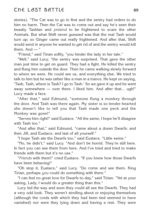stories). "The Cat was to go in first and the sentry had orders to do him no harm. Then the Cat was to come out and say he's seen their beastly Tashlan and *pretend* to be frightened to scare the other Animals. But what Shift never guessed was that the real Tash would turn up; so Ginger came out really frightened. And after that, Shift would send in anyone he wanted to get rid of and the sentry would kill them. And — "

"Friend," said Tirian softly, "you hinder the lady in her tale."

"Well," said Lucy, "the sentry was surprised. That gave the other man just time to get on guard. They had a fight. He killed the sentry and flung him outside the door. Then he came walking slowly forward to where we were. He could see us, and everything else. We tried to talk to him but he was rather like a man in a trance. He kept on saying, 'Tash, Tash, where is Tash? I go to Tash.' So we gave it up and he went away somewhere — over there. I liked him. And after that... ugh!" Lucy made a face.

"After that," said Edmund, "someone flung a monkey through the door. And Tash was there again. My sister is so tender-hearted she doesn't like to tell you that Tash made one peck and the Monkey was gone!"

"Serves him right!" said Eustace. "All the same, I hope he'll disagree with Tash too."

"And after that," said Edmund, "came about a dozen Dwarfs: and then Jill, and Eustace, and last of all yourself."

"I hope Tash ate the Dwarfs too," said Eustace. "Little swine."

"No, he didn't," said Lucy. "And don't be horrid. They're still here. In fact you can see them from here. And I've tried and tried to make friends with them but it's no use."

"*Friends* with them!" cried Eustace. "If you knew how those Dwarfs have been behaving!"

"Oh stop it, Eustace," said Lucy. "Do come and see them. King Tirian, perhaps *you* could do something with them."

"I can feel no great love for Dwarfs to-day," said Tirian. "Yet at your asking, Lady, I would do a greater thing than this."

Lucy led the way and soon they could all see the Dwarfs. They had a very odd look. They weren't strolling about or enjoying themselves (although the cords with which they had been tied seemed to have vanished) nor were they lying down and having a rest. They were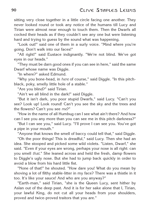sitting very close together in a little circle facing one another. They never looked round or took any notice of the humans till Lucy and Tirian were almost near enough to touch them. Then the Dwarfs all cocked their heads as if they couldn't see any one but were listening hard and trying to guess by the sound what was happening.

"Look out!" said one of them in a surly voice. "Mind where you're going. Don't walk into our faces!"

"All right!" said Eustace indignantly. "We're not blind. We've got eyes in our heads."

"They must be darn good ones if you can see in here," said the same Dwarf whose name was Diggle.

"In where?" asked Edmund.

"Why you bone-head, in *here* of course," said Diggle. "In this pitchblack, poky, smelly little hole of a stable."

"Are you blind?" said Tirian.

"Ain't we all blind in the dark!" said Diggle.

"But it isn't dark, you poor stupid Dwarfs," said Lucy. "Can't you see? Look up! Look round! Can't you see the sky and the trees and the flowers? Can't you see *me*?"

"How in the name of all Humbug can I see what ain't there? And how can I see you any more than you can see me in this pitch darkness?"

"But I can see you," said Lucy. "I'll prove I can see you. You've got a pipe in your mouth."

"Anyone that knows the smell of baccy could tell that," said Diggle.

"Oh the poor things! This is dreadful," said Lucy. Then she had an idea. She stooped and picked some wild violets. "Listen, Dwarf," she said. "Even if your eyes are wrong, perhaps your nose is all right: can you smell *that*." She leaned across and held the fresh, damp flowers to Diggle's ugly nose. But she had to jump back quickly in order to avoid a blow from his hard little fist.

"None of that!" he shouted. "How dare you! What do you mean by shoving a lot of filthy stable-litter in my face? There was a thistle in it too. It's like your sauce! And who are you anyway?"

"Earth-man," said Tirian, "she is the Queen Lucy, sent hither by Aslan out of the deep past. And it is for her sake alone that I, Tirian, your lawful King, do not cut all your heads from your shoulders, proved and twice-proved traitors that you are."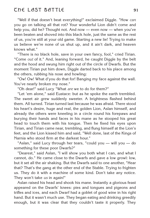"Well if that doesn't beat everything!" exclaimed Diggle. "How *can* you go on talking all that rot? Your wonderful Lion didn't come and help you, did he? Thought not. And now — even now — when you've been beaten and shoved into this black hole, just the same as the rest of us, you're still at your old game. Starting a new lie! Trying to make us believe we're none of us shut up, and it ain't dark, and heaven knows what."

"There is no black hole, save in your own fancy, fool," cried Tirian. "Come *out* of it." And, leaning forward, he caught Diggle by the belt and the hood and swung him right out of the circle of Dwarfs. But the moment Tirian put him down, Diggle darted back to his place among the others, rubbing his nose and howling:

"Ow! Ow! What d'you do that for! Banging my face against the wall. You've nearly broken my nose."

"Oh dear!" said Lucy "What *are* we to do for them?"

"Let 'em alone," said Eustace: but as he spoke the earth trembled. The sweet air grew suddenly sweeter. A brightness flashed behind them. All turned. Tirian turned last because he was afraid. There stood his heart's desire, huge and real, the golden Lion, Aslan himself, and already the others were kneeling in a circle round his forepaws and burying their hands and faces in his mane as he stooped his great head to touch them with his tongue. Then he fixed his eyes upon Tirian, and Tirian came near, trembling, and flung himself at the Lion's feet, and the Lion kissed him and said, "Well done, last of the Kings of Narnia who stood firm at the darkest hour."

"Aslan," said Lucy through her tears, "could you — will you — do something for these poor Dwarfs?"

"Dearest," said Aslan, "I will show you both what I can, and what I cannot, do." He came close to the Dwarfs and gave a low growl: low, but it set all the air shaking. But the Dwarfs said to one another, "Hear that? That's the gang at the other end of the Stable. Trying to frighten us. They do it with a machine of some kind. Don't take any notice. They won't take *us* in again!"

Aslan raised his head and shook his mane. Instantly a glorious feast appeared on the Dwarfs' knees: pies and tongues and pigeons and trifles and ices, and each Dwarf had a goblet of good wine in his right hand. But it wasn't much use. They began eating and drinking greedily enough, but it was clear that they couldn't taste it properly. They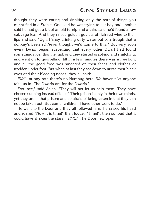thought they were eating and drinking only the sort of things you might find in a Stable. One said he was trying to eat hay and another said he had got a bit of an old turnip and a third said he'd found a raw cabbage leaf. And they raised golden goblets of rich red wine to their lips and said "Ugh! Fancy drinking dirty water out of a trough that a donkey's been at! Never thought we'd come to this." But very soon every Dwarf began suspecting that every other Dwarf had found something nicer than he had, and they started grabbing and snatching, and went on to quarrelling, till in a few minutes there was a free fight and all the good food was smeared on their faces and clothes or trodden under foot. But when at last they sat down to nurse their black eyes and their bleeding noses, they all said:

"Well, at any rate there's no Humbug here. We haven't let anyone take us in. The Dwarfs are for the Dwarfs."

"You see," said Aslan. "They will not let us help them. They have chosen cunning instead of belief. Their prison is only in their own minds, yet they are in that prison; and so afraid of being taken in that they can not be taken out. But come, children. I have other work to do."

He went to the Door and they all followed him. He raised his head and roared "Now it is time!" then louder "Time!"; then so loud that it could have shaken the stars, "*TIME*." The Door flew open.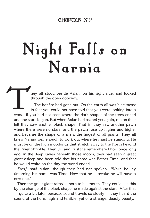### CHAPTER XIV

## Night Falls on Narnia

hey all stood beside Aslan, on his right side, and looked through the open doorway.

The bonfire had gone out. On the earth all was blackness: in fact you could not have told that you were looking into a wood, if you had not seen where the dark shapes of the trees ended and the stars began. But when Aslan had roared yet again, out on their left they saw another black shape. That is, they saw another patch where there were no stars: and the patch rose up higher and higher and became the shape of a man, the hugest of all giants. They all knew Narnia well enough to work out where he must be standing. He must be on the high moorlands that stretch away to the North beyond the River Shribble. Then Jill and Eustace remembered how once long ago, in the deep caves beneath those moors, they had seen a great giant asleep and been told that his name was Father Time, and that he would wake on the day the world ended.

"Yes," said Aslan, though they had not spoken. "While he lay dreaming his name was Time. Now that he is awake he will have a new one."

Then the great giant raised a horn to his mouth. They could see this by the change of the black shape he made against the stars. After that — quite a bit later, because sound travels so slowly — they heard the sound of the horn: high and terrible, yet of a strange, deadly beauty.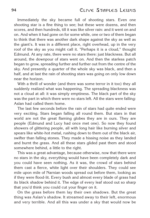Immediately the sky became full of shooting stars. Even one shooting star is a fine thing to see; but these were dozens, and then scores, and then hundreds, till it was like silver rain: and it went on and on. And when it had gone on for some while, one or two of them began to think that there was another dark shape against the sky as well as the giant's. It was in a different place, right overhead, up in the very roof of the sky as you might call it. "Perhaps it is a cloud," thought Edmund. At any rate, there were no stars there: just blackness. But all around, the downpour of stars went on. And then the starless patch began to grow, spreading further and further out from the centre of the sky. And presently a quarter of the whole sky was black, and then a half, and at last the rain of shooting stars was going on only low down near the horizon.

With a thrill of wonder (and there was some terror in it too) they all suddenly realized what was happening. The spreading blackness was not a cloud at all: it was simply emptiness. The black part of the sky was the part in which there were no stars left. All the stars were falling: Aslan had called them home.

The last few seconds before the rain of stars had quite ended were very exciting. Stars began falling all round them. But stars in that world are not the great flaming globes they are in ours. They are people (Edmund and Lucy had once met one). So now they found showers of glittering people, all with long hair like burning silver and spears like white-hot metal, rushing down to them out of the black air, swifter than falling stones. They made a hissing noise as they landed and burnt the grass. And all these stars glided past them and stood somewhere behind, a little to the right.

This was a great advantage, because otherwise, now that there were no stars in the sky, everything would have been completely dark and you could have seen nothing. As it was, the crowd of stars behind them cast a fierce, white light over their shoulders. They could see mile upon mile of Narnian woods spread out before them, looking as if they were flood-lit. Every bush and almost every blade of grass had its black shadow behind it. The edge of every leaf stood out so sharp that you'd think you could cut your finger on it.

On the grass before them lay their own shadows. But the great thing was Aslan's shadow. It streamed away to their left, enormous and very terrible. And all this was under a sky that would now be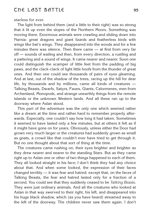starless for ever.

The light from behind them (and a little to their right) was so strong that it lit up even the slopes of the Northern Moors. Something was moving there. Enormous animals were crawling and sliding down into Narnia: great dragons and giant lizards and featherless birds with wings like bat's wings. They disappeared into the woods and for a few minutes there was silence. Then there came — at first from very far off — sounds of wailing and then, from every direction, a rustling and a pattering and a sound of wings. It came nearer and nearer. Soon one could distinguish the scamper of little feet from the padding of big paws, and the clack-clack of light little hoofs from the thunder of great ones. And then one could see thousands of pairs of eyes gleaming. And at last, out of the shadow of the trees, racing up the hill for dear life, by thousands and by millions, came all kinds of creatures — Talking Beasts, Dwarfs, Satyrs, Fauns, Giants, Calormenes, men from Archenland, Monopods, and strange unearthly things from the remote islands or the unknown Western lands. And all these ran up to the doorway where Aslan stood.

This part of the adventure was the only one which seemed rather like a dream at the time and rather hard to remember properly afterwards. Especially, one couldn't say how long it had taken. Sometimes it seemed to have lasted only a few minutes, but at others it felt as if it might have gone on for years. Obviously, unless either the Door had grown very much larger or the creatures had suddenly grown as small as gnats, a crowd like that couldn't ever have tried to get through it. But no one thought about that sort of thing at the time.

The creatures came rushing on, their eyes brighter and brighter as they drew nearer and nearer to the standing Stars. But as they came right up to Aslan one or other of two things happened to each of them. They all looked straight in his face; I don't think they had any choice about that. And when some looked, the expression of their faces changed terribly — it was fear and hatred: except that, on the faces of Talking Beasts, the fear and hatred lasted only for a fraction of a second. You could see that they suddenly ceased to be *Talking Beasts*. They were just ordinary animals. And all the creatures who looked at Aslan in that way swerved to their right, his left, and disappeared into his huge black shadow, which (as you have heard) streamed away to the left of the doorway. The children never saw them again. I don't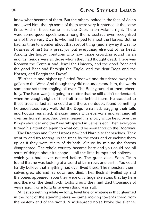know what became of them. But the others looked in the face of Aslan and loved him, though some of them were very frightened at the same time. And all these came in at the Door, in on Aslan's right. There were some queer specimens among them. Eustace even recognised one of those very Dwarfs who had helped to shoot the Horses. But he had no time to wonder about that sort of thing (and anyway it was no business of his) for a great joy put everything else out of his head. Among the happy creatures who now came crowding round Tirian and his friends were all those whom they had thought dead. There was Roonwit the Centaur and Jewel the Unicorn, and the good Boar and the good Bear and Farsight the Eagle, and the dear Dogs and the Horses, and Poggin the Dwarf.

"Further in and higher up!" cried Roonwit and thundered away in a gallop to the West. And though they did not understand him, the words somehow set them tingling all over. The Boar grunted at them cheerfully. The Bear was just going to mutter that he still didn't understand, when he caught sight of the fruit trees behind them. He waddled to those trees as fast as he could and there, no doubt, found something he understood very well. But the Dogs remained, wagging their tails and Poggin remained, shaking hands with everyone and grinning all over his honest face. And Jewel leaned his snowy white head over the King's shoulder and the King whispered in Jewel's ear. Then everyone turned his attention again to what could be seen through the Doorway.

The Dragons and Giant Lizards now had Narnia to themselves. They went to and fro tearing up the trees by the roots and crunching them up as if they were sticks of rhubarb. Minute by minute the forests disappeared. The whole country became bare and you could see all sorts of things about its shape — all the little humps and hollows which you had never noticed before. The grass died. Soon Tirian found that he was looking at a world of bare rock and earth. You could hardly believe that anything had ever lived there. The monsters themselves grew old and lay down and died. Their flesh shrivelled up and the bones appeared: soon they were only huge skeletons that lay here and there on the dead rock, looking as if they had died thousands of years ago. For a long time everything was still.

At last something white — long, level line of whiteness that gleamed in the light of the standing stars — came moving towards them from the eastern end of the world. A widespread noise broke the silence: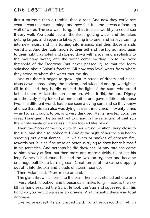first a murmur, then a rumble, then a roar. And now they could see what it was that was coming, and how fast it came. It was a foaming wall of water. The sea was rising. In that treeless world you could see it very well. You could see all the rivers getting wider and the lakes getting larger, and separate lakes joining into one, and valleys turning into new lakes, and hills turning into islands, and then those islands vanishing. And the high moors to their left and the higher mountains to their right crumbled and slipped down with a roar and a splash into the mounting water; and the water came swirling up to the very threshold of the Doorway (but never passed it) so that the foam splashed about Aslan's forefeet. All now was level water from where they stood to where the water met the sky.

And out there it began to grow light. A streak of dreary and disastrous dawn spread along the horizon, and widened and grew brighter, till in the end they hardly noticed the light of the stars who stood behind them. At last the sun came up. When it did, the Lord Digory and the Lady Polly looked at one another and gave a little nod: those two, in a different world, had once seen a dying sun, and so they knew at once that this sun also was dying. It was three times — twenty times — as big as it ought to be, and very dark red. As its rays fell upon the great Time-giant, he turned red too: and in the reflection of that sun the whole waste of shoreless waters looked like blood.

Then the Moon came up, quite in her wrong position, very close to the sun, and she also looked red. And at the sight of her the sun began shooting out great flames, like whiskers or snakes of crimson fire, towards her. It is as if he were an octopus trying to draw her to himself in his tentacles. And perhaps he did draw her. At any rate she came to him, slowly at first, but then more and more quickly, till at last his long flames licked round her and the two ran together and became one huge ball like a burning coal. Great lumps of fire came dropping out of it into the sea and clouds of steam rose up.

Then Aslan said, "Now make an end."

The giant threw his horn into the sea. Then he stretched out one arm — very black it looked, and thousands of miles long — across the sky till his hand reached the Sun. He took the Sun and squeezed it in his hand as you would squeeze an orange. And instantly there was total darkness.

Everyone except Aslan jumped back from the ice-cold air which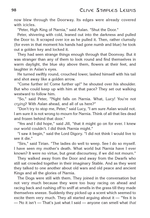now blew through the Doorway. Its edges were already covered with icicles.

"Peter, High King of Narnia," said Aslan. "Shut the Door."

Peter, shivering with cold, leaned out into the darkness and pulled the Door to. It scraped over ice as he pulled it. Then, rather clumsily (for even in that moment his hands had gone numb and blue) he took out a golden key and locked it.

They had seen strange things enough through that Doonvay. But it was stranger than any of them to look round and find themselves in warm daylight, the blue sky above them, flowers at their feet, and laughter in Aslan's eyes.

He turned swiftly round, crouched lower, lashed himself with his tail and shot away like a golden arrow.

"Come further in! Come further up!" he shouted over his shoulder. But who could keep up with him at that pace? They set out walking westward to follow him.

"So," said Peter, "Night falls on Narnia. What, Lucy! You're not *crying*? With Aslan ahead, and all of us here?"

"Don't try to stop me, Peter," said Lucy, "I am sure Aslan would not. I am sure it is not wrong to mourn for Narnia. Think of all that lies dead and frozen behind that door."

"Yes and I did hope," said Jill, "that it might go on for ever. I knew our world couldn't. I did think Narnia might."

"I saw it begin," said the Lord Digory. "I did not think I would live to see it die."

"Sirs," said Tirian. "The ladies do well to weep. See I do so myself. I have seen my mother's death. What world but Narnia have I ever known? It were no virtue, but great discourtesy, if we did not mourn."

They walked away from the Door and away from the Dwarfs who still sat crowded together in their imaginary Stable. And as they went they talked to one another about old wars and old peace and ancient Kings and all the glories of Narnia.

The Dogs were still with them. They joined in the conversation but not very much because they were too busy racing on ahead and racing back and rushing off to sniff at smells in the grass till they made themselves sneeze. Suddenly they picked up a scent which seemed to excite them very much. They all started arguing about it — "Yes it is — No it isn't — That's just what I said — anyone can smell what *that*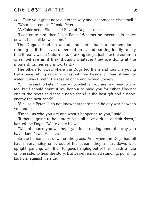*is* — Take your great nose out of the way and let someone else smell." "What is it, cousins?" said Peter.

"A Calormene, Sire," said Several Dogs at once.

"Lead on to him, then," said Peter. "Whether he meets us in peace or war, he shall be welcome."

The Dogs darted on ahead and came back a moment later, running as if their lives depended on it, and barking loudly to say that it really was a Calormene. (Talking Dogs, just like the common ones, behave as if they thought whatever they are doing at the moment, immensely important.)

The others followed where the Dogs led them and found a young Calormene sitting under a chestnut tree beside a clear stream of water. It was Emeth. He rose at once and bowed gravely.

"Sir," he said to Peter, "I know not whether you are my friend or my foe, but I should count it my honour to have you for either. Has not one of the poets said that a noble friend is the best gift and a noble enemy the next best?"

"Sir," said Peter, "I do not know that there need be any war between you and us."

"Do tell us who you are and what's happened to you," said Jill.

"If there's going to be a story, let's all have a drink and sit down," barked the Dogs. "We're quite blown."

"Well of course you will be, if you keep tearing about the way you have done," said Eustace.

So the humans sat down on the grass. And when the Dogs had all had a very noisy drink out of the stream they all sat down, bolt upright, panting, with their tongues hanging out of their heads a little on one side, to hear the story. But Jewel remained standing, polishing his horn against his side.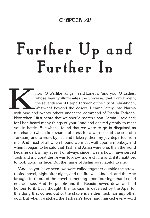#### CHADTER XI)

# Further Up and Further In

now, O Warlike Kings," said Emeth, "and you, O Ladies, whose beauty illuminates the universe, that I am Emeth, the seventh son of Harpa Tarkaan of the city of Tehishbaan, Westward beyond the desert. I came lately into Narnia with nine and twenty others under the command of Rishda Tarkaan. Now when I first heard that we should march upon Narnia, I rejoiced; for I had heard many things of your Land and desired greatly to meet you in battle. But when I found that we were to go in disguised as merchants (which is a shameful dress for a warrior and the son of a Tarkaan) and to work by lies and trickery, then my joy departed from me. And most of all when I found we must wait upon a monkey, and when it began to be said that Tash and Aslan were one, then the world became dark in my eyes. For always since I was a boy, I have served Tash and my great desire was to know more of him and, if it might be, to look upon his face. But the name of Aslan was hateful to me.

"And, as you have seen, we were called together outside the strawroofed hovel, night after night, and the fire was kindled, and the Ape brought forth out of the hovel something upon four legs that I could not well see. And the people and the Beasts bowed down and did honour to it. But I thought, the Tarkaan is deceived by the Ape: for this thing that comes out of the stable is neither Tash nor any other god. But when I watched the Tarkaan's face, and marked every word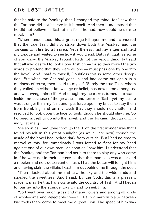that he said to the Monkey, then I changed my mind: for I saw that the Tarkaan did not believe in it himself. And then I understood that he did not believe in Tash at all: for if he had, how could he dare to mock him?

"When I understood this, a great rage fell upon me and I wondered that the true Tash did not strike down both the Monkey and the Tarkaan with fire from heaven. Nevertheless I hid my anger and held my tongue and waited to see how it would end. But last night, as some of you know, the Monkey brought forth not the yellow thing, but said that all who desired to look upon Tashlan — for so they mixed the two words to pretend that they were all one — must pass one by one into the hovel. And I said to myself, Doubtless this is some other deception. But when the Cat had gone in and had come out again in a madness of terror, then I said to myself, 'Surely the true Tash, whom they called on without knowledge or belief, has now come among us, and will avenge himself.' And though my heart was turned into water inside me because of the greatness and terror of Tash, yet my desire was stronger than my fear, and I put force upon my knees to stay them from trembling, and on my teeth that they should not chatter, and resolved to look upon the face of Tash, though he should slay me. So I offered myself to go into the hovel; and the Tarkaan, though unwillingly, let me go.

"As soon as I had gone through the door, the first wonder was that I found myself in this great sunlight (as we all are now) though the inside of the hovel had looked dark from outside. But I had no time to marvel at this, for immediately I was forced to fight for my head against one of our own men. As soon as I saw him, I understood that the Monkey and the Tarkaan had set him there to slay any who came in if he were not in their secrets: so that this man also was a liar and a mocker and no true servant of Tash. I had the better will to fight him; and having slain the villain, I cast him out behind me through the door.

"Then I looked about me and saw the sky and the wide lands and smelled the sweetness. And I said, By the Gods, this is a pleasant place: it may be that I am come into the country of Tash. And I began to journey into the strange country and to seek him.

"So I went over much grass and many flowers and among all kinds of wholesome and delectable trees till lo! in a narrow place between two rocks there came to meet me a great Lion. The speed of him was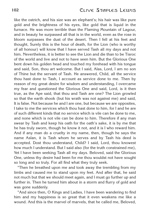like the ostrich, and his size was an elephant's; his hair was like pure gold and the brightness of his eyes, like gold that is liquid in the furnace. He was more terrible than the Flaming Mountain of Lagour, and in beauty he surpassed all that is in the world, even as the rose in bloom surpasses the dust of the desert. Then I fell at his feet and thought, Surely this is the hour of death, for the Lion (who is worthy of all honour) will know that I have served Tash all my days and not him. Nevertheless, it is better to see the Lion and die than to be Tisroc of the world and live and not to have seen him. But the Glorious One bent down his golden head and touched my forehead with his tongue and said, Son, thou art welcome. But I said, Alas, Lord, I am no son of Thine but the servant of Tash. He answered, Child, all the service thou hast done to Tash, I account as service done to me. Then by reason of my great desire for wisdom and understanding, I overcame my fear and questioned the Glorious One and said, Lord, is it then true, as the Ape said, that thou and Tash are one? The Lion growled so that the earth shook (but his wrath was not against me) and said, It is false. Not because he and I are one, but because we are opposites, I take to me the services which thou hast done to him, for I and he are of such different kinds that no service which is vile can be done to me, and none which is not vile can be done to him. Therefore if any man swear by Tash and keep his oath for the oath's sake, it is by me that he has truly sworn, though he know it not, and it is I who reward him. And if any man do a cruelty in my name, then, though he says the name Aslan, it is Tash whom he serves and by Tash his deed is accepted. Dost thou understand, Child? I said, Lord, thou knowest how much I understand. But I said also (for the truth constrained me), Yet I have been seeking Tash all my days. Beloved, said the Glorious One, unless thy desire had been for me thou wouldst not have sought so long and so truly. For all find what they truly seek.

"Then he breathed upon me and took away the trembling from my limbs and caused me to stand upon my feet. And after that, he said not much but that we should meet again, and I must go further up and further in. Then he turned him about in a storm and flurry of gold and was gone suddenly.

"And since then, O Kings and Ladies, I have been wandering to find him and my happiness is so great that it even weakens me like a wound. And this is the marvel of marvels, that he called me, Beloved,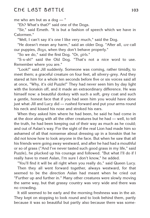me who am but as a dog — "

"Eh? What's that?" said one of the Dogs.

"Sir," said Emeth. "It is but a fashion of speech which we have in Calormen."

"Well, I can't say it's one I like very much," said the Dog.

"He doesn't mean any harm," said an older Dog. "After all, *we* call our puppies, *Boys*, when they don't behave properly."

"So we do," said the first Dog. "Or, *girls*."

"S-s-sh!" said the Old Dog. "That's not a nice word to use. Remember where you are."

"Look!" said Jill suddenly. Someone was coming, rather timidly, to meet them; a graceful creature on four feet, all silvery-grey. And they stared at him for a whole ten seconds before five or six voices said all at once, "Why, it's old Puzzle!" They had never seen him by day light with the lionskin off, and it made an extraordinary difference. He was himself now: a beautiful donkey with such a soft, grey coat and such a gentle, honest face that if you had seen him you would have done just what Jill and Lucy did — rushed forward and put your arms round his neck and kissed his nose and stroked his ears.

When they asked him where he had been, he said he had come in at the door along with all the other creatures but he had — well, to tell the truth, he had been keeping out of their way as much as he could; and out of Aslan's way. For the sight of the real Lion had made him so ashamed of all that nonsense about dressing up in a lionskin that he did not know how to look anyone in the face. But when he saw that all his friends were going away westward, and after he had had a mouthful or so of grass ("And I've never tasted such good grass in my life," said Puzzle), he plucked up his courage and followed. "But what I'll do if I really have to meet Aslan, I'm sure I don't know," he added.

"You'll find it will be all right when you really do," said Queen Lucy. Then they all went forward together, always westward, for that seemed to be the direction Aslan had meant when he cried out "Further up and further in." Many other creatures were slowly moving the same way, but that grassy country was very wide and there was no crowding.

It still seemed to be early and the morning freshness was in the air. They kept on stopping to look round and to look behind them, partly because it was so beautiful but partly also because there was some-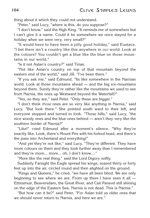thing about it which they could not understand.

"Peter," said Lucy, "where is this, do you suppose?"

"I don't know," said the High King. "It reminds me of somewhere but I can't give it a name. Could it be somewhere we once stayed for a holiday when we were very, very small?"

"It would have to have been a jolly good holiday," said Eustace. "I bet there isn't a country like this anywhere in *our* world. Look at the colours? You couldn't get a blue like the blue on those mountains in our world."

"Is it not Aslan's country?" said Tirian.

"Not like Aslan's country on top of that mountain beyond the eastern end of the world," said Jill. "I've been there."

"If you ask me," said Edmund, "Its like somewhere in the Narnian world. Look at those mountains ahead — and the big ice-mountains beyond them. Surely they're rather like the mountains we used to see from Narnia, the ones up Westward beyond the Waterfall?"

"Yes, so they are," said Peter. "Only these are bigger."

"I don't think *those* ones are so very like anything in Narnia," said Lucy. "But look there." She pointed south ward to their left, and everyone stopped and turned to look. "Those hills," said Lucy, "the nice woody ones and the blue ones behind — aren't they very like the southern border of Narnia?"

"Like!" cried Edmund after a moment's silence. "Why they're exactly like. Look, there's Mount Pire with his forked head, and there's the pass into Archenland and everything!"

"And yet they're not like," said Lucy. "They're different. They have more colours on them and they look further away than I remembered and they're more... more... oh, I don't know...."

"More like the real thing," said the Lord Digory softly.

Suddenly Farsight the Eagle spread his wings, soared thirty or forty feet up into the air, circled round and then alighted on the ground.

"Kings and Queens," he cried, "we have all been blind. We are only beginning to see where we are. From up there I have seen it all — Ettinsmuir, Beaversdam, the Great River, and Cair Paravel still shining on the edge of the Eastern Sea. Narnia is not dead. This is Narnia."

"But how can it be?" said Peter. "For Aslan told us older ones that we should never return to Narnia, and here we are."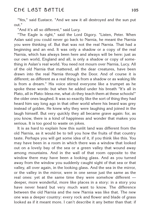"Yes," said Eustace. "And we saw it all destroyed and the sun put out."

"And it's all so different," said Lucy.

"The Eagle is right," said the Lord Digory. "Listen, Peter. When Aslan said you could never go back to Narnia, he meant the Narnia you were thinking of. But that was not the real Narnia. That had a beginning and an end. It was only a shadow or a copy of the real Narnia, which has always been here and always will be here: just as our own world, England and all, is only a shadow or copy of something in Aslan's real world. You need not mourn over Narnia, Lucy. All of the old Narnia that mattered, all the dear creatures, have been drawn into the real Narnia through the Door. And of course it is different; as different as a real thing is from a shadow or as waking life is from a dream." His voice stirred everyone like a trumpet as he spoke these words: but when he added under his breath "It's all in Plato, all in Plato: bless me, what *do* they teach them at these schools!" the older ones laughed. It was so exactly like the sort of thing they had heard him say long ago in that other world where his beard was grey instead of golden. He knew why they were laughing and joined in the laugh himself. But very quickly they all became grave again: for, as you know, there is a kind of happiness and wonder that makes you serious. It is too good to waste on jokes.

It is as hard to explain how this sunlit land was different from the old Narnia, as it would be to tell you how the fruits of that country taste. Perhaps you will get some idea of it, if you think like this. You may have been in a room in which there was a window that looked out on a lovely bay of the sea or a green valley that wound away among mountains. And in the wall of that room opposite to the window there may have been a looking glass. And as you turned away from the window you suddenly caught sight of that sea or that valley, all over again, in the looking glass. And the sea in the mirror, or the valley in the mirror, were in one sense just the same as the real ones: yet at the same time they were somehow different deeper, more wonderful, more like places in a story: in a story you have never heard but very much want to know. The difference between the old Narnia and the new Narnia was like that. The new one was a deeper country: every rock and flower and blade of grass looked as if it meant more. I can't describe it any better than that: if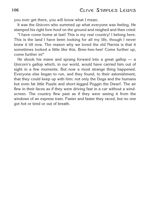It was the Unicorn who summed up what everyone was feeling. He stamped his right fore-hoof on the ground and neighed and then cried:

"I have come home at last! This is my real country! I belong here. This is the land I have been looking for all my life, though I never knew it till now. The reason why we loved the old Narnia is that it sometimes looked a little like this. Bree-hee-hee! Come further up, come further in!"

He shook his mane and sprang forward into a great gallop  $-$  a Unicorn's gallop which, in our world, would have carried him out of sight in a few moments. But now a most strange thing happened. Everyone else began to run, and they found, to their astonishment, that they could keep up with him: not only the Dogs and the humans but even fat little Puzzle and short-legged Poggin the Dwarf. The air flew in their faces as if they were driving fast in a car without a windscreen. The country flew past as if they were seeing it from the windows of an express train. Faster and faster they raced, but no one got hot or tired or out of breath.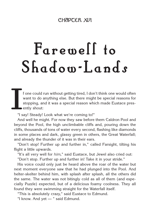# CHADTER XIII

# Farewell to Shadow-Lands

**I** f one could run without getting tired, I don't think one would often want to do anything else. But there might be special reasons for stopping, and it was a special reason which made Eustace presently shout:

"I say! Steady! Look what we're coming to!"

And well he might. For now they saw before them Caldron Pool and beyond the Pool, the high unclimbable cliffs and, pouring down the cliffs, thousands of tons of water every second, flashing like diamonds in some places and dark, glassy green in others, the Great Waterfall; and already the thunder of it was in their ears.

"Don't stop! Further up and further in," called Farsight, tilting his flight a little upwards.

"It's all very well for *him*," said Eustace, but Jewel also cried out:

"Don't stop. Further up and further in! Take it in your stride."

His voice could only just be heard above the roar of the water but next moment everyone saw that he had plunged into the Pool. And helter-skelter behind him, with splash after splash, all the others did the same. The water was not bitingly cold as all of them (and especially Puzzle) expected, but of a delicious foamy coolness. They all found they were swimming straight for the Waterfall itself.

"This is absolutely crazy," said Eustace to Edmund.

"I know. And yet — " said Edmund.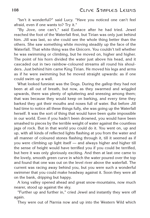"Isn't it wonderful?" said Lucy. "Have you noticed one can't feel afraid, even if one wants to? Try it."

"By Jove, one can't," said Eustace after he had tried. Jewel reached the foot of the Waterfall first, but Tirian was only just behind him. Jill was last, so she could see the whole thing better than the others. She saw something white moving steadily up the face of the Waterfall. That white thing was the Unicorn. You couldn't tell whether he was swimming or climbing, but he moved on, higher and higher. The point of his horn divided the water just above his head, and it cascaded out in two rainbow-coloured streams all round his shoulders. Just behind him came King Tirian. He moved his legs and arms as if he were swimming but he moved straight upwards: as if one could swim up a wall.

What looked funniest was the Dogs. During the gallop they had not been at all out of breath, but now, as they swarmed and wriggled upwards, there was plenty of spluttering and sneezing among them; that was because they would keep on barking, and every time they barked they got their mouths and noses full of water. But before Jill had time to notice all these things fully, she was going up the Waterfall herself. It was the sort of thing that would have been quite impossible in our world. Even if you hadn't been drowned, you would have been smashed to pieces by the terrible weight of water against the countless jags of rock. But in that world you could do it. You went on, up and up, with all kinds of reflected lights flashing at you from the water and all manner of coloured stones flashing through it, till it seemed as if you were climbing up light itself — and always higher and higher till the sense of height would have terrified you if you could be terrified, but here it was only gloriously exciting. And then at last one came to the lovely, smooth green curve in which the water poured over the top and found that one was out on the level river above the waterfall. The current was racing away behind you, but you were such a wonderful swimmer that you could make headway against it. Soon they were all on the bank, dripping but happy.

A long valley opened ahead and great snow-mountains, now much nearer, stood up against the sky.

"Further up and further in," cried Jewel and instantly they were off again.

They were out of Narnia now and up into the Western Wild which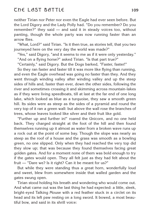neither Tirian nor Peter nor even the Eagle had ever seen before. But the Lord Digory and the Lady Polly had. "Do you remember? Do you remember?" they said — and said it in steady voices too, without panting, though the whole party was now running faster than an arrow flies.

"What, Lord?" said Tirian. "Is it then true, as stories tell, that you two journeyed here on the very day the world was made?"

"Yes," said Digory, "and it seems to me as if it were only yesterday."

"And on a flying horse?" asked Tirian. "Is that part true?"

"Certainly," said Digory. But the Dogs barked, "Faster, faster!"

So they ran faster and faster till it was more like flying than running, and even the Eagle overhead was going no faster than they. And they went through winding valley after winding valley and up the steep sides of hills and, faster than ever, down the other sides, following the river and sometimes crossing it and skimming across mountain-lakes as if they were living speedboats, till at last at the far end of one long lake, which looked as blue as a turquoise, they saw a smooth green hill. Its sides were as steep as the sides of a pyramid and round the very top of it ran a green wall: but above the wall rose the branches of trees, whose leaves looked like silver and their fruit like gold.

"Further up and further in!" roared the Unicorn, and no one held back. They charged straight at the foot of the hill and then found themselves running up it almost as water from a broken wave runs up a rock out at the point of some bay. Though the slope was nearly as steep as the roof of a house and the grass was smooth as a bowling green, no one slipped. Only when they had reached the very top did they slow up; that was because they found themselves facing great golden gates. And for a moment none of them was bold enough to try if the gates would open. They all felt just as they had felt about the fruit — "Dare we? Is it right? Can it be meant for us?"

But while they were standing thus a great horn, wonderfully loud and sweet, blew from somewhere inside that walled garden and the gates swung open.

Tirian stood holding his breath and wondering who would come out. And what came out was the last thing he had expected: a little, sleek, bright-eyed Talking Mouse with a red feather stuck in a circlet on its head and its left paw resting on a long sword. It bowed, a most beautiful bow, and said in its shrill voice: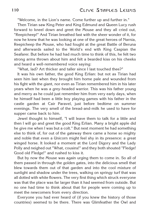"Welcome, in the Lion's name. Come further up and further in."

Then Tirian saw King Peter and King Edmund and Queen Lucy rush forward to kneel down and greet the Mouse and they all cried out, "Reepicheep!" And Tirian breathed fast with the sheer wonder of it, for now he knew that he was looking at one of the great heroes of Narnia, Reepicheep the Mouse, who had fought at the great Battle of Beruna and afterwards sailed to the World's end with King Caspian the Seafarer. But before he had had much time to think of this, he felt two strong arms thrown about him and felt a bearded kiss on his cheeks and heard a well-remembered voice saying:

"What, lad? Art thicker and taller since I last touched thee?"

It was his own father, the good King Erlian: but not as Tirian had seen him last when they brought him home pale and wounded from his fight with the giant, nor even as Tirian remembered him in his later years when he was a grey-headed warrior. This was his father young and merry as he could just remember him from very early days, when he himself had been a little boy playing games with his father in the castle garden at Cair Paravel, just before bedtime on summer evenings. The very smell of the bread-and-milk he used to have for supper came back to him.

Jewel thought to himself, "I will leave them to talk for a little and then I will go and greet the good King Erlian. Many a bright apple did he give me when I was but a colt." But next moment he had something else to think of, for out of the gateway there came a horse so mighty and noble that even a Unicorn might feel shy in its presence: a great winged horse. It looked a moment at the Lord Digory and the Lady Polly and neighed out "What, cousins!" and they both shouted "Fledge! Good old Fledge!" and rushed to kiss it.

But by now the Mouse was again urging them to come in. So all of them passed in through the golden gates, into the delicious smell that blew towards them out of that garden and into the cool mixture of sunlight and shadow under the trees, walking on springy turf that was all dotted with white flowers. The very first thing which struck everyone was that the place was far larger than it had seemed from outside. But no one had time to think about that for people were coming up to meet the newcomers from every direction.

Everyone you had ever heard of (if you knew the history of those countries) seemed to be there. There was Glimfeather the Owl and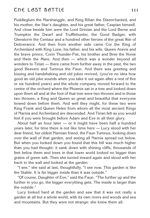Puddleglum the Marshwiggle, and King Rilian the Disenchanted, and his mother, the Star's daughter, and his great father, Caspian himself. And close beside him were the Lord Drinian and the Lord Berne and Trumpkin the Dwarf and Trufflehunter, the Good Badger, with Glenstorm the Centaur and a hundred other heroes of the great War of Deliverance. And then from another side came Cor the King of Archenland with King Lune, his father, and his wife, Queen Aravis and the brave prince, Corin Thunder-Fist, his brother and Bree the Horse and Hwin the Mare. And then — which was a wonder beyond all wonders to Tirian — there came from further away in the past, the two good Beavers and Tumnus the Faun. And there was greeting and kissing and handshaking and old jokes revived, (you've no idea how good an old joke sounds when you take it out again after a rest of five or six hundred years) and the whole company moved forward to the centre of the orchard where the Phoenix sat in a tree and looked down upon them all and at the foot of that tree were two thrones and in those two thrones, a King and Queen so great and beautiful that everyone bowed down before them. And well they might, for these two were King Frank and Queen Helen from whom all the most ancient Kings of Narnia and Archenland are descended. And Tirian felt as you would feel if you were brought before Adam and Eve in all their glory.

About half an hour later — or it might have been half a hundred years later, for time there is not like time here — Lucy stood with her dear friend, her oldest Narnian friend, the Faun Tumnus, looking down over the wall of that garden, and seeing all Narnia spread out below. But when you looked down you found that this hill was much higher than you had thought: it sank down with shining cliffs, thousands of feet below them and trees in that lower world looked no bigger than grains of green salt. Then she turned inward again and stood with her back to the wall and looked at the garden.

"I see," she said at last, thoughtfully. "I see now. This garden is like the Stable. It is far bigger inside than it was outside."

"Of course, Daughter of Eve," said the Faun. "The further up and the further in you go, the bigger everything gets. The inside is larger than the outside."

Lucy looked hard at the garden and saw that it was not really a garden at all but a whole world, with its own rivers and woods and sea and mountains. But they were not strange: she knew them all.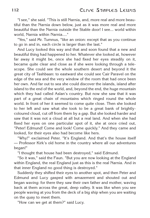"I see," she said. "This is still Narnia, and, more real and more beautiful than the Narnia down below, just as it was more real and more beautiful than the Narnia outside the Stable door! I see... world within world, Narnia within Narnia...."

"Yes," said Mr. Tumnus, "like an onion: except that as you continue to go in and in, each circle is larger than the last."

And Lucy looked this way and that and soon found that a new and beautiful thing had happened to her. Whatever she looked at, however far away it might be, once she had fixed her eyes steadily on it, became quite clear and close as if she were looking through a telescope. She could see the whole southern desert and beyond it the great city of Tashbaan: to eastward she could see Cair Paravel on the edge of the sea and the very window of the room that had once been her own. And far out to sea she could discover the islands, island after island to the end of the world, and, beyond the end, the huge mountain which they had called Aslan's country. But now she saw that it was part of a great chain of mountains which ringed round the whole world. In front of her it seemed to come quite close. Then she looked to her left and saw what she took to be a great bank of brightlycoloured cloud, cut off from them by a gap. But she looked harder and saw that it was not a cloud at all but a real land. And when she had fixed her eyes on one particular spot of it, she at once cried out, "Peter! Edmund! Come and look! Come quickly." And they came and looked, for their eyes also had become like hers.

"Why!" exclaimed Peter. "It's England. And that's the house itself — Professor Kirk's old home in the country where all our adventures began!"

"I thought that house had been destroyed," said Edmund.

"So it was," said the Faun. "But you are now looking at the England within England, the real England just as this is the real Narnia. And in that inner England no good thing is destroyed."

Suddenly they shifted their eyes to another spot, and then Peter and Edmund and Lucy gasped with amazement and shouted out and began waving: for there they saw their own father and mother, waving back at them across the great, deep valley. It was like when you see people waving at you from the deck of a big ship when you are waiting on the quay to meet them.

"How can we get at them?" said Lucy.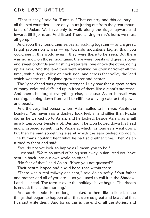"That is easy," said Mr. Tumnus. "That country and this country all the *real* countries — are only spurs jutting out from the great mountains of Aslan. We have only to walk along the ridge, upward and inward, till it joins on. And listen! There is King Frank's horn: we must all go up."

And soon they found themselves all walking together — and a great, bright procession it was — up towards mountains higher than you could see in this world even if they were there to be seen. But there was no snow on those mountains: there were forests and green slopes and sweet orchards and flashing waterfalls, one above the other, going up for ever. And the land they were walking on grew narrower all the time, with a deep valley on each side: and across that valley the land which was the real England grew nearer and nearer.

The light ahead was growing stronger. Lucy saw that a great series of many-coloured cliffs led up in front of them like a giant's staircase. And then she forgot everything else, because Aslan himself was coming, leaping down from cliff to cliff like a living cataract of power and beauty.

And the very first person whom Aslan called to him was Puzzle the Donkey. You never saw a donkey look feebler and sillier than Puzzle did as he walked up to Aslan; and he looked, beside Aslan, as small as a kitten looks beside a St. Bernard. The Lion bowed down his head and whispered something to Puzzle at which his long ears went down; but then he said something else at which the ears perked up again. The humans couldn't hear what he had said either time. Then Aslan turned to them and said:

"You do not yet look so happy as I mean you to be."

Lucy said, "We're so afraid of being sent away, Aslan. And you have sent us back into our own world so often."

"No fear of that," said Aslan. "Have you not guessed?"

Their hearts leaped and a wild hope rose within them.

"There was a real railway accident," said Aslan softly. "Your father and mother and all of you are — as you used to call it in the Shadow-Lands — dead. The term is over: the holidays have begun. The dream is ended: this is the morning."

And as He spoke He no longer looked to them like a lion; but the things that began to happen after that were so great and beautiful that I cannot write them. And for us this is the end of all the stories, and